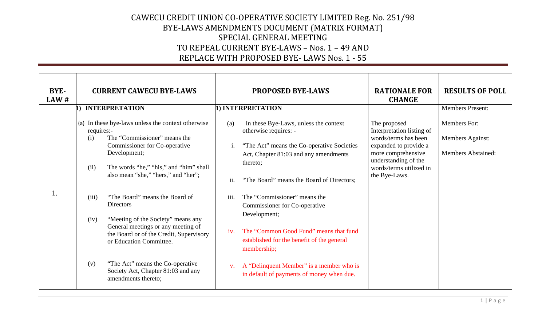| <b>BYE-</b><br>LAW# |                                                   | <b>CURRENT CAWECU BYE-LAWS</b>                                                                                                                                                                                                                                                                                                                                                                                                                                                                                                |                                                   | <b>PROPOSED BYE-LAWS</b>                                                                                                                                                                                                                                                                                                                                                                                                                                                                        | <b>RATIONALE FOR</b><br><b>CHANGE</b>                                                                                                                                                | <b>RESULTS OF POLL</b>                                                      |
|---------------------|---------------------------------------------------|-------------------------------------------------------------------------------------------------------------------------------------------------------------------------------------------------------------------------------------------------------------------------------------------------------------------------------------------------------------------------------------------------------------------------------------------------------------------------------------------------------------------------------|---------------------------------------------------|-------------------------------------------------------------------------------------------------------------------------------------------------------------------------------------------------------------------------------------------------------------------------------------------------------------------------------------------------------------------------------------------------------------------------------------------------------------------------------------------------|--------------------------------------------------------------------------------------------------------------------------------------------------------------------------------------|-----------------------------------------------------------------------------|
|                     |                                                   | <b>INTERPRETATION</b>                                                                                                                                                                                                                                                                                                                                                                                                                                                                                                         |                                                   | 1) INTERPRETATION                                                                                                                                                                                                                                                                                                                                                                                                                                                                               |                                                                                                                                                                                      | <b>Members Present:</b>                                                     |
| 1.                  | requires:-<br>(i)<br>(ii)<br>(iii)<br>(iv)<br>(v) | (a) In these bye-laws unless the context otherwise<br>The "Commissioner" means the<br>Commissioner for Co-operative<br>Development;<br>The words "he," "his," and "him" shall<br>also mean "she," "hers," and "her";<br>"The Board" means the Board of<br><b>Directors</b><br>"Meeting of the Society" means any<br>General meetings or any meeting of<br>the Board or of the Credit, Supervisory<br>or Education Committee.<br>"The Act" means the Co-operative<br>Society Act, Chapter 81:03 and any<br>amendments thereto; | (a)<br>$\mathbf{1}$ .<br>ii.<br>iii.<br>iv.<br>V. | In these Bye-Laws, unless the context<br>otherwise requires: -<br>"The Act" means the Co-operative Societies<br>Act, Chapter 81:03 and any amendments<br>thereto;<br>"The Board" means the Board of Directors;<br>The "Commissioner" means the<br>Commissioner for Co-operative<br>Development;<br>The "Common Good Fund" means that fund<br>established for the benefit of the general<br>membership;<br>A "Delinquent Member" is a member who is<br>in default of payments of money when due. | The proposed<br>Interpretation listing of<br>words/terms has been<br>expanded to provide a<br>more comprehensive<br>understanding of the<br>words/terms utilized in<br>the Bye-Laws. | <b>Members For:</b><br><b>Members Against:</b><br><b>Members Abstained:</b> |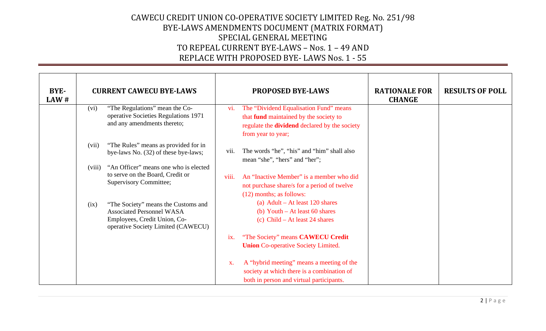| BYE-<br>LAW# |        | <b>CURRENT CAWECU BYE-LAWS</b>                                                                                                                |       | <b>PROPOSED BYE-LAWS</b>                                                                                                                                              | <b>RATIONALE FOR</b><br><b>CHANGE</b> | <b>RESULTS OF POLL</b> |
|--------------|--------|-----------------------------------------------------------------------------------------------------------------------------------------------|-------|-----------------------------------------------------------------------------------------------------------------------------------------------------------------------|---------------------------------------|------------------------|
|              | (vi)   | "The Regulations" mean the Co-<br>operative Societies Regulations 1971<br>and any amendments thereto;                                         | vi.   | The "Dividend Equalisation Fund" means<br>that <b>fund</b> maintained by the society to<br>regulate the <b>dividend</b> declared by the society<br>from year to year; |                                       |                        |
|              | (vii)  | "The Rules" means as provided for in<br>bye-laws No. (32) of these bye-laws;                                                                  | V11.  | The words "he", "his" and "him" shall also<br>mean "she", "hers" and "her";                                                                                           |                                       |                        |
|              | (viii) | "An Officer" means one who is elected<br>to serve on the Board, Credit or<br><b>Supervisory Committee;</b>                                    | viii. | An "Inactive Member" is a member who did<br>not purchase share/s for a period of twelve<br>(12) months; as follows:                                                   |                                       |                        |
|              | (ix)   | "The Society" means the Customs and<br><b>Associated Personnel WASA</b><br>Employees, Credit Union, Co-<br>operative Society Limited (CAWECU) |       | (a) Adult – At least 120 shares<br>(b) Youth $-$ At least 60 shares<br>(c) Child – At least 24 shares                                                                 |                                       |                        |
|              |        |                                                                                                                                               | ix.   | "The Society" means CAWECU Credit<br><b>Union Co-operative Society Limited.</b>                                                                                       |                                       |                        |
|              |        |                                                                                                                                               | X.    | A "hybrid meeting" means a meeting of the<br>society at which there is a combination of<br>both in person and virtual participants.                                   |                                       |                        |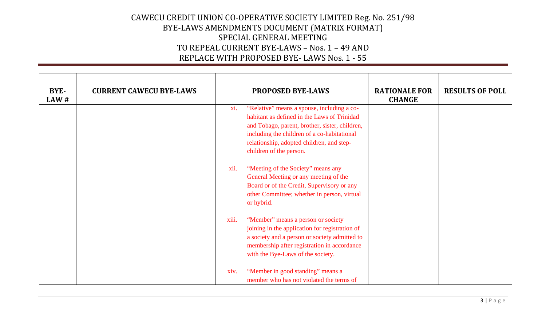| BYE-<br>LAW # | <b>CURRENT CAWECU BYE-LAWS</b> |       | <b>PROPOSED BYE-LAWS</b>                                                                                                                                                                                                                                           | <b>RATIONALE FOR</b><br><b>CHANGE</b> | <b>RESULTS OF POLL</b> |
|---------------|--------------------------------|-------|--------------------------------------------------------------------------------------------------------------------------------------------------------------------------------------------------------------------------------------------------------------------|---------------------------------------|------------------------|
|               |                                | xi.   | "Relative" means a spouse, including a co-<br>habitant as defined in the Laws of Trinidad<br>and Tobago, parent, brother, sister, children,<br>including the children of a co-habitational<br>relationship, adopted children, and step-<br>children of the person. |                                       |                        |
|               |                                | xii.  | "Meeting of the Society" means any<br>General Meeting or any meeting of the<br>Board or of the Credit, Supervisory or any<br>other Committee; whether in person, virtual<br>or hybrid.                                                                             |                                       |                        |
|               |                                | xiii. | "Member" means a person or society<br>joining in the application for registration of<br>a society and a person or society admitted to<br>membership after registration in accordance<br>with the Bye-Laws of the society.                                          |                                       |                        |
|               |                                | xiv.  | "Member in good standing" means a<br>member who has not violated the terms of                                                                                                                                                                                      |                                       |                        |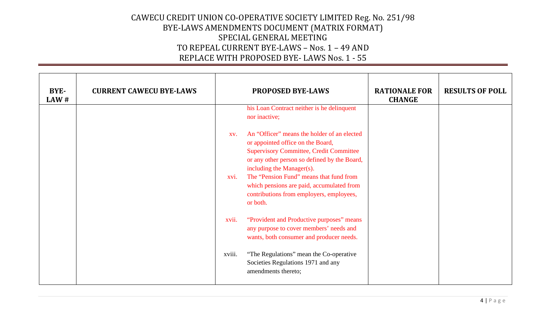| BYE-<br>LAW # | <b>CURRENT CAWECU BYE-LAWS</b> |             | <b>PROPOSED BYE-LAWS</b>                                                                                                                                                                                                                                                                                                                                        | <b>RATIONALE FOR</b><br><b>CHANGE</b> | <b>RESULTS OF POLL</b> |
|---------------|--------------------------------|-------------|-----------------------------------------------------------------------------------------------------------------------------------------------------------------------------------------------------------------------------------------------------------------------------------------------------------------------------------------------------------------|---------------------------------------|------------------------|
|               |                                |             | his Loan Contract neither is he delinquent<br>nor inactive;                                                                                                                                                                                                                                                                                                     |                                       |                        |
|               |                                | XV.<br>xvi. | An "Officer" means the holder of an elected<br>or appointed office on the Board,<br><b>Supervisory Committee, Credit Committee</b><br>or any other person so defined by the Board,<br>including the Manager(s).<br>The "Pension Fund" means that fund from<br>which pensions are paid, accumulated from<br>contributions from employers, employees,<br>or both. |                                       |                        |
|               |                                | xvii.       | "Provident and Productive purposes" means<br>any purpose to cover members' needs and<br>wants, both consumer and producer needs.                                                                                                                                                                                                                                |                                       |                        |
|               |                                | xviii.      | "The Regulations" mean the Co-operative<br>Societies Regulations 1971 and any<br>amendments thereto;                                                                                                                                                                                                                                                            |                                       |                        |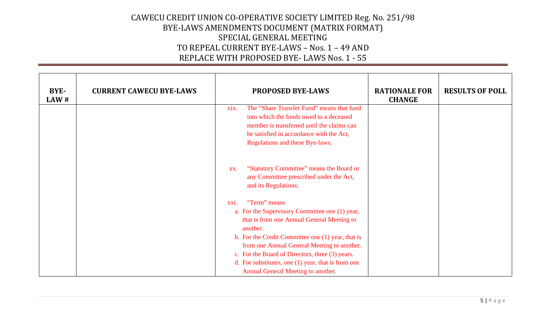| BYE-<br>LAW# | <b>CURRENT CAWECU BYE-LAWS</b> | <b>PROPOSED BYE-LAWS</b>                                                                                                                                                                                                                                                                                                                                                              | <b>RATIONALE FOR</b><br><b>CHANGE</b> | <b>RESULTS OF POLL</b> |
|--------------|--------------------------------|---------------------------------------------------------------------------------------------------------------------------------------------------------------------------------------------------------------------------------------------------------------------------------------------------------------------------------------------------------------------------------------|---------------------------------------|------------------------|
|              |                                | The "Share Transfer Fund" means that fund<br>xix.<br>into which the funds owed to a deceased<br>member is transferred until the claims can<br>be satisfied in accordance with the Act,<br>Regulations and these Bye-laws;                                                                                                                                                             |                                       |                        |
|              |                                | "Statutory Committee" means the Board or<br>XX.<br>any Committee prescribed under the Act,<br>and its Regulations;                                                                                                                                                                                                                                                                    |                                       |                        |
|              |                                | "Term" means<br>xxi.<br>a. For the Supervisory Committee one (1) year,<br>that is from one Annual General Meeting to<br>another.<br>b. For the Credit Committee one (1) year, that is<br>from one Annual General Meeting to another.<br>c. For the Board of Directors, three (3) years.<br>d. For substitutes, one $(1)$ year, that is from one<br>Annual General Meeting to another. |                                       |                        |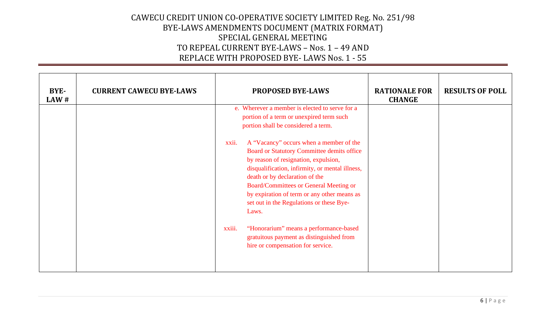| BYE-<br>LAW# | <b>CURRENT CAWECU BYE-LAWS</b> | <b>PROPOSED BYE-LAWS</b>                                                                                                                                                                                                                                                                                                                                                  | <b>RATIONALE FOR</b><br><b>CHANGE</b> | <b>RESULTS OF POLL</b> |
|--------------|--------------------------------|---------------------------------------------------------------------------------------------------------------------------------------------------------------------------------------------------------------------------------------------------------------------------------------------------------------------------------------------------------------------------|---------------------------------------|------------------------|
|              |                                | e. Wherever a member is elected to serve for a<br>portion of a term or unexpired term such<br>portion shall be considered a term.                                                                                                                                                                                                                                         |                                       |                        |
|              |                                | A "Vacancy" occurs when a member of the<br>xxii.<br>Board or Statutory Committee demits office<br>by reason of resignation, expulsion,<br>disqualification, infirmity, or mental illness,<br>death or by declaration of the<br>Board/Committees or General Meeting or<br>by expiration of term or any other means as<br>set out in the Regulations or these Bye-<br>Laws. |                                       |                        |
|              |                                | "Honorarium" means a performance-based<br>xxiii.<br>gratuitous payment as distinguished from<br>hire or compensation for service.                                                                                                                                                                                                                                         |                                       |                        |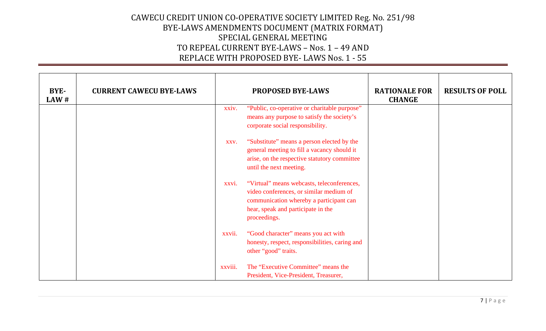| BYE-<br>LAW# | <b>CURRENT CAWECU BYE-LAWS</b> |         | <b>PROPOSED BYE-LAWS</b>                                                                                                                                                               | <b>RATIONALE FOR</b><br><b>CHANGE</b> | <b>RESULTS OF POLL</b> |
|--------------|--------------------------------|---------|----------------------------------------------------------------------------------------------------------------------------------------------------------------------------------------|---------------------------------------|------------------------|
|              |                                | xxiv.   | "Public, co-operative or charitable purpose"<br>means any purpose to satisfy the society's<br>corporate social responsibility.                                                         |                                       |                        |
|              |                                | XXV.    | "Substitute" means a person elected by the<br>general meeting to fill a vacancy should it<br>arise, on the respective statutory committee<br>until the next meeting.                   |                                       |                        |
|              |                                | xxvi.   | "Virtual" means webcasts, teleconferences,<br>video conferences, or similar medium of<br>communication whereby a participant can<br>hear, speak and participate in the<br>proceedings. |                                       |                        |
|              |                                | xxvii.  | "Good character" means you act with<br>honesty, respect, responsibilities, caring and<br>other "good" traits.                                                                          |                                       |                        |
|              |                                | xxviii. | The "Executive Committee" means the<br>President, Vice-President, Treasurer,                                                                                                           |                                       |                        |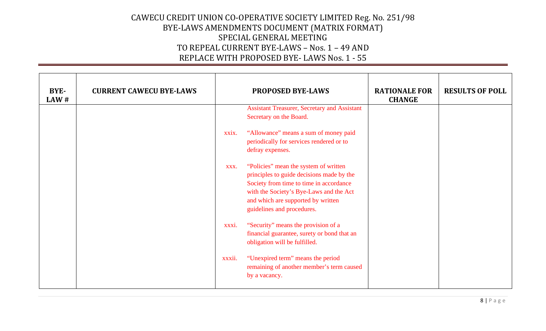| BYE-<br>LAW# | <b>CURRENT CAWECU BYE-LAWS</b> |        | <b>PROPOSED BYE-LAWS</b>                                                                                                                                                                                                                     | <b>RATIONALE FOR</b><br><b>CHANGE</b> | <b>RESULTS OF POLL</b> |
|--------------|--------------------------------|--------|----------------------------------------------------------------------------------------------------------------------------------------------------------------------------------------------------------------------------------------------|---------------------------------------|------------------------|
|              |                                |        | <b>Assistant Treasurer, Secretary and Assistant</b><br>Secretary on the Board.                                                                                                                                                               |                                       |                        |
|              |                                | xxix.  | "Allowance" means a sum of money paid<br>periodically for services rendered or to<br>defray expenses.                                                                                                                                        |                                       |                        |
|              |                                | XXX.   | "Policies" mean the system of written<br>principles to guide decisions made by the<br>Society from time to time in accordance<br>with the Society's Bye-Laws and the Act<br>and which are supported by written<br>guidelines and procedures. |                                       |                        |
|              |                                | xxxi.  | "Security" means the provision of a<br>financial guarantee, surety or bond that an<br>obligation will be fulfilled.                                                                                                                          |                                       |                        |
|              |                                | xxxii. | "Unexpired term" means the period<br>remaining of another member's term caused<br>by a vacancy.                                                                                                                                              |                                       |                        |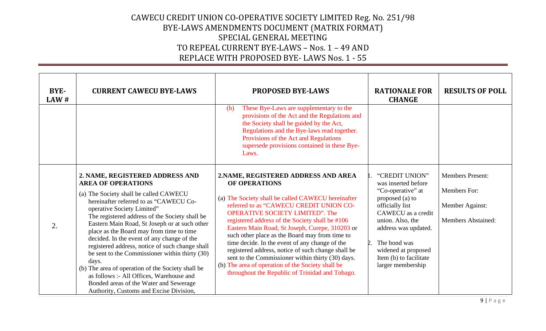| BYE-<br>LAW# | <b>CURRENT CAWECU BYE-LAWS</b>                                                                                                                                                                                                                                                                                                                                                                                                                                                                                                                                                                                                                                                  | <b>PROPOSED BYE-LAWS</b>                                                                                                                                                                                                                                                                                                                                                                                                                                                                                                                                                                                                      | <b>RATIONALE FOR</b><br><b>CHANGE</b>                                                                                                                                                                                                                                              | <b>RESULTS OF POLL</b>                                                                  |
|--------------|---------------------------------------------------------------------------------------------------------------------------------------------------------------------------------------------------------------------------------------------------------------------------------------------------------------------------------------------------------------------------------------------------------------------------------------------------------------------------------------------------------------------------------------------------------------------------------------------------------------------------------------------------------------------------------|-------------------------------------------------------------------------------------------------------------------------------------------------------------------------------------------------------------------------------------------------------------------------------------------------------------------------------------------------------------------------------------------------------------------------------------------------------------------------------------------------------------------------------------------------------------------------------------------------------------------------------|------------------------------------------------------------------------------------------------------------------------------------------------------------------------------------------------------------------------------------------------------------------------------------|-----------------------------------------------------------------------------------------|
|              |                                                                                                                                                                                                                                                                                                                                                                                                                                                                                                                                                                                                                                                                                 | These Bye-Laws are supplementary to the<br>(b)<br>provisions of the Act and the Regulations and<br>the Society shall be guided by the Act,<br>Regulations and the Bye-laws read together.<br>Provisions of the Act and Regulations<br>supersede provisions contained in these Bye-<br>Laws.                                                                                                                                                                                                                                                                                                                                   |                                                                                                                                                                                                                                                                                    |                                                                                         |
| 2.           | 2. NAME, REGISTERED ADDRESS AND<br><b>AREA OF OPERATIONS</b><br>(a) The Society shall be called CAWECU<br>hereinafter referred to as "CAWECU Co-<br>operative Society Limited"<br>The registered address of the Society shall be<br>Eastern Main Road, St Joseph or at such other<br>place as the Board may from time to time<br>decided. In the event of any change of the<br>registered address, notice of such change shall<br>be sent to the Commissioner within thirty (30)<br>days.<br>(b) The area of operation of the Society shall be<br>as follows :- All Offices, Warehouse and<br>Bonded areas of the Water and Sewerage<br>Authority, Customs and Excise Division, | 2. NAME, REGISTERED ADDRESS AND AREA<br>OF OPERATIONS<br>(a) The Society shall be called CAWECU hereinafter<br>referred to as "CAWECU CREDIT UNION CO-<br><b>OPERATIVE SOCIETY LIMITED". The</b><br>registered address of the Society shall be #106<br>Eastern Main Road, St Joseph, Curepe, 310203 or<br>such other place as the Board may from time to<br>time decide. In the event of any change of the<br>registered address, notice of such change shall be<br>sent to the Commissioner within thirty (30) days.<br>(b) The area of operation of the Society shall be<br>throughout the Republic of Trinidad and Tobago. | "CREDIT UNION"<br>was inserted before<br>"Co-operative" at<br>proposed (a) to<br>officially list<br>CAWECU as a credit<br>union. Also, the<br>address was updated.<br>The bond was<br>$\mathcal{D}_{\alpha}$<br>widened at proposed<br>Item (b) to facilitate<br>larger membership | <b>Members Present:</b><br>Members For:<br>Member Against:<br><b>Members Abstained:</b> |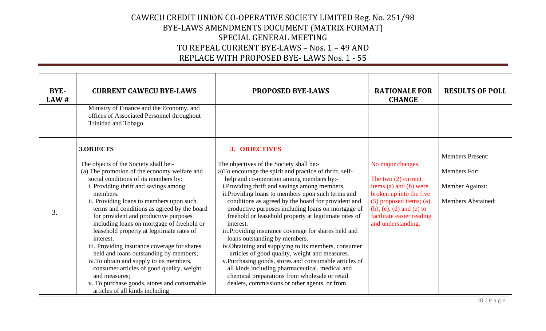| BYE-<br>LAW# | <b>CURRENT CAWECU BYE-LAWS</b><br>Ministry of Finance and the Economy, and<br>offices of Associated Personnel throughout<br>Trinidad and Tobago.                                                                                                                                                                                                                                                                                                                                                                                                                                                                                                                                                                                  | PROPOSED BYE-LAWS                                                                                                                                                                                                                                                                                                                                                                                                                                                                                                                                                                                                                                                                                                                                                                                                                                                             | <b>RATIONALE FOR</b><br><b>CHANGE</b>                                                                                                                                                                                     | <b>RESULTS OF POLL</b>                                                                  |
|--------------|-----------------------------------------------------------------------------------------------------------------------------------------------------------------------------------------------------------------------------------------------------------------------------------------------------------------------------------------------------------------------------------------------------------------------------------------------------------------------------------------------------------------------------------------------------------------------------------------------------------------------------------------------------------------------------------------------------------------------------------|-------------------------------------------------------------------------------------------------------------------------------------------------------------------------------------------------------------------------------------------------------------------------------------------------------------------------------------------------------------------------------------------------------------------------------------------------------------------------------------------------------------------------------------------------------------------------------------------------------------------------------------------------------------------------------------------------------------------------------------------------------------------------------------------------------------------------------------------------------------------------------|---------------------------------------------------------------------------------------------------------------------------------------------------------------------------------------------------------------------------|-----------------------------------------------------------------------------------------|
| 3.           | 3.OBJECTS<br>The objects of the Society shall be:-<br>(a) The promotion of the economy welfare and<br>social conditions of its members by:<br>i. Providing thrift and savings among<br>members.<br>ii. Providing loans to members upon such<br>terms and conditions as agreed by the board<br>for provident and productive purposes<br>including loans on mortgage of freehold or<br>leasehold property at legitimate rates of<br>interest.<br>iii. Providing insurance coverage for shares<br>held and loans outstanding by members;<br>iv. To obtain and supply to its members,<br>consumer articles of good quality, weight<br>and measures;<br>v. To purchase goods, stores and consumable<br>articles of all kinds including | 3. OBJECTIVES<br>The objectives of the Society shall be:-<br>a)To encourage the spirit and practice of thrift, self-<br>help and co-operation among members by:-<br>i. Providing thrift and savings among members.<br>ii. Providing loans to members upon such terms and<br>conditions as agreed by the board for provident and<br>productive purposes including loans on mortgage of<br>freehold or leasehold property at legitimate rates of<br>interest.<br>iii.Providing insurance coverage for shares held and<br>loans outstanding by members.<br>iv. Obtaining and supplying to its members, consumer<br>articles of good quality, weight and measures.<br>v.Purchasing goods, stores and consumable articles of<br>all kinds including pharmaceutical, medical and<br>chemical preparations from wholesale or retail<br>dealers, commissions or other agents, or from | No major changes.<br>The two $(2)$ current<br>items (a) and (b) were<br>broken up into the five<br>$(5)$ proposed items; $(a)$ ,<br>$(b)$ , $(c)$ , $(d)$ and $(e)$ to<br>facilitate easier reading<br>and understanding. | <b>Members Present:</b><br>Members For:<br>Member Against:<br><b>Members Abstained:</b> |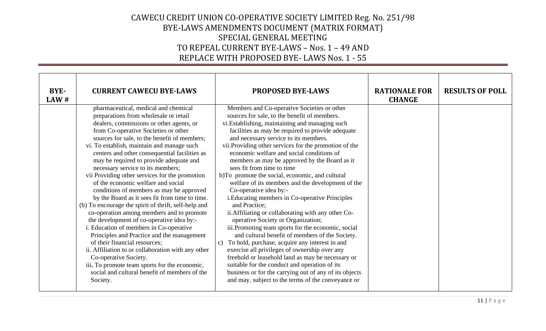| <b>BYE-</b><br>LAW# | <b>CURRENT CAWECU BYE-LAWS</b>                                                                                                                                                                                                                                                                                                                                                                                                                                                                                                                                                                                                                                                                                                                                                                                                                                                                                                                                                                                                                                  | <b>PROPOSED BYE-LAWS</b>                                                                                                                                                                                                                                                                                                                                                                                                                                                                                                                                                                                                                                                                                                                                                                                                                                                                                                                                                                                                                                                                                                                                                   | <b>RATIONALE FOR</b><br><b>CHANGE</b> | <b>RESULTS OF POLL</b> |
|---------------------|-----------------------------------------------------------------------------------------------------------------------------------------------------------------------------------------------------------------------------------------------------------------------------------------------------------------------------------------------------------------------------------------------------------------------------------------------------------------------------------------------------------------------------------------------------------------------------------------------------------------------------------------------------------------------------------------------------------------------------------------------------------------------------------------------------------------------------------------------------------------------------------------------------------------------------------------------------------------------------------------------------------------------------------------------------------------|----------------------------------------------------------------------------------------------------------------------------------------------------------------------------------------------------------------------------------------------------------------------------------------------------------------------------------------------------------------------------------------------------------------------------------------------------------------------------------------------------------------------------------------------------------------------------------------------------------------------------------------------------------------------------------------------------------------------------------------------------------------------------------------------------------------------------------------------------------------------------------------------------------------------------------------------------------------------------------------------------------------------------------------------------------------------------------------------------------------------------------------------------------------------------|---------------------------------------|------------------------|
|                     | pharmaceutical, medical and chemical<br>preparations from wholesale or retail<br>dealers, commissions or other agents, or<br>from Co-operative Societies or other<br>sources for sale, to the benefit of members;<br>vi. To establish, maintain and manage such<br>centers and other consequential facilities as<br>may be required to provide adequate and<br>necessary service to its members;<br>vii Providing other services for the promotion<br>of the economic welfare and social<br>conditions of members as may be approved<br>by the Board as it sees fit from time to time.<br>(b) To encourage the spirit of thrift, self-help and<br>co-operation among members and to promote<br>the development of co-operative idea by:-<br>i. Education of members in Co-operative<br>Principles and Practice and the management<br>of their financial resources;<br>ii. Affiliation to or collaboration with any other<br>Co-operative Society.<br>iii. To promote team sports for the economic,<br>social and cultural benefit of members of the<br>Society. | Members and Co-operative Societies or other<br>sources for sale, to the benefit of members.<br>vi.Establishing, maintaining and managing such<br>facilities as may be required to provide adequate<br>and necessary service to its members.<br>vii. Providing other services for the promotion of the<br>economic welfare and social conditions of<br>members as may be approved by the Board as it<br>sees fit from time to time<br>b)To promote the social, economic, and cultural<br>welfare of its members and the development of the<br>Co-operative idea by:-<br>i. Educating members in Co-operative Principles<br>and Practice;<br>ii. Affiliating or collaborating with any other Co-<br>operative Society or Organization;<br>iii. Promoting team sports for the economic, social<br>and cultural benefit of members of the Society.<br>c) To hold, purchase, acquire any interest in and<br>exercise all privileges of ownership over any<br>freehold or leasehold land as may be necessary or<br>suitable for the conduct and operation of its<br>business or for the carrying out of any of its objects<br>and may, subject to the terms of the conveyance or |                                       |                        |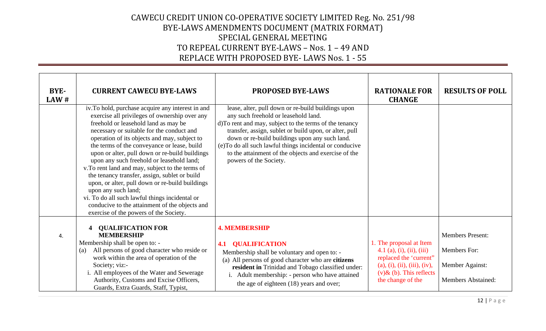| BYE-<br>LAW# | <b>CURRENT CAWECU BYE-LAWS</b><br>iv.To hold, purchase acquire any interest in and<br>exercise all privileges of ownership over any<br>freehold or leasehold land as may be<br>necessary or suitable for the conduct and<br>operation of its objects and may, subject to<br>the terms of the conveyance or lease, build<br>upon or alter, pull down or re-build buildings<br>upon any such freehold or leasehold land;<br>v. To rent land and may, subject to the terms of<br>the tenancy transfer, assign, sublet or build | <b>PROPOSED BYE-LAWS</b><br>lease, alter, pull down or re-build buildings upon<br>any such freehold or leasehold land.<br>d)To rent and may, subject to the terms of the tenancy<br>transfer, assign, sublet or build upon, or alter, pull<br>down or re-build buildings upon any such land.<br>(e)To do all such lawful things incidental or conducive<br>to the attainment of the objects and exercise of the<br>powers of the Society. | <b>RATIONALE FOR</b><br><b>CHANGE</b>                                                                                                                             | <b>RESULTS OF POLL</b>                                                                  |
|--------------|-----------------------------------------------------------------------------------------------------------------------------------------------------------------------------------------------------------------------------------------------------------------------------------------------------------------------------------------------------------------------------------------------------------------------------------------------------------------------------------------------------------------------------|-------------------------------------------------------------------------------------------------------------------------------------------------------------------------------------------------------------------------------------------------------------------------------------------------------------------------------------------------------------------------------------------------------------------------------------------|-------------------------------------------------------------------------------------------------------------------------------------------------------------------|-----------------------------------------------------------------------------------------|
|              | upon, or alter, pull down or re-build buildings<br>upon any such land;<br>vi. To do all such lawful things incidental or<br>conducive to the attainment of the objects and<br>exercise of the powers of the Society.                                                                                                                                                                                                                                                                                                        |                                                                                                                                                                                                                                                                                                                                                                                                                                           |                                                                                                                                                                   |                                                                                         |
| 4.           | <b>QUALIFICATION FOR</b><br><b>MEMBERSHIP</b><br>Membership shall be open to: -<br>All persons of good character who reside or<br>(a)<br>work within the area of operation of the<br>Society; viz:-<br>i. All employees of the Water and Sewerage<br>Authority, Customs and Excise Officers,<br>Guards, Extra Guards, Staff, Typist,                                                                                                                                                                                        | <b>4. MEMBERSHIP</b><br><b>QUALIFICATION</b><br>4.1<br>Membership shall be voluntary and open to: -<br>(a) All persons of good character who are citizens<br>resident in Trinidad and Tobago classified under:<br>i. Adult membership: - person who have attained<br>the age of eighteen (18) years and over;                                                                                                                             | 1. The proposal at Item<br>4.1 (a), (i), (ii), (iii)<br>replaced the 'current"<br>(a), (i), (ii), (iii), (iv),<br>$(v)$ & (b). This reflects<br>the change of the | <b>Members Present:</b><br>Members For:<br>Member Against:<br><b>Members Abstained:</b> |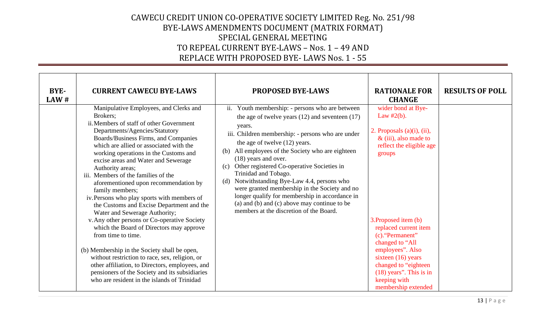| <b>BYE-</b><br>LAW# | <b>CURRENT CAWECU BYE-LAWS</b>                                                                                                                                                                                                                                                                                                                                                                                                                                                                                                                                                                                                                                                                                                                                                                                                                                                                                                  | <b>PROPOSED BYE-LAWS</b>                                                                                                                                                                                                                                                                                                                                                                                                                                                                                                                                                                                             | <b>RATIONALE FOR</b><br><b>CHANGE</b>                                                                                                                                                                                                                                                                                                                                     | <b>RESULTS OF POLL</b> |
|---------------------|---------------------------------------------------------------------------------------------------------------------------------------------------------------------------------------------------------------------------------------------------------------------------------------------------------------------------------------------------------------------------------------------------------------------------------------------------------------------------------------------------------------------------------------------------------------------------------------------------------------------------------------------------------------------------------------------------------------------------------------------------------------------------------------------------------------------------------------------------------------------------------------------------------------------------------|----------------------------------------------------------------------------------------------------------------------------------------------------------------------------------------------------------------------------------------------------------------------------------------------------------------------------------------------------------------------------------------------------------------------------------------------------------------------------------------------------------------------------------------------------------------------------------------------------------------------|---------------------------------------------------------------------------------------------------------------------------------------------------------------------------------------------------------------------------------------------------------------------------------------------------------------------------------------------------------------------------|------------------------|
|                     | Manipulative Employees, and Clerks and<br>Brokers;<br>ii. Members of staff of other Government<br>Departments/Agencies/Statutory<br>Boards/Business Firms, and Companies<br>which are allied or associated with the<br>working operations in the Customs and<br>excise areas and Water and Sewerage<br>Authority areas;<br>iii. Members of the families of the<br>aforementioned upon recommendation by<br>family members;<br>iv. Persons who play sports with members of<br>the Customs and Excise Department and the<br>Water and Sewerage Authority;<br>v. Any other persons or Co-operative Society<br>which the Board of Directors may approve<br>from time to time.<br>(b) Membership in the Society shall be open,<br>without restriction to race, sex, religion, or<br>other affiliation, to Directors, employees, and<br>pensioners of the Society and its subsidiaries<br>who are resident in the islands of Trinidad | ii. Youth membership: - persons who are between<br>the age of twelve years $(12)$ and seventeen $(17)$<br>years.<br>iii. Children membership: - persons who are under<br>the age of twelve (12) years.<br>All employees of the Society who are eighteen<br>(b)<br>(18) years and over.<br>Other registered Co-operative Societies in<br>(c)<br>Trinidad and Tobago.<br>Notwithstanding Bye-Law 4.4, persons who<br>(d)<br>were granted membership in the Society and no<br>longer qualify for membership in accordance in<br>(a) and (b) and (c) above may continue to be<br>members at the discretion of the Board. | wider bond at Bye-<br>Law $#2(b)$ .<br>2. Proposals $(a)(i)$ , $(ii)$ ,<br>$&$ (iii), also made to<br>reflect the eligible age<br>groups<br>3. Proposed item (b)<br>replaced current item<br>(c). "Permanent"<br>changed to "All<br>employees". Also<br>sixteen $(16)$ years<br>changed to "eighteen"<br>$(18)$ years". This is in<br>keeping with<br>membership extended |                        |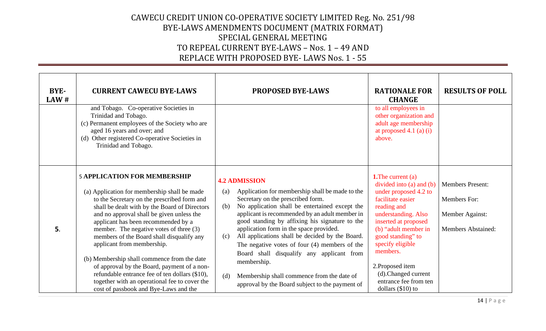| BYE-<br>LAW# | <b>CURRENT CAWECU BYE-LAWS</b>                                                                                                                                                                                                                                                                                                                                                                                                                                                                                                                                                                   | <b>PROPOSED BYE-LAWS</b>                                                                                                                                                                                                                                                                                                                                                                                                                                                                                                                                                                                     | <b>RATIONALE FOR</b><br><b>CHANGE</b>                                                                                                                                                                                                                                                                              | <b>RESULTS OF POLL</b>                                                                  |
|--------------|--------------------------------------------------------------------------------------------------------------------------------------------------------------------------------------------------------------------------------------------------------------------------------------------------------------------------------------------------------------------------------------------------------------------------------------------------------------------------------------------------------------------------------------------------------------------------------------------------|--------------------------------------------------------------------------------------------------------------------------------------------------------------------------------------------------------------------------------------------------------------------------------------------------------------------------------------------------------------------------------------------------------------------------------------------------------------------------------------------------------------------------------------------------------------------------------------------------------------|--------------------------------------------------------------------------------------------------------------------------------------------------------------------------------------------------------------------------------------------------------------------------------------------------------------------|-----------------------------------------------------------------------------------------|
|              | and Tobago. Co-operative Societies in<br>Trinidad and Tobago.<br>(c) Permanent employees of the Society who are<br>aged 16 years and over; and<br>(d) Other registered Co-operative Societies in<br>Trinidad and Tobago.                                                                                                                                                                                                                                                                                                                                                                         |                                                                                                                                                                                                                                                                                                                                                                                                                                                                                                                                                                                                              | to all employees in<br>other organization and<br>adult age membership<br>at proposed $4.1$ (a) (i)<br>above.                                                                                                                                                                                                       |                                                                                         |
| 5.           | <b>5 APPLICATION FOR MEMBERSHIP</b><br>(a) Application for membership shall be made<br>to the Secretary on the prescribed form and<br>shall be dealt with by the Board of Directors<br>and no approval shall be given unless the<br>applicant has been recommended by a<br>member. The negative votes of three $(3)$<br>members of the Board shall disqualify any<br>applicant from membership.<br>(b) Membership shall commence from the date<br>of approval by the Board, payment of a non-<br>refundable entrance fee of ten dollars (\$10),<br>together with an operational fee to cover the | <b>4.2 ADMISSION</b><br>Application for membership shall be made to the<br>(a)<br>Secretary on the prescribed form.<br>No application shall be entertained except the<br>(b)<br>applicant is recommended by an adult member in<br>good standing by affixing his signature to the<br>application form in the space provided.<br>All applications shall be decided by the Board.<br>(c)<br>The negative votes of four $(4)$ members of the<br>Board shall disqualify any applicant from<br>membership.<br>Membership shall commence from the date of<br>(d)<br>approval by the Board subject to the payment of | <b>1.</b> The current (a)<br>divided into (a) and (b)<br>under proposed 4.2 to<br>facilitate easier<br>reading and<br>understanding. Also<br>inserted at proposed<br>(b) "adult member in<br>good standing" to<br>specify eligible<br>members.<br>2. Proposed item<br>(d).Changed current<br>entrance fee from ten | <b>Members Present:</b><br>Members For:<br>Member Against:<br><b>Members Abstained:</b> |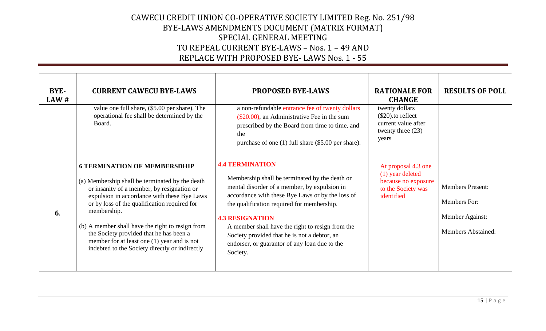| BYE-<br>LAW# | <b>CURRENT CAWECU BYE-LAWS</b>                                                                                                                                                                                                                                                                                                                                                                                                                       | <b>PROPOSED BYE-LAWS</b>                                                                                                                                                                                                                                                                                                                                                                                              | <b>RATIONALE FOR</b><br><b>CHANGE</b>                                                              | <b>RESULTS OF POLL</b>                                                                  |
|--------------|------------------------------------------------------------------------------------------------------------------------------------------------------------------------------------------------------------------------------------------------------------------------------------------------------------------------------------------------------------------------------------------------------------------------------------------------------|-----------------------------------------------------------------------------------------------------------------------------------------------------------------------------------------------------------------------------------------------------------------------------------------------------------------------------------------------------------------------------------------------------------------------|----------------------------------------------------------------------------------------------------|-----------------------------------------------------------------------------------------|
|              | value one full share, (\$5.00 per share). The<br>operational fee shall be determined by the<br>Board.                                                                                                                                                                                                                                                                                                                                                | a non-refundable entrance fee of twenty dollars<br>(\$20.00), an Administrative Fee in the sum<br>prescribed by the Board from time to time, and<br>the<br>purchase of one (1) full share (\$5.00 per share).                                                                                                                                                                                                         | twenty dollars<br>$(\$20)$ .to reflect<br>current value after<br>twenty three $(23)$<br>years      |                                                                                         |
| 6.           | <b>6 TERMINATION OF MEMBERSDHIP</b><br>(a) Membership shall be terminated by the death<br>or insanity of a member, by resignation or<br>expulsion in accordance with these Bye Laws<br>or by loss of the qualification required for<br>membership.<br>(b) A member shall have the right to resign from<br>the Society provided that he has been a<br>member for at least one $(1)$ year and is not<br>indebted to the Society directly or indirectly | <b>4.4 TERMINATION</b><br>Membership shall be terminated by the death or<br>mental disorder of a member, by expulsion in<br>accordance with these Bye Laws or by the loss of<br>the qualification required for membership.<br><b>4.3 RESIGNATION</b><br>A member shall have the right to resign from the<br>Society provided that he is not a debtor, an<br>endorser, or guarantor of any loan due to the<br>Society. | At proposal 4.3 one<br>(1) year deleted<br>because no exposure<br>to the Society was<br>identified | <b>Members Present:</b><br>Members For:<br>Member Against:<br><b>Members Abstained:</b> |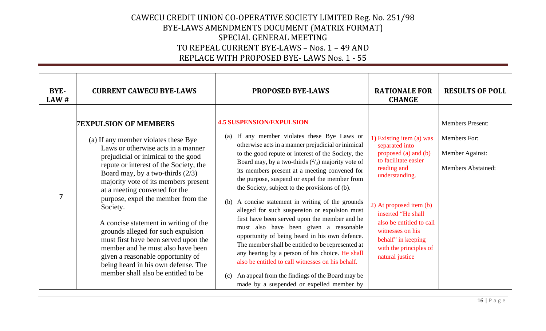| BYE-<br>LAW#   | <b>CURRENT CAWECU BYE-LAWS</b>                                                                                                                                                                                                                                                                                                                                                                                                                                                                                                                                                                                                              | <b>PROPOSED BYE-LAWS</b>                                                                                                                                                                                                                                                                                                                                                                                                                                                                                                                                                                                                                                                                                                                                                                                                                                                                                                            | <b>RATIONALE FOR</b><br><b>CHANGE</b>                                                                                                                                                                                                                                                           | <b>RESULTS OF POLL</b>                                                                  |
|----------------|---------------------------------------------------------------------------------------------------------------------------------------------------------------------------------------------------------------------------------------------------------------------------------------------------------------------------------------------------------------------------------------------------------------------------------------------------------------------------------------------------------------------------------------------------------------------------------------------------------------------------------------------|-------------------------------------------------------------------------------------------------------------------------------------------------------------------------------------------------------------------------------------------------------------------------------------------------------------------------------------------------------------------------------------------------------------------------------------------------------------------------------------------------------------------------------------------------------------------------------------------------------------------------------------------------------------------------------------------------------------------------------------------------------------------------------------------------------------------------------------------------------------------------------------------------------------------------------------|-------------------------------------------------------------------------------------------------------------------------------------------------------------------------------------------------------------------------------------------------------------------------------------------------|-----------------------------------------------------------------------------------------|
| $\overline{7}$ | <b>7EXPULSION OF MEMBERS</b><br>(a) If any member violates these Bye<br>Laws or otherwise acts in a manner<br>prejudicial or inimical to the good<br>repute or interest of the Society, the<br>Board may, by a two-thirds $(2/3)$<br>majority vote of its members present<br>at a meeting convened for the<br>purpose, expel the member from the<br>Society.<br>A concise statement in writing of the<br>grounds alleged for such expulsion<br>must first have been served upon the<br>member and he must also have been<br>given a reasonable opportunity of<br>being heard in his own defense. The<br>member shall also be entitled to be | <b>4.5 SUSPENSION/EXPULSION</b><br>If any member violates these Bye Laws or<br>(a)<br>otherwise acts in a manner prejudicial or inimical<br>to the good repute or interest of the Society, the<br>Board may, by a two-thirds $(^{2}/_{3})$ majority vote of<br>its members present at a meeting convened for<br>the purpose, suspend or expel the member from<br>the Society, subject to the provisions of (b).<br>(b) A concise statement in writing of the grounds<br>alleged for such suspension or expulsion must<br>first have been served upon the member and he<br>must also have been given a reasonable<br>opportunity of being heard in his own defence.<br>The member shall be entitled to be represented at<br>any hearing by a person of his choice. He shall<br>also be entitled to call witnesses on his behalf.<br>(c) An appeal from the findings of the Board may be<br>made by a suspended or expelled member by | 1) Existing item (a) was<br>separated into<br>proposed (a) and (b)<br>to facilitate easier<br>reading and<br>understanding.<br>2) At proposed item (b)<br>inserted "He shall<br>also be entitled to call<br>witnesses on his<br>behalf" in keeping<br>with the principles of<br>natural justice | <b>Members Present:</b><br>Members For:<br>Member Against:<br><b>Members Abstained:</b> |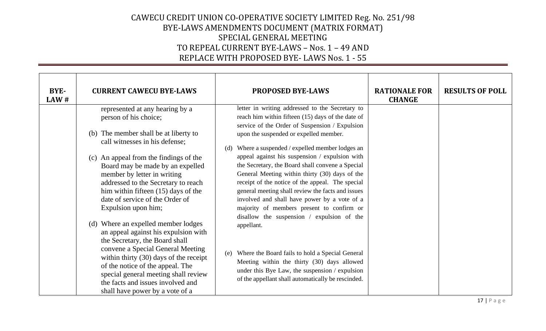| BYE-<br>LAW# | <b>CURRENT CAWECU BYE-LAWS</b>                                                                                                                                                                                                                                                                                                                     | <b>PROPOSED BYE-LAWS</b>                                                                                                                                                                                                                                                                                                                                   | <b>RATIONALE FOR</b><br><b>CHANGE</b> | <b>RESULTS OF POLL</b> |
|--------------|----------------------------------------------------------------------------------------------------------------------------------------------------------------------------------------------------------------------------------------------------------------------------------------------------------------------------------------------------|------------------------------------------------------------------------------------------------------------------------------------------------------------------------------------------------------------------------------------------------------------------------------------------------------------------------------------------------------------|---------------------------------------|------------------------|
|              | represented at any hearing by a<br>person of his choice;                                                                                                                                                                                                                                                                                           | letter in writing addressed to the Secretary to<br>reach him within fifteen (15) days of the date of                                                                                                                                                                                                                                                       |                                       |                        |
|              | (b) The member shall be at liberty to<br>call witnesses in his defense;                                                                                                                                                                                                                                                                            | service of the Order of Suspension / Expulsion<br>upon the suspended or expelled member.<br>Where a suspended / expelled member lodges an<br>(d)                                                                                                                                                                                                           |                                       |                        |
|              | (c) An appeal from the findings of the<br>Board may be made by an expelled<br>member by letter in writing<br>addressed to the Secretary to reach<br>him within fifteen (15) days of the<br>date of service of the Order of<br>Expulsion upon him;                                                                                                  | appeal against his suspension / expulsion with<br>the Secretary, the Board shall convene a Special<br>General Meeting within thirty (30) days of the<br>receipt of the notice of the appeal. The special<br>general meeting shall review the facts and issues<br>involved and shall have power by a vote of a<br>majority of members present to confirm or |                                       |                        |
|              | (d) Where an expelled member lodges<br>an appeal against his expulsion with<br>the Secretary, the Board shall<br>convene a Special General Meeting<br>within thirty $(30)$ days of the receipt<br>of the notice of the appeal. The<br>special general meeting shall review<br>the facts and issues involved and<br>shall have power by a vote of a | disallow the suspension / expulsion of the<br>appellant.<br>Where the Board fails to hold a Special General<br>(e)<br>Meeting within the thirty (30) days allowed<br>under this Bye Law, the suspension / expulsion<br>of the appellant shall automatically be rescinded.                                                                                  |                                       |                        |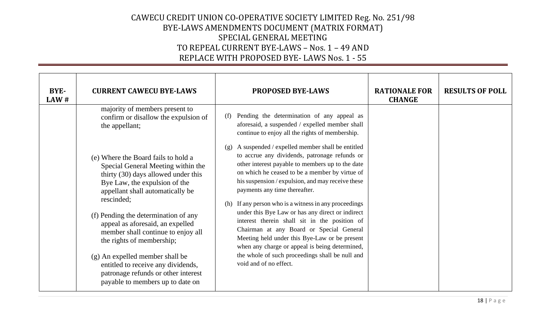| BYE-<br>LAW# | <b>CURRENT CAWECU BYE-LAWS</b>                                                                                                                                                                                                                                                                                                                                                                                                                                                                         | <b>PROPOSED BYE-LAWS</b>                                                                                                                                                                                                                                                                                                                                                                                                                                                                                                                                                                                                                                                                      | <b>RATIONALE FOR</b><br><b>CHANGE</b> | <b>RESULTS OF POLL</b> |
|--------------|--------------------------------------------------------------------------------------------------------------------------------------------------------------------------------------------------------------------------------------------------------------------------------------------------------------------------------------------------------------------------------------------------------------------------------------------------------------------------------------------------------|-----------------------------------------------------------------------------------------------------------------------------------------------------------------------------------------------------------------------------------------------------------------------------------------------------------------------------------------------------------------------------------------------------------------------------------------------------------------------------------------------------------------------------------------------------------------------------------------------------------------------------------------------------------------------------------------------|---------------------------------------|------------------------|
|              | majority of members present to<br>confirm or disallow the expulsion of<br>the appellant;                                                                                                                                                                                                                                                                                                                                                                                                               | Pending the determination of any appeal as<br>(f)<br>aforesaid, a suspended / expelled member shall<br>continue to enjoy all the rights of membership.                                                                                                                                                                                                                                                                                                                                                                                                                                                                                                                                        |                                       |                        |
|              | (e) Where the Board fails to hold a<br>Special General Meeting within the<br>thirty (30) days allowed under this<br>Bye Law, the expulsion of the<br>appellant shall automatically be<br>rescinded;<br>(f) Pending the determination of any<br>appeal as aforesaid, an expelled<br>member shall continue to enjoy all<br>the rights of membership;<br>(g) An expelled member shall be<br>entitled to receive any dividends,<br>patronage refunds or other interest<br>payable to members up to date on | A suspended / expelled member shall be entitled<br>(g)<br>to accrue any dividends, patronage refunds or<br>other interest payable to members up to the date<br>on which he ceased to be a member by virtue of<br>his suspension / expulsion, and may receive these<br>payments any time thereafter.<br>(h) If any person who is a witness in any proceedings<br>under this Bye Law or has any direct or indirect<br>interest therein shall sit in the position of<br>Chairman at any Board or Special General<br>Meeting held under this Bye-Law or be present<br>when any charge or appeal is being determined,<br>the whole of such proceedings shall be null and<br>void and of no effect. |                                       |                        |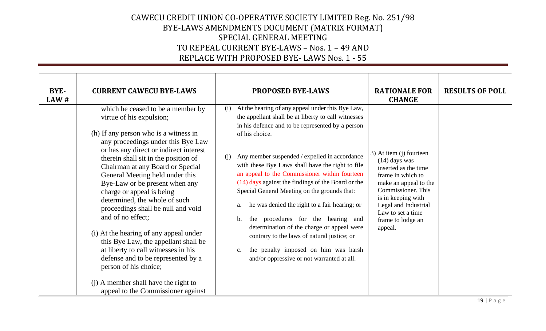| <b>BYE-</b><br>LAW # | <b>CURRENT CAWECU BYE-LAWS</b>                                                                                                                                                                                                                                                                                                                                                                                                                                                                                                                                                                                                                                                                                                         | <b>PROPOSED BYE-LAWS</b>                                                                                                                                                                                                                                                                                                                                                                                                                                                                                                                                                                                                                                                                                                                            | <b>RATIONALE FOR</b><br><b>CHANGE</b>                                                                                                                                                                                                     | <b>RESULTS OF POLL</b> |
|----------------------|----------------------------------------------------------------------------------------------------------------------------------------------------------------------------------------------------------------------------------------------------------------------------------------------------------------------------------------------------------------------------------------------------------------------------------------------------------------------------------------------------------------------------------------------------------------------------------------------------------------------------------------------------------------------------------------------------------------------------------------|-----------------------------------------------------------------------------------------------------------------------------------------------------------------------------------------------------------------------------------------------------------------------------------------------------------------------------------------------------------------------------------------------------------------------------------------------------------------------------------------------------------------------------------------------------------------------------------------------------------------------------------------------------------------------------------------------------------------------------------------------------|-------------------------------------------------------------------------------------------------------------------------------------------------------------------------------------------------------------------------------------------|------------------------|
|                      | which he ceased to be a member by<br>virtue of his expulsion;<br>(h) If any person who is a witness in<br>any proceedings under this Bye Law<br>or has any direct or indirect interest<br>therein shall sit in the position of<br>Chairman at any Board or Special<br>General Meeting held under this<br>Bye-Law or be present when any<br>charge or appeal is being<br>determined, the whole of such<br>proceedings shall be null and void<br>and of no effect;<br>(i) At the hearing of any appeal under<br>this Bye Law, the appellant shall be<br>at liberty to call witnesses in his<br>defense and to be represented by a<br>person of his choice;<br>(j) A member shall have the right to<br>appeal to the Commissioner against | At the hearing of any appeal under this Bye Law,<br>(i)<br>the appellant shall be at liberty to call witnesses<br>in his defence and to be represented by a person<br>of his choice.<br>Any member suspended / expelled in accordance<br>(i)<br>with these Bye Laws shall have the right to file<br>an appeal to the Commissioner within fourteen<br>(14) days against the findings of the Board or the<br>Special General Meeting on the grounds that:<br>he was denied the right to a fair hearing; or<br>a.<br>the procedures for the hearing and<br>b.<br>determination of the charge or appeal were<br>contrary to the laws of natural justice; or<br>the penalty imposed on him was harsh<br>c.<br>and/or oppressive or not warranted at all. | 3) At item (j) fourteen<br>$(14)$ days was<br>inserted as the time<br>frame in which to<br>make an appeal to the<br>Commissioner. This<br>is in keeping with<br>Legal and Industrial<br>Law to set a time<br>frame to lodge an<br>appeal. |                        |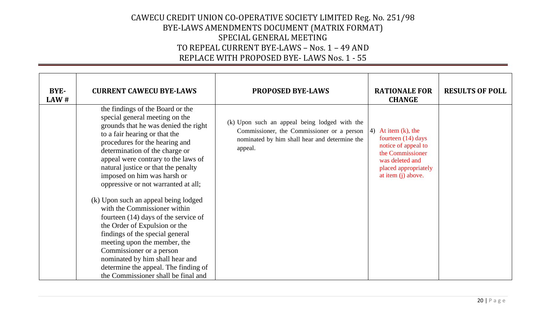| BYE-<br>LAW# | <b>CURRENT CAWECU BYE-LAWS</b>                                                                                                                                                                                                                                                                                                                                                                                                                                                                                                                                                                                                                                                                   | <b>PROPOSED BYE-LAWS</b>                                                                                                                                            | <b>RATIONALE FOR</b><br><b>CHANGE</b>                                                                                                                   | <b>RESULTS OF POLL</b> |
|--------------|--------------------------------------------------------------------------------------------------------------------------------------------------------------------------------------------------------------------------------------------------------------------------------------------------------------------------------------------------------------------------------------------------------------------------------------------------------------------------------------------------------------------------------------------------------------------------------------------------------------------------------------------------------------------------------------------------|---------------------------------------------------------------------------------------------------------------------------------------------------------------------|---------------------------------------------------------------------------------------------------------------------------------------------------------|------------------------|
|              | the findings of the Board or the<br>special general meeting on the<br>grounds that he was denied the right<br>to a fair hearing or that the<br>procedures for the hearing and<br>determination of the charge or<br>appeal were contrary to the laws of<br>natural justice or that the penalty<br>imposed on him was harsh or<br>oppressive or not warranted at all;<br>(k) Upon such an appeal being lodged<br>with the Commissioner within<br>fourteen $(14)$ days of the service of<br>the Order of Expulsion or the<br>findings of the special general<br>meeting upon the member, the<br>Commissioner or a person<br>nominated by him shall hear and<br>determine the appeal. The finding of | (k) Upon such an appeal being lodged with the<br>Commissioner, the Commissioner or a person $ 4\rangle$<br>nominated by him shall hear and determine the<br>appeal. | At item $(k)$ , the<br>fourteen $(14)$ days<br>notice of appeal to<br>the Commissioner<br>was deleted and<br>placed appropriately<br>at item (j) above. |                        |
|              | the Commissioner shall be final and                                                                                                                                                                                                                                                                                                                                                                                                                                                                                                                                                                                                                                                              |                                                                                                                                                                     |                                                                                                                                                         |                        |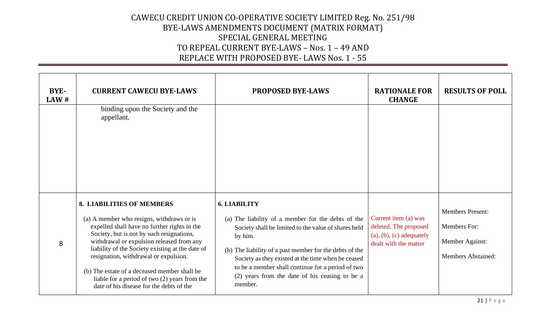| BYE-<br>LAW# | <b>CURRENT CAWECU BYE-LAWS</b>                                                                                                                                                                                                                                                                                                                                                                                                                                    | <b>PROPOSED BYE-LAWS</b>                                                                                                                                                                                                                                                                                                                                                        | <b>RATIONALE FOR</b><br><b>CHANGE</b>                                                                | <b>RESULTS OF POLL</b>                                                                  |
|--------------|-------------------------------------------------------------------------------------------------------------------------------------------------------------------------------------------------------------------------------------------------------------------------------------------------------------------------------------------------------------------------------------------------------------------------------------------------------------------|---------------------------------------------------------------------------------------------------------------------------------------------------------------------------------------------------------------------------------------------------------------------------------------------------------------------------------------------------------------------------------|------------------------------------------------------------------------------------------------------|-----------------------------------------------------------------------------------------|
|              | binding upon the Society and the<br>appellant.                                                                                                                                                                                                                                                                                                                                                                                                                    |                                                                                                                                                                                                                                                                                                                                                                                 |                                                                                                      |                                                                                         |
| 8            | <b>8. LIABILITIES OF MEMBERS</b><br>(a) A member who resigns, withdraws or is<br>expelled shall have no further rights in the<br>Society, but is not by such resignations,<br>withdrawal or expulsion released from any<br>liability of the Society existing at the date of<br>resignation, withdrawal or expulsion.<br>(b) The estate of a deceased member shall be<br>liable for a period of two (2) years from the<br>date of his disease for the debts of the | <b>6. LIABILITY</b><br>(a) The liability of a member for the debts of the<br>Society shall be limited to the value of shares held<br>by him.<br>(b) The liability of a past member for the debts of the<br>Society as they existed at the time when he ceased<br>to be a member shall continue for a period of two<br>(2) years from the date of his ceasing to be a<br>member. | Current item (a) was<br>deleted. The proposed<br>$(a), (b), (c)$ adequately<br>dealt with the matter | <b>Members Present:</b><br>Members For:<br>Member Against:<br><b>Members Abstained:</b> |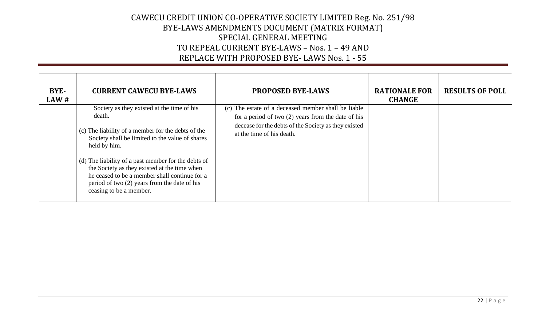| BYE-<br>LAW# | <b>CURRENT CAWECU BYE-LAWS</b>                                                                                                                                                                                                  | <b>PROPOSED BYE-LAWS</b>                                                                                                                                                                         | <b>RATIONALE FOR</b><br><b>CHANGE</b> | <b>RESULTS OF POLL</b> |
|--------------|---------------------------------------------------------------------------------------------------------------------------------------------------------------------------------------------------------------------------------|--------------------------------------------------------------------------------------------------------------------------------------------------------------------------------------------------|---------------------------------------|------------------------|
|              | Society as they existed at the time of his<br>death.<br>(c) The liability of a member for the debts of the<br>Society shall be limited to the value of shares<br>held by him.                                                   | (c) The estate of a deceased member shall be liable<br>for a period of two $(2)$ years from the date of his<br>decease for the debts of the Society as they existed<br>at the time of his death. |                                       |                        |
|              | (d) The liability of a past member for the debts of<br>the Society as they existed at the time when<br>he ceased to be a member shall continue for a<br>period of two (2) years from the date of his<br>ceasing to be a member. |                                                                                                                                                                                                  |                                       |                        |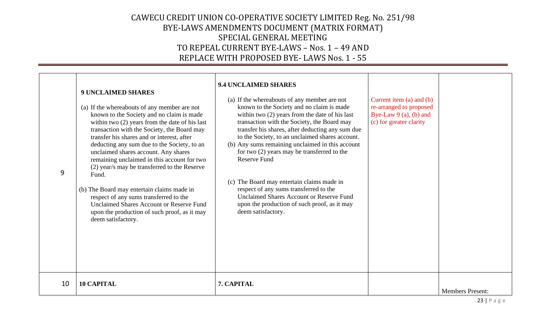| 9  | <b>9 UNCLAIMED SHARES</b><br>(a) If the whereabouts of any member are not<br>known to the Society and no claim is made<br>within two $(2)$ years from the date of his last<br>transaction with the Society, the Board may<br>transfer his shares and or interest, after<br>deducting any sum due to the Society, to an<br>unclaimed shares account. Any shares<br>remaining unclaimed in this account for two<br>(2) year/s may be transferred to the Reserve<br>Fund.<br>(b) The Board may entertain claims made in<br>respect of any sums transferred to the<br><b>Unclaimed Shares Account or Reserve Fund</b><br>upon the production of such proof, as it may<br>deem satisfactory. | <b>9.4 UNCLAIMED SHARES</b><br>(a) If the whereabouts of any member are not<br>known to the Society and no claim is made<br>within two $(2)$ years from the date of his last<br>transaction with the Society, the Board may<br>transfer his shares, after deducting any sum due<br>to the Society, to an unclaimed shares account.<br>(b) Any sums remaining unclaimed in this account<br>for two (2) years may be transferred to the<br><b>Reserve Fund</b><br>(c) The Board may entertain claims made in<br>respect of any sums transferred to the<br>Unclaimed Shares Account or Reserve Fund<br>upon the production of such proof, as it may<br>deem satisfactory. | Current item $(a)$ and $(b)$<br>re-arranged to proposed<br>Bye-Law $9$ (a), (b) and<br>(c) for greater clarity |                         |
|----|-----------------------------------------------------------------------------------------------------------------------------------------------------------------------------------------------------------------------------------------------------------------------------------------------------------------------------------------------------------------------------------------------------------------------------------------------------------------------------------------------------------------------------------------------------------------------------------------------------------------------------------------------------------------------------------------|------------------------------------------------------------------------------------------------------------------------------------------------------------------------------------------------------------------------------------------------------------------------------------------------------------------------------------------------------------------------------------------------------------------------------------------------------------------------------------------------------------------------------------------------------------------------------------------------------------------------------------------------------------------------|----------------------------------------------------------------------------------------------------------------|-------------------------|
| 10 | <b>10 CAPITAL</b>                                                                                                                                                                                                                                                                                                                                                                                                                                                                                                                                                                                                                                                                       | 7. CAPITAL                                                                                                                                                                                                                                                                                                                                                                                                                                                                                                                                                                                                                                                             |                                                                                                                | <b>Members Present:</b> |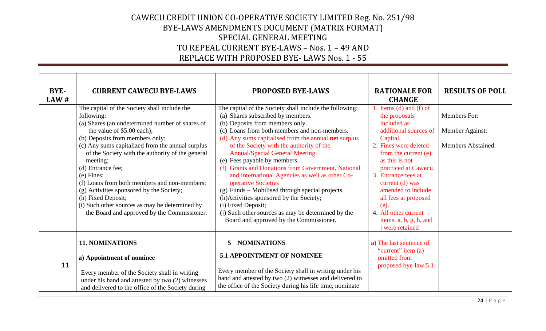| BYE-<br>LAW# | <b>CURRENT CAWECU BYE-LAWS</b>                                                                                                                                                                                                                                                                                                                                                                                                                                                                                                                             | <b>PROPOSED BYE-LAWS</b>                                                                                                                                                                                                                                                                                                                                                                                                                                                                                                                                                                                                                                                                                           | <b>RATIONALE FOR</b><br><b>CHANGE</b>                                                                                                                                                                                                                                                                                                                                    | <b>RESULTS OF POLL</b>                                       |
|--------------|------------------------------------------------------------------------------------------------------------------------------------------------------------------------------------------------------------------------------------------------------------------------------------------------------------------------------------------------------------------------------------------------------------------------------------------------------------------------------------------------------------------------------------------------------------|--------------------------------------------------------------------------------------------------------------------------------------------------------------------------------------------------------------------------------------------------------------------------------------------------------------------------------------------------------------------------------------------------------------------------------------------------------------------------------------------------------------------------------------------------------------------------------------------------------------------------------------------------------------------------------------------------------------------|--------------------------------------------------------------------------------------------------------------------------------------------------------------------------------------------------------------------------------------------------------------------------------------------------------------------------------------------------------------------------|--------------------------------------------------------------|
|              | The capital of the Society shall include the<br>following:<br>(a) Shares (an undetermined number of shares of<br>the value of \$5.00 each);<br>(b) Deposits from members only;<br>(c) Any sums capitalized from the annual surplus<br>of the Society with the authority of the general<br>meeting;<br>(d) Entrance fee;<br>$(e)$ Fines;<br>(f) Loans from both members and non-members;<br>(g) Activities sponsored by the Society;<br>(h) Fixed Deposit;<br>(i) Such other sources as may be determined by<br>the Board and approved by the Commissioner. | The capital of the Society shall include the following:<br>(a) Shares subscribed by members.<br>(b) Deposits from members only.<br>(c) Loans from both members and non-members.<br>(d) Any sums capitalised from the annual <b>net</b> surplus<br>of the Society with the authority of the<br>Annual/Special General Meeting.<br>(e) Fees payable by members.<br>(f) Grants and Donations from Government, National<br>and International Agencies as well as other Co-<br>operative Societies<br>(g) Funds – Mobilised through special projects.<br>(h)Activities sponsored by the Society;<br>(i) Fixed Deposit;<br>(j) Such other sources as may be determined by the<br>Board and approved by the Commissioner. | 1. Items (d) and (f) of<br>the proposals<br>included as<br>additional sources of<br>Capital.<br>2. Fines were deleted<br>from the current (e)<br>as this is not<br>practiced at Cawecu.<br>3. Entrance fees at<br>current $(d)$ was<br>amended to include<br>all fees at proposed<br>$(e)$ .<br>4. All other current<br>items, a, b, g, h, and<br><i>i</i> were retained | Members For:<br>Member Against:<br><b>Members Abstained:</b> |
| 11           | <b>11. NOMINATIONS</b><br>a) Appointment of nominee<br>Every member of the Society shall in writing<br>under his hand and attested by two (2) witnesses<br>and delivered to the office of the Society during                                                                                                                                                                                                                                                                                                                                               | <b>NOMINATIONS</b><br>5<br><b>5.1 APPOINTMENT OF NOMINEE</b><br>Every member of the Society shall in writing under his<br>hand and attested by two (2) witnesses and delivered to<br>the office of the Society during his life time, nominate                                                                                                                                                                                                                                                                                                                                                                                                                                                                      | a) The last sentence of<br>"current" item (a)<br>omitted from<br>proposed bye-law 5.1                                                                                                                                                                                                                                                                                    |                                                              |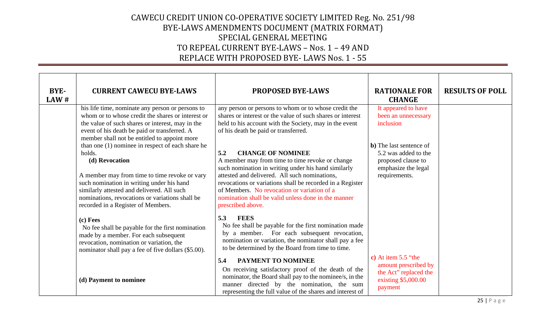| BYE-<br>LAW# | <b>CURRENT CAWECU BYE-LAWS</b>                                                                                                                                                                                                                                                                                    | <b>PROPOSED BYE-LAWS</b>                                                                                                                                                                                                                                                                                                                                                           | <b>RATIONALE FOR</b><br><b>CHANGE</b>                                                                                 | <b>RESULTS OF POLL</b> |
|--------------|-------------------------------------------------------------------------------------------------------------------------------------------------------------------------------------------------------------------------------------------------------------------------------------------------------------------|------------------------------------------------------------------------------------------------------------------------------------------------------------------------------------------------------------------------------------------------------------------------------------------------------------------------------------------------------------------------------------|-----------------------------------------------------------------------------------------------------------------------|------------------------|
|              | his life time, nominate any person or persons to<br>whom or to whose credit the shares or interest or<br>the value of such shares or interest, may in the<br>event of his death be paid or transferred. A<br>member shall not be entitled to appoint more                                                         | any person or persons to whom or to whose credit the<br>shares or interest or the value of such shares or interest<br>held to his account with the Society, may in the event<br>of his death be paid or transferred.                                                                                                                                                               | It appeared to have<br>been an unnecessary<br>inclusion                                                               |                        |
|              | than one (1) nominee in respect of each share he<br>holds.<br>(d) Revocation<br>A member may from time to time revoke or vary<br>such nomination in writing under his hand<br>similarly attested and delivered. All such<br>nominations, revocations or variations shall be<br>recorded in a Register of Members. | 5.2<br><b>CHANGE OF NOMINEE</b><br>A member may from time to time revoke or change<br>such nomination in writing under his hand similarly<br>attested and delivered. All such nominations,<br>revocations or variations shall be recorded in a Register<br>of Members. No revocation or variation of a<br>nomination shall be valid unless done in the manner<br>prescribed above. | <b>b</b> ) The last sentence of<br>5.2 was added to the<br>proposed clause to<br>emphasize the legal<br>requirements. |                        |
|              | (c) Fees<br>No fee shall be payable for the first nomination<br>made by a member. For each subsequent<br>revocation, nomination or variation, the<br>nominator shall pay a fee of five dollars (\$5.00).                                                                                                          | 5.3<br><b>FEES</b><br>No fee shall be payable for the first nomination made<br>by a member. For each subsequent revocation,<br>nomination or variation, the nominator shall pay a fee<br>to be determined by the Board from time to time.                                                                                                                                          |                                                                                                                       |                        |
|              | (d) Payment to nominee                                                                                                                                                                                                                                                                                            | <b>PAYMENT TO NOMINEE</b><br>5.4<br>On receiving satisfactory proof of the death of the<br>nominator, the Board shall pay to the nominee/s, in the<br>manner directed by the nomination, the sum<br>representing the full value of the shares and interest of                                                                                                                      | c) At item $5.5$ "the<br>amount prescribed by<br>the Act" replaced the<br>existing \$5,000.00<br>payment              |                        |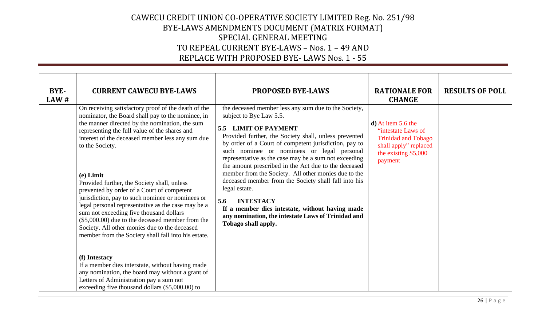| BYE-<br>LAW# | <b>CURRENT CAWECU BYE-LAWS</b>                                                                                                                                                                                                                                                                                                                                                                                                                                                                                                                                                                                                                                                                                    | <b>PROPOSED BYE-LAWS</b>                                                                                                                                                                                                                                                                                                                                                                                                                                                                                                                                                                                                                                                             | <b>RATIONALE FOR</b><br><b>CHANGE</b>                                                                                                | <b>RESULTS OF POLL</b> |
|--------------|-------------------------------------------------------------------------------------------------------------------------------------------------------------------------------------------------------------------------------------------------------------------------------------------------------------------------------------------------------------------------------------------------------------------------------------------------------------------------------------------------------------------------------------------------------------------------------------------------------------------------------------------------------------------------------------------------------------------|--------------------------------------------------------------------------------------------------------------------------------------------------------------------------------------------------------------------------------------------------------------------------------------------------------------------------------------------------------------------------------------------------------------------------------------------------------------------------------------------------------------------------------------------------------------------------------------------------------------------------------------------------------------------------------------|--------------------------------------------------------------------------------------------------------------------------------------|------------------------|
|              | On receiving satisfactory proof of the death of the<br>nominator, the Board shall pay to the nominee, in<br>the manner directed by the nomination, the sum<br>representing the full value of the shares and<br>interest of the deceased member less any sum due<br>to the Society.<br>$(e)$ Limit<br>Provided further, the Society shall, unless<br>prevented by order of a Court of competent<br>jurisdiction, pay to such nominee or nominees or<br>legal personal representative as the case may be a<br>sum not exceeding five thousand dollars<br>$(\$5,000.00)$ due to the deceased member from the<br>Society. All other monies due to the deceased<br>member from the Society shall fall into his estate. | the deceased member less any sum due to the Society,<br>subject to Bye Law 5.5.<br>5.5 LIMIT OF PAYMENT<br>Provided further, the Society shall, unless prevented<br>by order of a Court of competent jurisdiction, pay to<br>such nominee or nominees or legal personal<br>representative as the case may be a sum not exceeding<br>the amount prescribed in the Act due to the deceased<br>member from the Society. All other monies due to the<br>deceased member from the Society shall fall into his<br>legal estate.<br><b>INTESTACY</b><br>5.6<br>If a member dies intestate, without having made<br>any nomination, the intestate Laws of Trinidad and<br>Tobago shall apply. | $d)$ At item 5.6 the<br>"intestate Laws of<br><b>Trinidad and Tobago</b><br>shall apply" replaced<br>the existing \$5,000<br>payment |                        |
|              | (f) Intestacy<br>If a member dies interstate, without having made<br>any nomination, the board may without a grant of<br>Letters of Administration pay a sum not<br>exceeding five thousand dollars (\$5,000.00) to                                                                                                                                                                                                                                                                                                                                                                                                                                                                                               |                                                                                                                                                                                                                                                                                                                                                                                                                                                                                                                                                                                                                                                                                      |                                                                                                                                      |                        |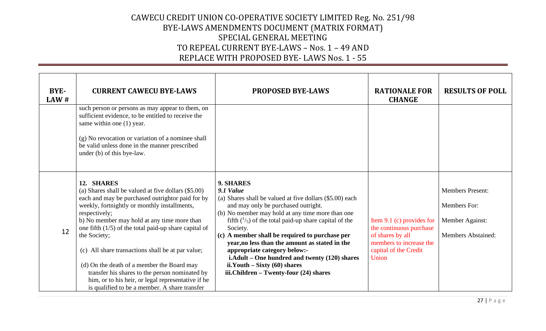| BYE-<br>LAW# | <b>CURRENT CAWECU BYE-LAWS</b><br>such person or persons as may appear to them, on<br>sufficient evidence, to be entitled to receive the<br>same within one (1) year.<br>(g) No revocation or variation of a nominee shall<br>be valid unless done in the manner prescribed<br>under (b) of this bye-law.                                                                                                                                                                                                                                                                    | <b>PROPOSED BYE-LAWS</b>                                                                                                                                                                                                                                                                                                                                                                                                                                                                                                   | <b>RATIONALE FOR</b><br><b>CHANGE</b>                                                                                                 | <b>RESULTS OF POLL</b>                                                                  |
|--------------|------------------------------------------------------------------------------------------------------------------------------------------------------------------------------------------------------------------------------------------------------------------------------------------------------------------------------------------------------------------------------------------------------------------------------------------------------------------------------------------------------------------------------------------------------------------------------|----------------------------------------------------------------------------------------------------------------------------------------------------------------------------------------------------------------------------------------------------------------------------------------------------------------------------------------------------------------------------------------------------------------------------------------------------------------------------------------------------------------------------|---------------------------------------------------------------------------------------------------------------------------------------|-----------------------------------------------------------------------------------------|
| 12           | 12. SHARES<br>(a) Shares shall be valued at five dollars (\$5.00)<br>each and may be purchased outrightor paid for by<br>weekly, fortnightly or monthly installments,<br>respectively;<br>b) No member may hold at any time more than<br>one fifth $(1/5)$ of the total paid-up share capital of<br>the Society;<br>(c) All share transactions shall be at par value;<br>(d) On the death of a member the Board may<br>transfer his shares to the person nominated by<br>him, or to his heir, or legal representative if he<br>is qualified to be a member. A share transfer | 9. SHARES<br>9.1 Value<br>(a) Shares shall be valued at five dollars (\$5.00) each<br>and may only be purchased outright.<br>(b) No member may hold at any time more than one<br>fifth $(^{1}/_{5})$ of the total paid-up share capital of the<br>Society.<br>(c) A member shall be required to purchase per<br>year, no less than the amount as stated in the<br>appropriate category below:-<br>i.Adult – One hundred and twenty (120) shares<br>$ii.Youth - Sixty(60) shares$<br>iii.Children - Twenty-four (24) shares | Item 9.1 (c) provides for<br>the continuous purchase<br>of shares by all<br>members to increase the<br>capital of the Credit<br>Union | <b>Members Present:</b><br>Members For:<br>Member Against:<br><b>Members Abstained:</b> |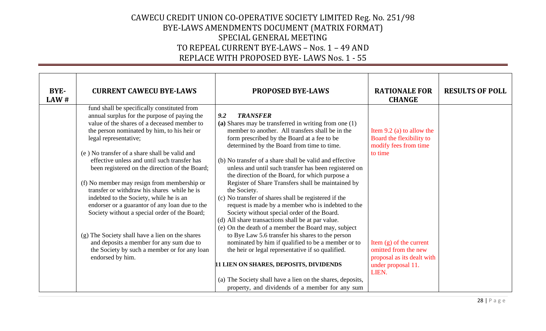| BYE-<br>LAW# | <b>CURRENT CAWECU BYE-LAWS</b>                                                                                                                                                                                                                                                                                                                                                                                                                                                                                                                                                                                                                                                                                                                                                       | <b>PROPOSED BYE-LAWS</b>                                                                                                                                                                                                                                                                                                                                                                                                                                                                                                                                                                                                                                                                                                                                                                                                                                                                                                                                                                                                                                                         | <b>RATIONALE FOR</b><br><b>CHANGE</b>                                                                                                                                                                         | <b>RESULTS OF POLL</b> |
|--------------|--------------------------------------------------------------------------------------------------------------------------------------------------------------------------------------------------------------------------------------------------------------------------------------------------------------------------------------------------------------------------------------------------------------------------------------------------------------------------------------------------------------------------------------------------------------------------------------------------------------------------------------------------------------------------------------------------------------------------------------------------------------------------------------|----------------------------------------------------------------------------------------------------------------------------------------------------------------------------------------------------------------------------------------------------------------------------------------------------------------------------------------------------------------------------------------------------------------------------------------------------------------------------------------------------------------------------------------------------------------------------------------------------------------------------------------------------------------------------------------------------------------------------------------------------------------------------------------------------------------------------------------------------------------------------------------------------------------------------------------------------------------------------------------------------------------------------------------------------------------------------------|---------------------------------------------------------------------------------------------------------------------------------------------------------------------------------------------------------------|------------------------|
|              | fund shall be specifically constituted from<br>annual surplus for the purpose of paying the<br>value of the shares of a deceased member to<br>the person nominated by him, to his heir or<br>legal representative;<br>(e) No transfer of a share shall be valid and<br>effective unless and until such transfer has<br>been registered on the direction of the Board;<br>(f) No member may resign from membership or<br>transfer or withdraw his shares while he is<br>indebted to the Society, while he is an<br>endorser or a guarantor of any loan due to the<br>Society without a special order of the Board;<br>(g) The Society shall have a lien on the shares<br>and deposits a member for any sum due to<br>the Society by such a member or for any loan<br>endorsed by him. | <b>TRANSFER</b><br>9.2<br>(a) Shares may be transferred in writing from one (1)<br>member to another. All transfers shall be in the<br>form prescribed by the Board at a fee to be<br>determined by the Board from time to time.<br>(b) No transfer of a share shall be valid and effective<br>unless and until such transfer has been registered on<br>the direction of the Board, for which purpose a<br>Register of Share Transfers shall be maintained by<br>the Society.<br>(c) No transfer of shares shall be registered if the<br>request is made by a member who is indebted to the<br>Society without special order of the Board.<br>(d) All share transactions shall be at par value.<br>(e) On the death of a member the Board may, subject<br>to Bye Law 5.6 transfer his shares to the person<br>nominated by him if qualified to be a member or to<br>the heir or legal representative if so qualified.<br>11 LIEN ON SHARES, DEPOSITS, DIVIDENDS<br>(a) The Society shall have a lien on the shares, deposits,<br>property, and dividends of a member for any sum | Item $9.2$ (a) to allow the<br>Board the flexibility to<br>modify fees from time<br>to time<br>Item $(g)$ of the current<br>omitted from the new<br>proposal as its dealt with<br>under proposal 11.<br>LIEN. |                        |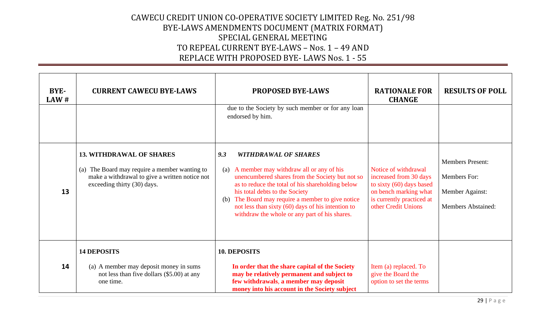| BYE-<br>LAW# | <b>CURRENT CAWECU BYE-LAWS</b>                                                                                                                                       | <b>PROPOSED BYE-LAWS</b><br>due to the Society by such member or for any loan<br>endorsed by him.                                                                                                                                                                                                                                                                                           | <b>RATIONALE FOR</b><br><b>CHANGE</b>                                                                                                                   | <b>RESULTS OF POLL</b>                                                           |
|--------------|----------------------------------------------------------------------------------------------------------------------------------------------------------------------|---------------------------------------------------------------------------------------------------------------------------------------------------------------------------------------------------------------------------------------------------------------------------------------------------------------------------------------------------------------------------------------------|---------------------------------------------------------------------------------------------------------------------------------------------------------|----------------------------------------------------------------------------------|
| 13           | <b>13. WITHDRAWAL OF SHARES</b><br>The Board may require a member wanting to<br>(a)<br>make a withdrawal to give a written notice not<br>exceeding thirty (30) days. | <b>WITHDRAWAL OF SHARES</b><br>9.3<br>A member may withdraw all or any of his<br>(a)<br>unencumbered shares from the Society but not so<br>as to reduce the total of his shareholding below<br>his total debts to the Society<br>The Board may require a member to give notice<br>(b)<br>not less than sixty (60) days of his intention to<br>withdraw the whole or any part of his shares. | Notice of withdrawal<br>increased from 30 days<br>to sixty (60) days based<br>on bench marking what<br>is currently practiced at<br>other Credit Unions | <b>Members Present:</b><br>Members For:<br>Member Against:<br>Members Abstained: |
| 14           | <b>14 DEPOSITS</b><br>(a) A member may deposit money in sums<br>not less than five dollars (\$5.00) at any<br>one time.                                              | 10. DEPOSITS<br>In order that the share capital of the Society<br>may be relatively permanent and subject to<br>few withdrawals, a member may deposit<br>money into his account in the Society subject                                                                                                                                                                                      | Item (a) replaced. To<br>give the Board the<br>option to set the terms                                                                                  |                                                                                  |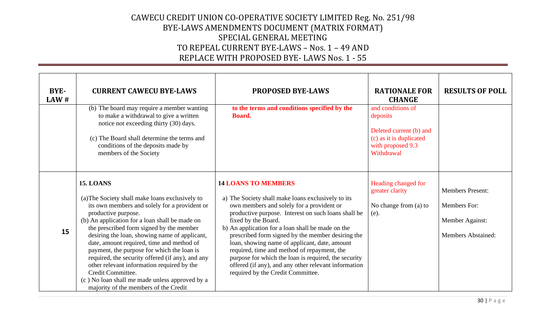| BYE-<br>LAW# | <b>CURRENT CAWECU BYE-LAWS</b>                                                                                                                                                                                                                                                                                                                                                                                                                                                                                                                                                                          | <b>PROPOSED BYE-LAWS</b>                                                                                                                                                                                                                                                                                                                                                                                                                                                                                                                                                   | <b>RATIONALE FOR</b><br><b>CHANGE</b>                                                                                  | <b>RESULTS OF POLL</b>                                                                  |
|--------------|---------------------------------------------------------------------------------------------------------------------------------------------------------------------------------------------------------------------------------------------------------------------------------------------------------------------------------------------------------------------------------------------------------------------------------------------------------------------------------------------------------------------------------------------------------------------------------------------------------|----------------------------------------------------------------------------------------------------------------------------------------------------------------------------------------------------------------------------------------------------------------------------------------------------------------------------------------------------------------------------------------------------------------------------------------------------------------------------------------------------------------------------------------------------------------------------|------------------------------------------------------------------------------------------------------------------------|-----------------------------------------------------------------------------------------|
|              | (b) The board may require a member wanting<br>to make a withdrawal to give a written<br>notice not exceeding thirty (30) days.<br>(c) The Board shall determine the terms and<br>conditions of the deposits made by<br>members of the Society                                                                                                                                                                                                                                                                                                                                                           | to the terms and conditions specified by the<br>Board.                                                                                                                                                                                                                                                                                                                                                                                                                                                                                                                     | and conditions of<br>deposits<br>Deleted current (b) and<br>(c) as it is duplicated<br>with proposed 9.3<br>Withdrawal |                                                                                         |
| 15           | <b>15. LOANS</b><br>(a) The Society shall make loans exclusively to<br>its own members and solely for a provident or<br>productive purpose.<br>(b) An application for a loan shall be made on<br>the prescribed form signed by the member<br>desiring the loan, showing name of applicant,<br>date, amount required, time and method of<br>payment, the purpose for which the loan is<br>required, the security offered (if any), and any<br>other relevant information required by the<br>Credit Committee.<br>(c) No loan shall me made unless approved by a<br>majority of the members of the Credit | <b>14 LOANS TO MEMBERS</b><br>a) The Society shall make loans exclusively to its<br>own members and solely for a provident or<br>productive purpose. Interest on such loans shall be<br>fixed by the Board.<br>b) An application for a loan shall be made on the<br>prescribed form signed by the member desiring the<br>loan, showing name of applicant, date, amount<br>required, time and method of repayment, the<br>purpose for which the loan is required, the security<br>offered (if any), and any other relevant information<br>required by the Credit Committee. | Heading changed for<br>greater clarity<br>No change from (a) to<br>(e).                                                | <b>Members Present:</b><br><b>Members For:</b><br>Member Against:<br>Members Abstained: |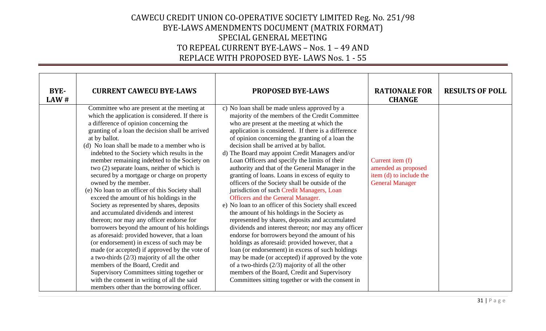| <b>BYE-</b><br>LAW# | <b>CURRENT CAWECU BYE-LAWS</b>                                                                                                                                                                                                                                                                                                                                                                                                                                                                                                                                                                                                                                                                                                                                                                                                                                                                                                                                                                                                                                                                                                                     | <b>PROPOSED BYE-LAWS</b>                                                                                                                                                                                                                                                                                                                                                                                                                                                                                                                                                                                                                                                                                                                                                                                                                                                                                                                                                                                                                                                                                                                                                                                                                           | <b>RATIONALE FOR</b><br><b>CHANGE</b>                                                        | <b>RESULTS OF POLL</b> |
|---------------------|----------------------------------------------------------------------------------------------------------------------------------------------------------------------------------------------------------------------------------------------------------------------------------------------------------------------------------------------------------------------------------------------------------------------------------------------------------------------------------------------------------------------------------------------------------------------------------------------------------------------------------------------------------------------------------------------------------------------------------------------------------------------------------------------------------------------------------------------------------------------------------------------------------------------------------------------------------------------------------------------------------------------------------------------------------------------------------------------------------------------------------------------------|----------------------------------------------------------------------------------------------------------------------------------------------------------------------------------------------------------------------------------------------------------------------------------------------------------------------------------------------------------------------------------------------------------------------------------------------------------------------------------------------------------------------------------------------------------------------------------------------------------------------------------------------------------------------------------------------------------------------------------------------------------------------------------------------------------------------------------------------------------------------------------------------------------------------------------------------------------------------------------------------------------------------------------------------------------------------------------------------------------------------------------------------------------------------------------------------------------------------------------------------------|----------------------------------------------------------------------------------------------|------------------------|
|                     | Committee who are present at the meeting at<br>which the application is considered. If there is<br>a difference of opinion concerning the<br>granting of a loan the decision shall be arrived<br>at by ballot.<br>(d) No loan shall be made to a member who is<br>indebted to the Society which results in the<br>member remaining indebted to the Society on<br>two (2) separate loans, neither of which is<br>secured by a mortgage or charge on property<br>owned by the member.<br>(e) No loan to an officer of this Society shall<br>exceed the amount of his holdings in the<br>Society as represented by shares, deposits<br>and accumulated dividends and interest<br>thereon; nor may any officer endorse for<br>borrowers beyond the amount of his holdings<br>as aforesaid: provided however, that a loan<br>(or endorsement) in excess of such may be<br>made (or accepted) if approved by the vote of<br>a two-thirds $(2/3)$ majority of all the other<br>members of the Board, Credit and<br>Supervisory Committees sitting together or<br>with the consent in writing of all the said<br>members other than the borrowing officer. | c) No loan shall be made unless approved by a<br>majority of the members of the Credit Committee<br>who are present at the meeting at which the<br>application is considered. If there is a difference<br>of opinion concerning the granting of a loan the<br>decision shall be arrived at by ballot.<br>d) The Board may appoint Credit Managers and/or<br>Loan Officers and specify the limits of their<br>authority and that of the General Manager in the<br>granting of loans. Loans in excess of equity to<br>officers of the Society shall be outside of the<br>jurisdiction of such Credit Managers, Loan<br>Officers and the General Manager.<br>e) No loan to an officer of this Society shall exceed<br>the amount of his holdings in the Society as<br>represented by shares, deposits and accumulated<br>dividends and interest thereon; nor may any officer<br>endorse for borrowers beyond the amount of his<br>holdings as aforesaid: provided however, that a<br>loan (or endorsement) in excess of such holdings<br>may be made (or accepted) if approved by the vote<br>of a two-thirds $(2/3)$ majority of all the other<br>members of the Board, Credit and Supervisory<br>Committees sitting together or with the consent in | Current item (f)<br>amended as proposed<br>item (d) to include the<br><b>General Manager</b> |                        |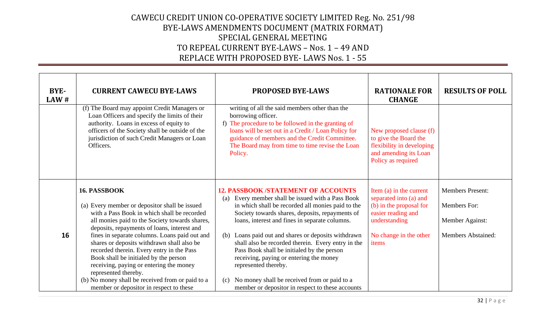| BYE-<br>LAW# | <b>CURRENT CAWECU BYE-LAWS</b>                                                                                                                                                                                                                                                                                                                                                                                                                                                                                            | <b>PROPOSED BYE-LAWS</b>                                                                                                                                                                                                                                                                                                                                                                                                                                                                                                                             | <b>RATIONALE FOR</b><br><b>CHANGE</b>                                                                                                                  | <b>RESULTS OF POLL</b>                                                                  |
|--------------|---------------------------------------------------------------------------------------------------------------------------------------------------------------------------------------------------------------------------------------------------------------------------------------------------------------------------------------------------------------------------------------------------------------------------------------------------------------------------------------------------------------------------|------------------------------------------------------------------------------------------------------------------------------------------------------------------------------------------------------------------------------------------------------------------------------------------------------------------------------------------------------------------------------------------------------------------------------------------------------------------------------------------------------------------------------------------------------|--------------------------------------------------------------------------------------------------------------------------------------------------------|-----------------------------------------------------------------------------------------|
|              | (f) The Board may appoint Credit Managers or<br>Loan Officers and specify the limits of their<br>authority. Loans in excess of equity to<br>officers of the Society shall be outside of the<br>jurisdiction of such Credit Managers or Loan<br>Officers.                                                                                                                                                                                                                                                                  | writing of all the said members other than the<br>borrowing officer.<br>f) The procedure to be followed in the granting of<br>loans will be set out in a Credit / Loan Policy for<br>guidance of members and the Credit Committee.<br>The Board may from time to time revise the Loan<br>Policy.                                                                                                                                                                                                                                                     | New proposed clause (f)<br>to give the Board the<br>flexibility in developing<br>and amending its Loan<br>Policy as required                           |                                                                                         |
| 16           | 16. PASSBOOK<br>(a) Every member or depositor shall be issued<br>with a Pass Book in which shall be recorded<br>all monies paid to the Society towards shares,<br>deposits, repayments of loans, interest and<br>fines in separate columns. Loans paid out and<br>shares or deposits withdrawn shall also be<br>recorded therein. Every entry in the Pass<br>Book shall be initialed by the person<br>receiving, paying or entering the money<br>represented thereby.<br>(b) No money shall be received from or paid to a | <b>12. PASSBOOK /STATEMENT OF ACCOUNTS</b><br>Every member shall be issued with a Pass Book<br>(a)<br>in which shall be recorded all monies paid to the<br>Society towards shares, deposits, repayments of<br>loans, interest and fines in separate columns.<br>Loans paid out and shares or deposits withdrawn<br>(b)<br>shall also be recorded therein. Every entry in the<br>Pass Book shall be initialed by the person<br>receiving, paying or entering the money<br>represented thereby.<br>No money shall be received from or paid to a<br>(c) | Item (a) in the current<br>separated into (a) and<br>(b) in the proposal for<br>easier reading and<br>understanding<br>No change in the other<br>items | <b>Members Present:</b><br>Members For:<br>Member Against:<br><b>Members Abstained:</b> |
|              | member or depositor in respect to these                                                                                                                                                                                                                                                                                                                                                                                                                                                                                   | member or depositor in respect to these accounts                                                                                                                                                                                                                                                                                                                                                                                                                                                                                                     |                                                                                                                                                        |                                                                                         |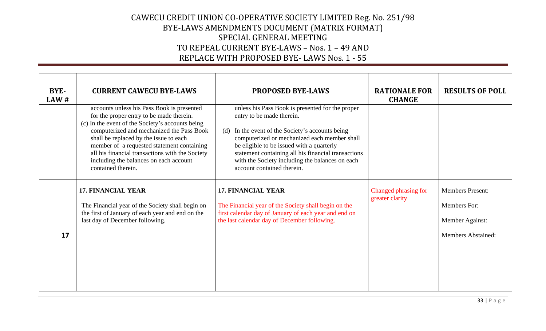| BYE-<br>LAW# | <b>CURRENT CAWECU BYE-LAWS</b>                                                                                                                                                                                                                                                                                                                                                                     | <b>PROPOSED BYE-LAWS</b>                                                                                                                                                                                                                                                                                                                                                  | <b>RATIONALE FOR</b><br><b>CHANGE</b>   | <b>RESULTS OF POLL</b>                                                                         |
|--------------|----------------------------------------------------------------------------------------------------------------------------------------------------------------------------------------------------------------------------------------------------------------------------------------------------------------------------------------------------------------------------------------------------|---------------------------------------------------------------------------------------------------------------------------------------------------------------------------------------------------------------------------------------------------------------------------------------------------------------------------------------------------------------------------|-----------------------------------------|------------------------------------------------------------------------------------------------|
|              | accounts unless his Pass Book is presented<br>for the proper entry to be made therein.<br>(c) In the event of the Society's accounts being<br>computerized and mechanized the Pass Book<br>shall be replaced by the issue to each<br>member of a requested statement containing<br>all his financial transactions with the Society<br>including the balances on each account<br>contained therein. | unless his Pass Book is presented for the proper<br>entry to be made therein.<br>In the event of the Society's accounts being<br>(d)<br>computerized or mechanized each member shall<br>be eligible to be issued with a quarterly<br>statement containing all his financial transactions<br>with the Society including the balances on each<br>account contained therein. |                                         |                                                                                                |
| 17           | <b>17. FINANCIAL YEAR</b><br>The Financial year of the Society shall begin on<br>the first of January of each year and end on the<br>last day of December following.                                                                                                                                                                                                                               | <b>17. FINANCIAL YEAR</b><br>The Financial year of the Society shall begin on the<br>first calendar day of January of each year and end on<br>the last calendar day of December following.                                                                                                                                                                                | Changed phrasing for<br>greater clarity | <b>Members Present:</b><br><b>Members For:</b><br>Member Against:<br><b>Members Abstained:</b> |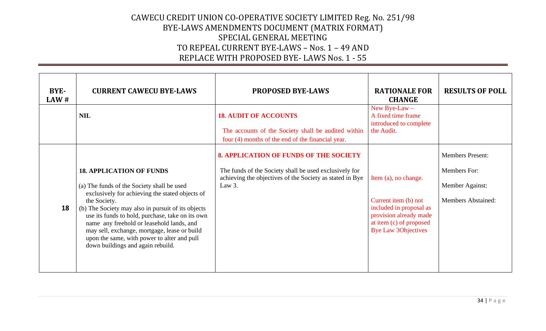| BYE-<br>LAW# | <b>CURRENT CAWECU BYE-LAWS</b>                                                                                                                                                                                                                                                                                                                                                                                                              | <b>PROPOSED BYE-LAWS</b>                                                                                                                                                      | <b>RATIONALE FOR</b><br><b>CHANGE</b>                                                                                                                      | <b>RESULTS OF POLL</b>                                                                  |
|--------------|---------------------------------------------------------------------------------------------------------------------------------------------------------------------------------------------------------------------------------------------------------------------------------------------------------------------------------------------------------------------------------------------------------------------------------------------|-------------------------------------------------------------------------------------------------------------------------------------------------------------------------------|------------------------------------------------------------------------------------------------------------------------------------------------------------|-----------------------------------------------------------------------------------------|
|              | <b>NIL</b>                                                                                                                                                                                                                                                                                                                                                                                                                                  | <b>18. AUDIT OF ACCOUNTS</b><br>The accounts of the Society shall be audited within<br>four (4) months of the end of the financial year.                                      | New Bye-Law $-$<br>A fixed time frame<br>introduced to complete<br>the Audit.                                                                              |                                                                                         |
| 18           | <b>18. APPLICATION OF FUNDS</b><br>(a) The funds of the Society shall be used<br>exclusively for achieving the stated objects of<br>the Society.<br>(b) The Society may also in pursuit of its objects<br>use its funds to hold, purchase, take on its own<br>name any freehold or leasehold lands, and<br>may sell, exchange, mortgage, lease or build<br>upon the same, with power to alter and pull<br>down buildings and again rebuild. | <b>8. APPLICATION OF FUNDS OF THE SOCIETY</b><br>The funds of the Society shall be used exclusively for<br>achieving the objectives of the Society as stated in Bye<br>Law 3. | Item (a), no change.<br>Current item (b) not<br>included in proposal as<br>provision already made<br>at item (c) of proposed<br><b>Bye Law 3Objectives</b> | <b>Members Present:</b><br>Members For:<br>Member Against:<br><b>Members Abstained:</b> |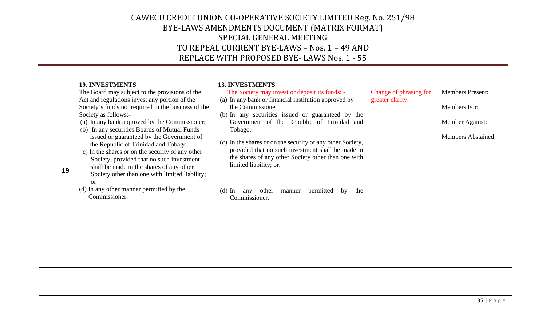| 19 | <b>19. INVESTMENTS</b><br>The Board may subject to the provisions of the<br>Act and regulations invest any portion of the<br>Society's funds not required in the business of the<br>Society as follows:-<br>(a) In any bank approved by the Commissioner;<br>(b) In any securities Boards of Mutual Funds<br>issued or guaranteed by the Government of<br>the Republic of Trinidad and Tobago.<br>c) In the shares or on the security of any other<br>Society, provided that no such investment<br>shall be made in the shares of any other<br>Society other than one with limited liability;<br><b>or</b><br>(d) In any other manner permitted by the<br>Commissioner. | <b>13. INVESTMENTS</b><br>The Society may invest or deposit its funds: -<br>(a) In any bank or financial institution approved by<br>the Commissioner.<br>(b) In any securities issued or guaranteed by the<br>Government of the Republic of Trinidad and<br>Tobago.<br>(c) In the shares or on the security of any other Society,<br>provided that no such investment shall be made in<br>the shares of any other Society other than one with<br>limited liability; or.<br>other<br>manner permitted<br>(d) In any<br>by<br>the<br>Commissioner. | Change of phrasing for<br>greater clarity. | <b>Members Present:</b><br>Members For:<br>Member Against:<br><b>Members Abstained:</b> |
|----|-------------------------------------------------------------------------------------------------------------------------------------------------------------------------------------------------------------------------------------------------------------------------------------------------------------------------------------------------------------------------------------------------------------------------------------------------------------------------------------------------------------------------------------------------------------------------------------------------------------------------------------------------------------------------|--------------------------------------------------------------------------------------------------------------------------------------------------------------------------------------------------------------------------------------------------------------------------------------------------------------------------------------------------------------------------------------------------------------------------------------------------------------------------------------------------------------------------------------------------|--------------------------------------------|-----------------------------------------------------------------------------------------|
|    |                                                                                                                                                                                                                                                                                                                                                                                                                                                                                                                                                                                                                                                                         |                                                                                                                                                                                                                                                                                                                                                                                                                                                                                                                                                  |                                            |                                                                                         |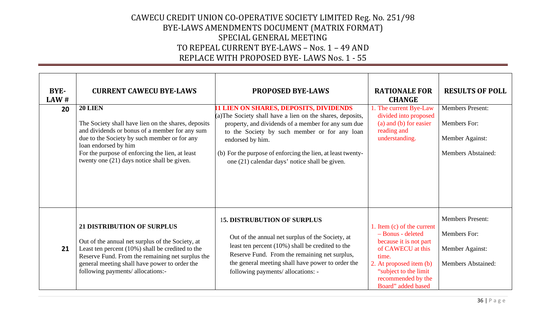| BYE-<br>LAW# | <b>CURRENT CAWECU BYE-LAWS</b>                                                                                                                                                                                                                                                                    | <b>PROPOSED BYE-LAWS</b>                                                                                                                                                                                                                                                                                                                                 | <b>RATIONALE FOR</b><br><b>CHANGE</b>                                                                                                                                                                    | <b>RESULTS OF POLL</b>                                                                  |
|--------------|---------------------------------------------------------------------------------------------------------------------------------------------------------------------------------------------------------------------------------------------------------------------------------------------------|----------------------------------------------------------------------------------------------------------------------------------------------------------------------------------------------------------------------------------------------------------------------------------------------------------------------------------------------------------|----------------------------------------------------------------------------------------------------------------------------------------------------------------------------------------------------------|-----------------------------------------------------------------------------------------|
| 20           | <b>20 LIEN</b><br>The Society shall have lien on the shares, deposits<br>and dividends or bonus of a member for any sum<br>due to the Society by such member or for any<br>loan endorsed by him<br>For the purpose of enforcing the lien, at least<br>twenty one (21) days notice shall be given. | <b>11 LIEN ON SHARES, DEPOSITS, DIVIDENDS</b><br>(a) The Society shall have a lien on the shares, deposits,<br>property, and dividends of a member for any sum due<br>to the Society by such member or for any loan<br>endorsed by him.<br>(b) For the purpose of enforcing the lien, at least twenty-<br>one (21) calendar days' notice shall be given. | 1. The current Bye-Law<br>divided into proposed<br>(a) and (b) for easier<br>reading and<br>understanding.                                                                                               | <b>Members Present:</b><br>Members For:<br>Member Against:<br><b>Members Abstained:</b> |
| 21           | <b>21 DISTRIBUTION OF SURPLUS</b><br>Out of the annual net surplus of the Society, at<br>Least ten percent (10%) shall be credited to the<br>Reserve Fund. From the remaining net surplus the<br>general meeting shall have power to order the<br>following payments/ allocations:-               | <b>15. DISTRUBUTION OF SURPLUS</b><br>Out of the annual net surplus of the Society, at<br>least ten percent (10%) shall be credited to the<br>Reserve Fund. From the remaining net surplus,<br>the general meeting shall have power to order the<br>following payments/ allocations: -                                                                   | 1. Item (c) of the current<br>- Bonus - deleted<br>because it is not part<br>of CAWECU at this<br>time.<br>2. At proposed item (b)<br>"subject to the limit"<br>recommended by the<br>Board" added based | <b>Members Present:</b><br>Members For:<br>Member Against:<br><b>Members Abstained:</b> |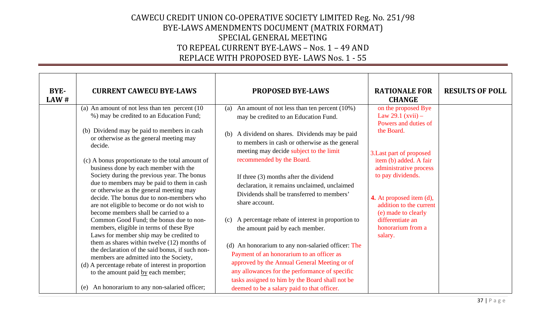| BYE-<br>LAW# | <b>CURRENT CAWECU BYE-LAWS</b>                                                                                                                                                                                                                                                                                                                                                                                                                                                                                                                                                                                                                                                                                                                                                                                                                                                                                                                                                                         | <b>PROPOSED BYE-LAWS</b>                                                                                                                                                                                                                                                                                                                                                                                                                                                                                                                                                                                                                                                                                                                                                                                                                 | <b>RATIONALE FOR</b><br><b>CHANGE</b>                                                                                                                                                                                                                                                                                   | <b>RESULTS OF POLL</b> |
|--------------|--------------------------------------------------------------------------------------------------------------------------------------------------------------------------------------------------------------------------------------------------------------------------------------------------------------------------------------------------------------------------------------------------------------------------------------------------------------------------------------------------------------------------------------------------------------------------------------------------------------------------------------------------------------------------------------------------------------------------------------------------------------------------------------------------------------------------------------------------------------------------------------------------------------------------------------------------------------------------------------------------------|------------------------------------------------------------------------------------------------------------------------------------------------------------------------------------------------------------------------------------------------------------------------------------------------------------------------------------------------------------------------------------------------------------------------------------------------------------------------------------------------------------------------------------------------------------------------------------------------------------------------------------------------------------------------------------------------------------------------------------------------------------------------------------------------------------------------------------------|-------------------------------------------------------------------------------------------------------------------------------------------------------------------------------------------------------------------------------------------------------------------------------------------------------------------------|------------------------|
|              | (a) An amount of not less than ten percent (10)<br>%) may be credited to an Education Fund;<br>(b) Dividend may be paid to members in cash<br>or otherwise as the general meeting may<br>decide.<br>(c) A bonus proportionate to the total amount of<br>business done by each member with the<br>Society during the previous year. The bonus<br>due to members may be paid to them in cash<br>or otherwise as the general meeting may<br>decide. The bonus due to non-members who<br>are not eligible to become or do not wish to<br>become members shall be carried to a<br>Common Good Fund; the bonus due to non-<br>members, eligible in terms of these Bye<br>Laws for member ship may be credited to<br>them as shares within twelve (12) months of<br>the declaration of the said bonus, if such non-<br>members are admitted into the Society,<br>(d) A percentage rebate of interest in proportion<br>to the amount paid by each member;<br>An honorarium to any non-salaried officer;<br>(e) | An amount of not less than ten percent (10%)<br>(a)<br>may be credited to an Education Fund.<br>(b) A dividend on shares. Dividends may be paid<br>to members in cash or otherwise as the general<br>meeting may decide subject to the limit<br>recommended by the Board.<br>If three (3) months after the dividend<br>declaration, it remains unclaimed, unclaimed<br>Dividends shall be transferred to members'<br>share account.<br>A percentage rebate of interest in proportion to<br>(c)<br>the amount paid by each member.<br>(d) An honorarium to any non-salaried officer: The<br>Payment of an honorarium to an officer as<br>approved by the Annual General Meeting or of<br>any allowances for the performance of specific<br>tasks assigned to him by the Board shall not be<br>deemed to be a salary paid to that officer. | on the proposed Bye<br>Law 29.1 $(xvii)$ –<br>Powers and duties of<br>the Board.<br>3. Last part of proposed<br>item (b) added. A fair<br>administrative process<br>to pay dividends.<br>4. At proposed item (d),<br>addition to the current<br>(e) made to clearly<br>differentiate an<br>honorarium from a<br>salary. |                        |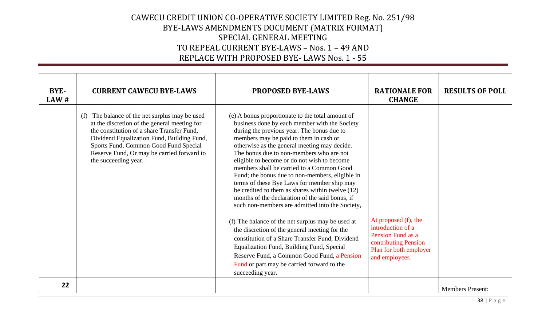| BYE-<br>LAW# | <b>CURRENT CAWECU BYE-LAWS</b>                                                                                                                                                                                                                                                                               | <b>PROPOSED BYE-LAWS</b>                                                                                                                                                                                                                                                                                                                                                                                                                                                                                                                                                                                                                      | <b>RATIONALE FOR</b><br><b>CHANGE</b>                                                                                             | <b>RESULTS OF POLL</b>  |
|--------------|--------------------------------------------------------------------------------------------------------------------------------------------------------------------------------------------------------------------------------------------------------------------------------------------------------------|-----------------------------------------------------------------------------------------------------------------------------------------------------------------------------------------------------------------------------------------------------------------------------------------------------------------------------------------------------------------------------------------------------------------------------------------------------------------------------------------------------------------------------------------------------------------------------------------------------------------------------------------------|-----------------------------------------------------------------------------------------------------------------------------------|-------------------------|
|              | The balance of the net surplus may be used<br>(f)<br>at the discretion of the general meeting for<br>the constitution of a share Transfer Fund,<br>Dividend Equalization Fund, Building Fund,<br>Sports Fund, Common Good Fund Special<br>Reserve Fund, Or may be carried forward to<br>the succeeding year. | (e) A bonus proportionate to the total amount of<br>business done by each member with the Society<br>during the previous year. The bonus due to<br>members may be paid to them in cash or<br>otherwise as the general meeting may decide.<br>The bonus due to non-members who are not<br>eligible to become or do not wish to become<br>members shall be carried to a Common Good<br>Fund; the bonus due to non-members, eligible in<br>terms of these Bye Laws for member ship may<br>be credited to them as shares within twelve (12)<br>months of the declaration of the said bonus, if<br>such non-members are admitted into the Society, |                                                                                                                                   |                         |
|              |                                                                                                                                                                                                                                                                                                              | (f) The balance of the net surplus may be used at<br>the discretion of the general meeting for the<br>constitution of a Share Transfer Fund, Dividend<br>Equalization Fund, Building Fund, Special<br>Reserve Fund, a Common Good Fund, a Pension<br>Fund or part may be carried forward to the<br>succeeding year.                                                                                                                                                                                                                                                                                                                           | At proposed (f), the<br>introduction of a<br>Pension Fund as a<br>contributing Pension<br>Plan for both employer<br>and employees |                         |
| 22           |                                                                                                                                                                                                                                                                                                              |                                                                                                                                                                                                                                                                                                                                                                                                                                                                                                                                                                                                                                               |                                                                                                                                   | <b>Members Present:</b> |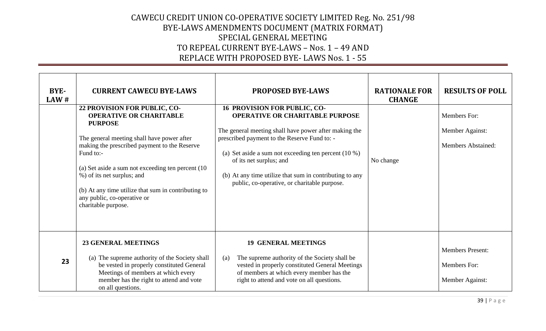| BYE-<br>LAW# | <b>CURRENT CAWECU BYE-LAWS</b>                                                                                                                                                                                                                                                                                                                                                               | <b>PROPOSED BYE-LAWS</b>                                                                                                                                                                                                                                                                                                                                                        | <b>RATIONALE FOR</b><br><b>CHANGE</b> | <b>RESULTS OF POLL</b>                                       |
|--------------|----------------------------------------------------------------------------------------------------------------------------------------------------------------------------------------------------------------------------------------------------------------------------------------------------------------------------------------------------------------------------------------------|---------------------------------------------------------------------------------------------------------------------------------------------------------------------------------------------------------------------------------------------------------------------------------------------------------------------------------------------------------------------------------|---------------------------------------|--------------------------------------------------------------|
|              | 22 PROVISION FOR PUBLIC, CO-<br><b>OPERATIVE OR CHARITABLE</b><br><b>PURPOSE</b><br>The general meeting shall have power after<br>making the prescribed payment to the Reserve<br>Fund to:-<br>(a) Set aside a sum not exceeding ten percent (10)<br>%) of its net surplus; and<br>(b) At any time utilize that sum in contributing to<br>any public, co-operative or<br>charitable purpose. | 16 PROVISION FOR PUBLIC, CO-<br><b>OPERATIVE OR CHARITABLE PURPOSE</b><br>The general meeting shall have power after making the<br>prescribed payment to the Reserve Fund to: -<br>(a) Set aside a sum not exceeding ten percent $(10\%)$<br>of its net surplus; and<br>(b) At any time utilize that sum in contributing to any<br>public, co-operative, or charitable purpose. | No change                             | Members For:<br>Member Against:<br><b>Members Abstained:</b> |
| 23           | <b>23 GENERAL MEETINGS</b><br>(a) The supreme authority of the Society shall<br>be vested in properly constituted General<br>Meetings of members at which every<br>member has the right to attend and vote<br>on all questions.                                                                                                                                                              | <b>19 GENERAL MEETINGS</b><br>The supreme authority of the Society shall be<br>(a)<br>vested in properly constituted General Meetings<br>of members at which every member has the<br>right to attend and vote on all questions.                                                                                                                                                 |                                       | <b>Members Present:</b><br>Members For:<br>Member Against:   |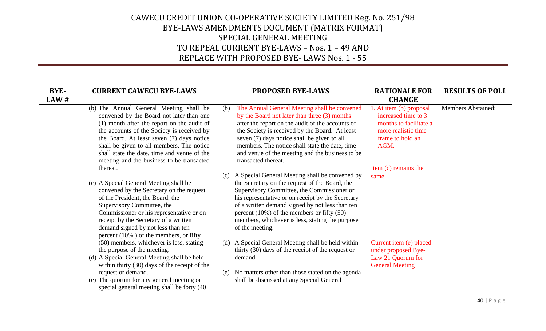| BYE-<br>LAW# | <b>CURRENT CAWECU BYE-LAWS</b>                                                                                                                                                                                                                                                                                                                                        | <b>PROPOSED BYE-LAWS</b>                                                                                                                                                                                                                                                                                                                                                               | <b>RATIONALE FOR</b><br><b>CHANGE</b>                                                                                       | <b>RESULTS OF POLL</b>    |
|--------------|-----------------------------------------------------------------------------------------------------------------------------------------------------------------------------------------------------------------------------------------------------------------------------------------------------------------------------------------------------------------------|----------------------------------------------------------------------------------------------------------------------------------------------------------------------------------------------------------------------------------------------------------------------------------------------------------------------------------------------------------------------------------------|-----------------------------------------------------------------------------------------------------------------------------|---------------------------|
|              | (b) The Annual General Meeting shall be<br>convened by the Board not later than one<br>(1) month after the report on the audit of<br>the accounts of the Society is received by<br>the Board. At least seven (7) days notice<br>shall be given to all members. The notice<br>shall state the date, time and venue of the<br>meeting and the business to be transacted | The Annual General Meeting shall be convened<br>(b)<br>by the Board not later than three (3) months<br>after the report on the audit of the accounts of<br>the Society is received by the Board. At least<br>seven (7) days notice shall be given to all<br>members. The notice shall state the date, time<br>and venue of the meeting and the business to be<br>transacted thereat.   | 1. At item (b) proposal<br>increased time to 3<br>months to facilitate a<br>more realistic time<br>frame to hold an<br>AGM. | <b>Members Abstained:</b> |
|              | thereat.<br>(c) A Special General Meeting shall be<br>convened by the Secretary on the request<br>of the President, the Board, the<br>Supervisory Committee, the<br>Commissioner or his representative or on<br>receipt by the Secretary of a written<br>demand signed by not less than ten<br>percent $(10\%)$ of the members, or fifty                              | A Special General Meeting shall be convened by<br>(c)<br>the Secretary on the request of the Board, the<br>Supervisory Committee, the Commissioner or<br>his representative or on receipt by the Secretary<br>of a written demand signed by not less than ten<br>percent $(10\%)$ of the members or fifty $(50)$<br>members, whichever is less, stating the purpose<br>of the meeting. | Item (c) remains the<br>same                                                                                                |                           |
|              | (50) members, whichever is less, stating<br>the purpose of the meeting.<br>(d) A Special General Meeting shall be held<br>within thirty (30) days of the receipt of the<br>request or demand.<br>(e) The quorum for any general meeting or<br>special general meeting shall be forty (40                                                                              | (d) A Special General Meeting shall be held within<br>thirty (30) days of the receipt of the request or<br>demand.<br>No matters other than those stated on the agenda<br>(e)<br>shall be discussed at any Special General                                                                                                                                                             | Current item (e) placed<br>under proposed Bye-<br>Law 21 Quorum for<br><b>General Meeting</b>                               |                           |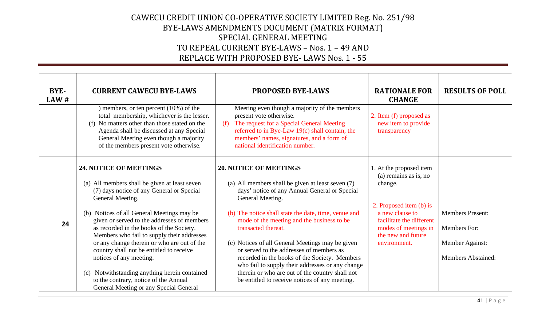| BYE-<br>LAW # | <b>CURRENT CAWECU BYE-LAWS</b>                                                                                                                                                                                                                                                                                                                                                                                                                                                                                                                                                               | <b>PROPOSED BYE-LAWS</b>                                                                                                                                                                                                                                                                                                                                                                                                                                                                                                                                                                       | <b>RATIONALE FOR</b><br><b>CHANGE</b>                                                                                                                                                               | <b>RESULTS OF POLL</b>                                                                  |
|---------------|----------------------------------------------------------------------------------------------------------------------------------------------------------------------------------------------------------------------------------------------------------------------------------------------------------------------------------------------------------------------------------------------------------------------------------------------------------------------------------------------------------------------------------------------------------------------------------------------|------------------------------------------------------------------------------------------------------------------------------------------------------------------------------------------------------------------------------------------------------------------------------------------------------------------------------------------------------------------------------------------------------------------------------------------------------------------------------------------------------------------------------------------------------------------------------------------------|-----------------------------------------------------------------------------------------------------------------------------------------------------------------------------------------------------|-----------------------------------------------------------------------------------------|
|               | members, or ten percent (10%) of the<br>total membership, whichever is the lesser.<br>(f) No matters other than those stated on the<br>Agenda shall be discussed at any Special<br>General Meeting even though a majority<br>of the members present vote otherwise.                                                                                                                                                                                                                                                                                                                          | Meeting even though a majority of the members<br>present vote otherwise.<br>The request for a Special General Meeting<br>(f)<br>referred to in Bye-Law 19(c) shall contain, the<br>members' names, signatures, and a form of<br>national identification number.                                                                                                                                                                                                                                                                                                                                | 2. Item (f) proposed as<br>new item to provide<br>transparency                                                                                                                                      |                                                                                         |
| 24            | 24. NOTICE OF MEETINGS<br>(a) All members shall be given at least seven<br>(7) days notice of any General or Special<br>General Meeting.<br>(b) Notices of all General Meetings may be<br>given or served to the addresses of members<br>as recorded in the books of the Society.<br>Members who fail to supply their addresses<br>or any change therein or who are out of the<br>country shall not be entitled to receive<br>notices of any meeting.<br>Notwithstanding anything herein contained<br>(c)<br>to the contrary, notice of the Annual<br>General Meeting or any Special General | <b>20. NOTICE OF MEETINGS</b><br>(a) All members shall be given at least seven (7)<br>days' notice of any Annual General or Special<br>General Meeting.<br>(b) The notice shall state the date, time, venue and<br>mode of the meeting and the business to be<br>transacted thereat.<br>(c) Notices of all General Meetings may be given<br>or served to the addresses of members as<br>recorded in the books of the Society. Members<br>who fail to supply their addresses or any change<br>therein or who are out of the country shall not<br>be entitled to receive notices of any meeting. | 1. At the proposed item<br>(a) remains as is, no<br>change.<br>2. Proposed item (b) is<br>a new clause to<br>facilitate the different<br>modes of meetings in<br>the new and future<br>environment. | <b>Members Present:</b><br>Members For:<br>Member Against:<br><b>Members Abstained:</b> |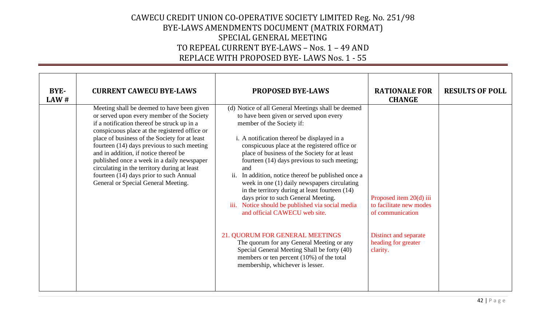| BYE-<br>LAW# | <b>CURRENT CAWECU BYE-LAWS</b>                                                                                                                                                                                                                                                                                                                                                                                                                                                                                    | <b>PROPOSED BYE-LAWS</b>                                                                                                                                                                                                                                                                                                                                                                                                                                                                                                                                                                                                                                                                                                                                                                                                                   | <b>RATIONALE FOR</b><br><b>CHANGE</b>                                                                                              | <b>RESULTS OF POLL</b> |
|--------------|-------------------------------------------------------------------------------------------------------------------------------------------------------------------------------------------------------------------------------------------------------------------------------------------------------------------------------------------------------------------------------------------------------------------------------------------------------------------------------------------------------------------|--------------------------------------------------------------------------------------------------------------------------------------------------------------------------------------------------------------------------------------------------------------------------------------------------------------------------------------------------------------------------------------------------------------------------------------------------------------------------------------------------------------------------------------------------------------------------------------------------------------------------------------------------------------------------------------------------------------------------------------------------------------------------------------------------------------------------------------------|------------------------------------------------------------------------------------------------------------------------------------|------------------------|
|              | Meeting shall be deemed to have been given<br>or served upon every member of the Society<br>if a notification thereof be struck up in a<br>conspicuous place at the registered office or<br>place of business of the Society for at least<br>fourteen (14) days previous to such meeting<br>and in addition, if notice thereof be<br>published once a week in a daily newspaper<br>circulating in the territory during at least<br>fourteen (14) days prior to such Annual<br>General or Special General Meeting. | (d) Notice of all General Meetings shall be deemed<br>to have been given or served upon every<br>member of the Society if:<br>i. A notification thereof be displayed in a<br>conspicuous place at the registered office or<br>place of business of the Society for at least<br>fourteen (14) days previous to such meeting;<br>and<br>ii. In addition, notice thereof be published once a<br>week in one (1) daily newspapers circulating<br>in the territory during at least fourteen (14)<br>days prior to such General Meeting.<br>iii. Notice should be published via social media<br>and official CAWECU web site.<br>21. QUORUM FOR GENERAL MEETINGS<br>The quorum for any General Meeting or any<br>Special General Meeting Shall be forty (40)<br>members or ten percent $(10\%)$ of the total<br>membership, whichever is lesser. | Proposed item 20(d) iii<br>to facilitate new modes<br>of communication<br>Distinct and separate<br>heading for greater<br>clarity. |                        |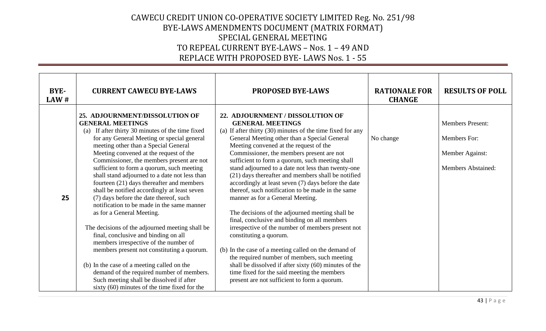| BYE-<br>LAW# | <b>CURRENT CAWECU BYE-LAWS</b>                                                                                                                                                                                                                                                                                                                                                                                                                                                                                                                                                                                                                                                                                                                                                                                                                                                                                                                                                        | <b>PROPOSED BYE-LAWS</b>                                                                                                                                                                                                                                                                                                                                                                                                                                                                                                                                                                                                                                                                                                                                                                                                                                                                                                                                                                                                          | <b>RATIONALE FOR</b><br><b>CHANGE</b> | <b>RESULTS OF POLL</b>                                                                  |
|--------------|---------------------------------------------------------------------------------------------------------------------------------------------------------------------------------------------------------------------------------------------------------------------------------------------------------------------------------------------------------------------------------------------------------------------------------------------------------------------------------------------------------------------------------------------------------------------------------------------------------------------------------------------------------------------------------------------------------------------------------------------------------------------------------------------------------------------------------------------------------------------------------------------------------------------------------------------------------------------------------------|-----------------------------------------------------------------------------------------------------------------------------------------------------------------------------------------------------------------------------------------------------------------------------------------------------------------------------------------------------------------------------------------------------------------------------------------------------------------------------------------------------------------------------------------------------------------------------------------------------------------------------------------------------------------------------------------------------------------------------------------------------------------------------------------------------------------------------------------------------------------------------------------------------------------------------------------------------------------------------------------------------------------------------------|---------------------------------------|-----------------------------------------------------------------------------------------|
| 25           | 25. ADJOURNMENT/DISSOLUTION OF<br><b>GENERAL MEETINGS</b><br>(a) If after thirty 30 minutes of the time fixed<br>for any General Meeting or special general<br>meeting other than a Special General<br>Meeting convened at the request of the<br>Commissioner, the members present are not<br>sufficient to form a quorum, such meeting<br>shall stand adjourned to a date not less than<br>fourteen (21) days thereafter and members<br>shall be notified accordingly at least seven<br>(7) days before the date thereof, such<br>notification to be made in the same manner<br>as for a General Meeting.<br>The decisions of the adjourned meeting shall be<br>final, conclusive and binding on all<br>members irrespective of the number of<br>members present not constituting a quorum.<br>(b) In the case of a meeting called on the<br>demand of the required number of members.<br>Such meeting shall be dissolved if after<br>sixty $(60)$ minutes of the time fixed for the | 22. ADJOURNMENT / DISSOLUTION OF<br><b>GENERAL MEETINGS</b><br>(a) If after thirty (30) minutes of the time fixed for any<br>General Meeting other than a Special General<br>Meeting convened at the request of the<br>Commissioner, the members present are not<br>sufficient to form a quorum, such meeting shall<br>stand adjourned to a date not less than twenty-one<br>(21) days thereafter and members shall be notified<br>accordingly at least seven (7) days before the date<br>thereof, such notification to be made in the same<br>manner as for a General Meeting.<br>The decisions of the adjourned meeting shall be<br>final, conclusive and binding on all members<br>irrespective of the number of members present not<br>constituting a quorum.<br>(b) In the case of a meeting called on the demand of<br>the required number of members, such meeting<br>shall be dissolved if after sixty (60) minutes of the<br>time fixed for the said meeting the members<br>present are not sufficient to form a quorum. | No change                             | <b>Members Present:</b><br>Members For:<br>Member Against:<br><b>Members Abstained:</b> |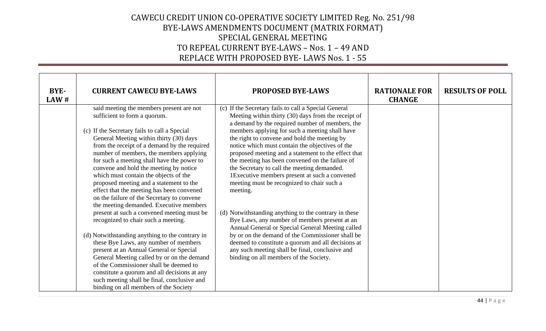| BYE-<br>LAW# | <b>CURRENT CAWECU BYE-LAWS</b>                                                                                                                                                                                                                                                                                                                                                                                                                                                                                                                                                                                                                                        | <b>PROPOSED BYE-LAWS</b>                                                                                                                                                                                                                                                                                                                                                                                                                                                                                                                                                                                                                                                                          | <b>RATIONALE FOR</b><br><b>CHANGE</b> | <b>RESULTS OF POLL</b> |
|--------------|-----------------------------------------------------------------------------------------------------------------------------------------------------------------------------------------------------------------------------------------------------------------------------------------------------------------------------------------------------------------------------------------------------------------------------------------------------------------------------------------------------------------------------------------------------------------------------------------------------------------------------------------------------------------------|---------------------------------------------------------------------------------------------------------------------------------------------------------------------------------------------------------------------------------------------------------------------------------------------------------------------------------------------------------------------------------------------------------------------------------------------------------------------------------------------------------------------------------------------------------------------------------------------------------------------------------------------------------------------------------------------------|---------------------------------------|------------------------|
|              | said meeting the members present are not<br>sufficient to form a quorum.<br>(c) If the Secretary fails to call a Special<br>General Meeting within thirty (30) days<br>from the receipt of a demand by the required<br>number of members, the members applying<br>for such a meeting shall have the power to<br>convene and hold the meeting by notice<br>which must contain the objects of the<br>proposed meeting and a statement to the<br>effect that the meeting has been convened<br>on the failure of the Secretary to convene<br>the meeting demanded. Executive members<br>present at such a convened meeting must be<br>recognized to chair such a meeting. | (c) If the Secretary fails to call a Special General<br>Meeting within thirty (30) days from the receipt of<br>a demand by the required number of members, the<br>members applying for such a meeting shall have<br>the right to convene and hold the meeting by<br>notice which must contain the objectives of the<br>proposed meeting and a statement to the effect that<br>the meeting has been convened on the failure of<br>the Secretary to call the meeting demanded.<br>1Executive members present at such a convened<br>meeting must be recognized to chair such a<br>meeting.<br>(d) Notwithstanding anything to the contrary in these<br>Bye Laws, any number of members present at an |                                       |                        |
|              | (d) Notwithstanding anything to the contrary in<br>these Bye Laws, any number of members<br>present at an Annual General or Special<br>General Meeting called by or on the demand<br>of the Commissioner shall be deemed to<br>constitute a quorum and all decisions at any<br>such meeting shall be final, conclusive and<br>binding on all members of the Society                                                                                                                                                                                                                                                                                                   | Annual General or Special General Meeting called<br>by or on the demand of the Commissioner shall be<br>deemed to constitute a quorum and all decisions at<br>any such meeting shall be final, conclusive and<br>binding on all members of the Society.                                                                                                                                                                                                                                                                                                                                                                                                                                           |                                       |                        |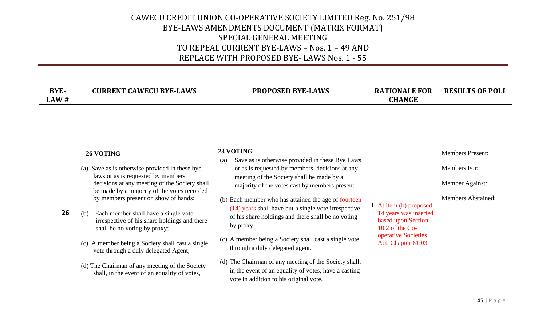| BYE-<br>LAW# | <b>CURRENT CAWECU BYE-LAWS</b>                                                                                                                                                                                                                                                                                                                                                                                                                                                                                                                                          | <b>PROPOSED BYE-LAWS</b>                                                                                                                                                                                                                                                                                                                                                                                                                                                                                                                                                                                                                                        | <b>RATIONALE FOR</b><br><b>CHANGE</b>                                                                                                     | <b>RESULTS OF POLL</b>                                                                  |
|--------------|-------------------------------------------------------------------------------------------------------------------------------------------------------------------------------------------------------------------------------------------------------------------------------------------------------------------------------------------------------------------------------------------------------------------------------------------------------------------------------------------------------------------------------------------------------------------------|-----------------------------------------------------------------------------------------------------------------------------------------------------------------------------------------------------------------------------------------------------------------------------------------------------------------------------------------------------------------------------------------------------------------------------------------------------------------------------------------------------------------------------------------------------------------------------------------------------------------------------------------------------------------|-------------------------------------------------------------------------------------------------------------------------------------------|-----------------------------------------------------------------------------------------|
|              |                                                                                                                                                                                                                                                                                                                                                                                                                                                                                                                                                                         |                                                                                                                                                                                                                                                                                                                                                                                                                                                                                                                                                                                                                                                                 |                                                                                                                                           |                                                                                         |
| 26           | 26 VOTING<br>(a) Save as is otherwise provided in these bye<br>laws or as is requested by members,<br>decisions at any meeting of the Society shall<br>be made by a majority of the votes recorded<br>by members present on show of hands;<br>Each member shall have a single vote<br>(b)<br>irrespective of his share holdings and there<br>shall be no voting by proxy;<br>(c) A member being a Society shall cast a single<br>vote through a duly delegated Agent;<br>(d) The Chairman of any meeting of the Society<br>shall, in the event of an equality of votes, | 23 VOTING<br>Save as is otherwise provided in these Bye Laws<br>(a)<br>or as is requested by members, decisions at any<br>meeting of the Society shall be made by a<br>majority of the votes cast by members present.<br>(b) Each member who has attained the age of fourteen<br>(14) years shall have but a single vote irrespective<br>of his share holdings and there shall be no voting<br>by proxy.<br>(c) A member being a Society shall cast a single vote<br>through a duly delegated agent.<br>(d) The Chairman of any meeting of the Society shall,<br>in the event of an equality of votes, have a casting<br>vote in addition to his original vote. | 1. At item (b) proposed<br>14 years was inserted<br>based upon Section<br>10.2 of the $Co-$<br>operative Societies<br>Act, Chapter 81:03. | <b>Members Present:</b><br>Members For:<br>Member Against:<br><b>Members Abstained:</b> |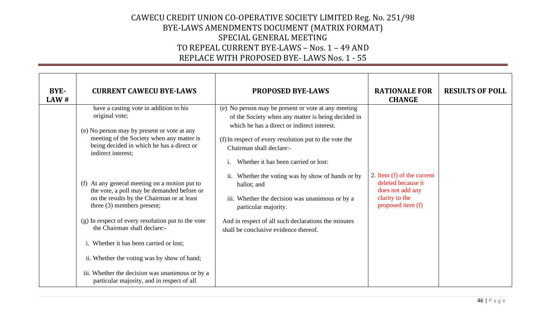| <b>BYE-</b><br>LAW# | <b>CURRENT CAWECU BYE-LAWS</b>                                                                                                                                                                                                                                | <b>PROPOSED BYE-LAWS</b>                                                                                                                                                                                                                                                               | <b>RATIONALE FOR</b><br><b>CHANGE</b>                                                                       | <b>RESULTS OF POLL</b> |
|---------------------|---------------------------------------------------------------------------------------------------------------------------------------------------------------------------------------------------------------------------------------------------------------|----------------------------------------------------------------------------------------------------------------------------------------------------------------------------------------------------------------------------------------------------------------------------------------|-------------------------------------------------------------------------------------------------------------|------------------------|
|                     | have a casting vote in addition to his<br>original vote;<br>(e) No person may by present or vote at any<br>meeting of the Society when any matter is<br>being decided in which he has a direct or<br>indirect interest;                                       | (e) No person may be present or vote at any meeting<br>of the Society when any matter is being decided in<br>which he has a direct or indirect interest.<br>(f) In respect of every resolution put to the vote the<br>Chairman shall declare:-<br>Whether it has been carried or lost: |                                                                                                             |                        |
|                     | (f) At any general meeting on a motion put to<br>the vote, a poll may be demanded before or<br>on the results by the Chairman or at least<br>three (3) members present;<br>(g) In respect of every resolution put to the vote<br>the Chairman shall declare:- | Whether the voting was by show of hands or by<br>ballot; and<br>iii. Whether the decision was unanimous or by a<br>particular majority.<br>And in respect of all such declarations the minutes<br>shall be conclusive evidence thereof.                                                | 2. Item (f) of the current<br>deleted because it<br>does not add any<br>clarity to the<br>proposed item (f) |                        |
|                     | i. Whether it has been carried or lost;<br>ii. Whether the voting was by show of hand;<br>iii. Whether the decision was unanimous or by a<br>particular majority, and in respect of all                                                                       |                                                                                                                                                                                                                                                                                        |                                                                                                             |                        |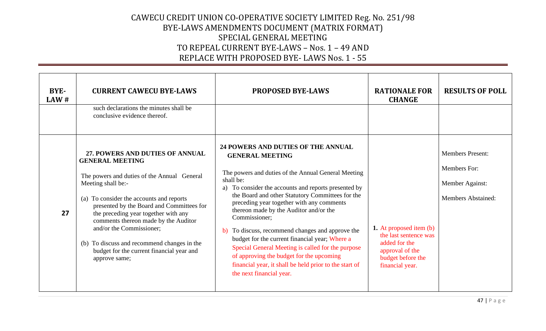| BYE-<br>LAW# | <b>CURRENT CAWECU BYE-LAWS</b><br>such declarations the minutes shall be                                                                                                                                                                                                                                          | <b>PROPOSED BYE-LAWS</b>                                                                                                                                                                                                                                                                                                                                                                                                                                                                                            | <b>RATIONALE FOR</b><br><b>CHANGE</b>                                                                                        | <b>RESULTS OF POLL</b>                                            |
|--------------|-------------------------------------------------------------------------------------------------------------------------------------------------------------------------------------------------------------------------------------------------------------------------------------------------------------------|---------------------------------------------------------------------------------------------------------------------------------------------------------------------------------------------------------------------------------------------------------------------------------------------------------------------------------------------------------------------------------------------------------------------------------------------------------------------------------------------------------------------|------------------------------------------------------------------------------------------------------------------------------|-------------------------------------------------------------------|
|              | conclusive evidence thereof.<br>27. POWERS AND DUTIES OF ANNUAL<br><b>GENERAL MEETING</b><br>The powers and duties of the Annual General<br>Meeting shall be:-                                                                                                                                                    | 24 POWERS AND DUTIES OF THE ANNUAL<br><b>GENERAL MEETING</b><br>The powers and duties of the Annual General Meeting<br>shall be:                                                                                                                                                                                                                                                                                                                                                                                    |                                                                                                                              | <b>Members Present:</b><br><b>Members For:</b><br>Member Against: |
| 27           | (a) To consider the accounts and reports<br>presented by the Board and Committees for<br>the preceding year together with any<br>comments thereon made by the Auditor<br>and/or the Commissioner;<br>To discuss and recommend changes in the<br>(b)<br>budget for the current financial year and<br>approve same; | To consider the accounts and reports presented by<br>a)<br>the Board and other Statutory Committees for the<br>preceding year together with any comments<br>thereon made by the Auditor and/or the<br>Commissioner;<br>To discuss, recommend changes and approve the<br>b)<br>budget for the current financial year; Where a<br>Special General Meeting is called for the purpose<br>of approving the budget for the upcoming<br>financial year, it shall be held prior to the start of<br>the next financial year. | 1. At proposed item (b)<br>the last sentence was<br>added for the<br>approval of the<br>budget before the<br>financial year. | <b>Members Abstained:</b>                                         |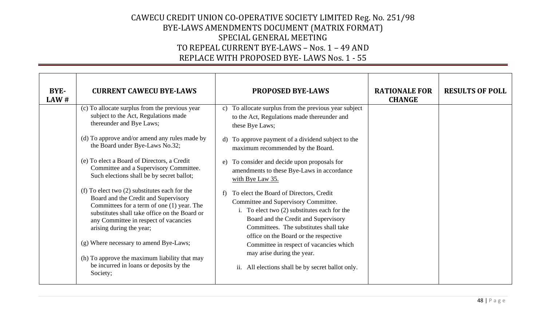| BYE-<br>LAW# | <b>CURRENT CAWECU BYE-LAWS</b>                                                                                                                                                                                                                                                                        | <b>PROPOSED BYE-LAWS</b>                                                                                                                                                                                                                                          | <b>RATIONALE FOR</b><br><b>CHANGE</b> | <b>RESULTS OF POLL</b> |
|--------------|-------------------------------------------------------------------------------------------------------------------------------------------------------------------------------------------------------------------------------------------------------------------------------------------------------|-------------------------------------------------------------------------------------------------------------------------------------------------------------------------------------------------------------------------------------------------------------------|---------------------------------------|------------------------|
|              | (c) To allocate surplus from the previous year<br>subject to the Act, Regulations made<br>thereunder and Bye Laws;                                                                                                                                                                                    | To allocate surplus from the previous year subject<br>$\mathcal{C}$ )<br>to the Act, Regulations made thereunder and<br>these Bye Laws;                                                                                                                           |                                       |                        |
|              | (d) To approve and/or amend any rules made by<br>the Board under Bye-Laws No.32;                                                                                                                                                                                                                      | To approve payment of a dividend subject to the<br>d)<br>maximum recommended by the Board.                                                                                                                                                                        |                                       |                        |
|              | (e) To elect a Board of Directors, a Credit<br>Committee and a Supervisory Committee.<br>Such elections shall be by secret ballot;                                                                                                                                                                    | To consider and decide upon proposals for<br>e)<br>amendments to these Bye-Laws in accordance<br>with Bye Law 35.                                                                                                                                                 |                                       |                        |
|              | (f) To elect two $(2)$ substitutes each for the<br>Board and the Credit and Supervisory<br>Committees for a term of one (1) year. The<br>substitutes shall take office on the Board or<br>any Committee in respect of vacancies<br>arising during the year;<br>(g) Where necessary to amend Bye-Laws; | To elect the Board of Directors, Credit<br>f<br>Committee and Supervisory Committee.<br>i. To elect two $(2)$ substitutes each for the<br>Board and the Credit and Supervisory<br>Committees. The substitutes shall take<br>office on the Board or the respective |                                       |                        |
|              | (h) To approve the maximum liability that may<br>be incurred in loans or deposits by the<br>Society;                                                                                                                                                                                                  | Committee in respect of vacancies which<br>may arise during the year.<br>ii. All elections shall be by secret ballot only.                                                                                                                                        |                                       |                        |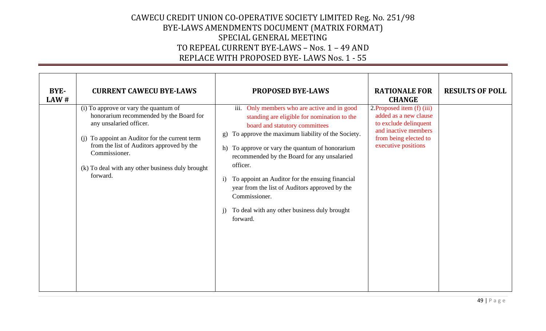| <b>BYE-</b><br>LAW# | <b>CURRENT CAWECU BYE-LAWS</b>                                                                                                                                                                                                                                                              | <b>PROPOSED BYE-LAWS</b>                                                                                                                                                                                                                                                                                                                                                                                                                                                                                   | <b>RATIONALE FOR</b><br><b>CHANGE</b>                                                                                                                  | <b>RESULTS OF POLL</b> |
|---------------------|---------------------------------------------------------------------------------------------------------------------------------------------------------------------------------------------------------------------------------------------------------------------------------------------|------------------------------------------------------------------------------------------------------------------------------------------------------------------------------------------------------------------------------------------------------------------------------------------------------------------------------------------------------------------------------------------------------------------------------------------------------------------------------------------------------------|--------------------------------------------------------------------------------------------------------------------------------------------------------|------------------------|
|                     | (i) To approve or vary the quantum of<br>honorarium recommended by the Board for<br>any unsalaried officer.<br>(j) To appoint an Auditor for the current term<br>from the list of Auditors approved by the<br>Commissioner.<br>(k) To deal with any other business duly brought<br>forward. | iii. Only members who are active and in good<br>standing are eligible for nomination to the<br>board and statutory committees<br>To approve the maximum liability of the Society.<br>g)<br>To approve or vary the quantum of honorarium<br>h)<br>recommended by the Board for any unsalaried<br>officer.<br>To appoint an Auditor for the ensuing financial<br>$\mathbf{i}$<br>year from the list of Auditors approved by the<br>Commissioner.<br>To deal with any other business duly brought<br>forward. | 2. Proposed item $(f)$ (iii)<br>added as a new clause<br>to exclude delinquent<br>and inactive members<br>from being elected to<br>executive positions |                        |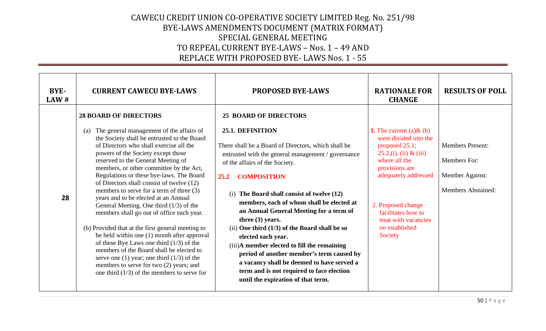| BYE-<br>LAW# | <b>CURRENT CAWECU BYE-LAWS</b>                                                                                                                                                                                                                                                                                                                                                                                                                                                                                                                                                                                                                                                                                                                                                                                                                                                                                    | <b>PROPOSED BYE-LAWS</b>                                                                                                                                                                                                                                                                                                                                                                                                                                                                                                                                                                                                                                                                        | <b>RATIONALE FOR</b><br><b>CHANGE</b>                                                                                                                                                                                                                                   | <b>RESULTS OF POLL</b>                                                                  |
|--------------|-------------------------------------------------------------------------------------------------------------------------------------------------------------------------------------------------------------------------------------------------------------------------------------------------------------------------------------------------------------------------------------------------------------------------------------------------------------------------------------------------------------------------------------------------------------------------------------------------------------------------------------------------------------------------------------------------------------------------------------------------------------------------------------------------------------------------------------------------------------------------------------------------------------------|-------------------------------------------------------------------------------------------------------------------------------------------------------------------------------------------------------------------------------------------------------------------------------------------------------------------------------------------------------------------------------------------------------------------------------------------------------------------------------------------------------------------------------------------------------------------------------------------------------------------------------------------------------------------------------------------------|-------------------------------------------------------------------------------------------------------------------------------------------------------------------------------------------------------------------------------------------------------------------------|-----------------------------------------------------------------------------------------|
| 28           | <b>28 BOARD OF DIRECTORS</b><br>The general management of the affairs of<br>(a)<br>the Society shall be entrusted to the Board<br>of Directors who shall exercise all the<br>powers of the Society except those<br>reserved to the General Meeting of<br>members, or other committee by the Act,<br>Regulations or these bye-laws. The Board<br>of Directors shall consist of twelve (12)<br>members to serve for a term of three (3)<br>years and to be elected at an Annual<br>General Meeting. One third $(1/3)$ of the<br>members shall go out of office each year.<br>(b) Provided that at the first general meeting to<br>be held within one (1) month after approval<br>of these Bye Laws one third $(1/3)$ of the<br>members of the Board shall be elected to<br>serve one (1) year; one third $(1/3)$ of the<br>members to serve for two (2) years; and<br>one third $(1/3)$ of the members to serve for | <b>25 BOARD OF DIRECTORS</b><br>25.1. DEFINITION<br>There shall be a Board of Directors, which shall be<br>entrusted with the general management / governance<br>of the affairs of the Society.<br><b>COMPOSITION</b><br>25.2<br>(i) The Board shall consist of twelve (12)<br>members, each of whom shall be elected at<br>an Annual General Meeting for a term of<br>three $(3)$ years.<br>(ii) One third $(1/3)$ of the Board shall be so<br>elected each year.<br>(iii)A member elected to fill the remaining<br>period of another member's term caused by<br>a vacancy shall be deemed to have served a<br>term and is not required to face election<br>until the expiration of that term. | <b>1.</b> The current (a) $\&$ (b)<br>were divided into the<br>proposed 25.1;<br>$25.2$ , (i), (ii) & (iii)<br>where all the<br>provisions are<br>adequately addressed<br>2. Proposed change<br>facilitates how to<br>treat with vacancies<br>on established<br>Society | <b>Members Present:</b><br>Members For:<br>Member Against:<br><b>Members Abstained:</b> |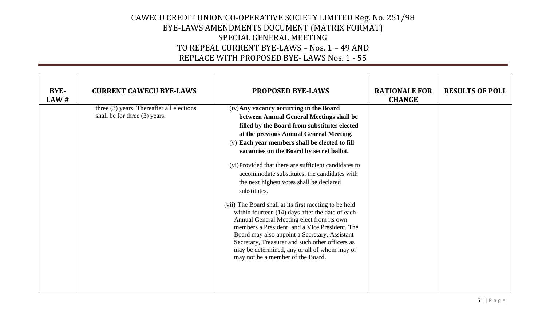| BYE-<br>LAW# | <b>CURRENT CAWECU BYE-LAWS</b>                                             | <b>PROPOSED BYE-LAWS</b>                                                                                                                                                                                                                                                                                                                                                                                                                                                                                                                                                                                                                                                                                                                                                                                                                              | <b>RATIONALE FOR</b><br><b>CHANGE</b> | <b>RESULTS OF POLL</b> |
|--------------|----------------------------------------------------------------------------|-------------------------------------------------------------------------------------------------------------------------------------------------------------------------------------------------------------------------------------------------------------------------------------------------------------------------------------------------------------------------------------------------------------------------------------------------------------------------------------------------------------------------------------------------------------------------------------------------------------------------------------------------------------------------------------------------------------------------------------------------------------------------------------------------------------------------------------------------------|---------------------------------------|------------------------|
|              | three (3) years. Thereafter all elections<br>shall be for three (3) years. | (iv) Any vacancy occurring in the Board<br>between Annual General Meetings shall be<br>filled by the Board from substitutes elected<br>at the previous Annual General Meeting.<br>(v) Each year members shall be elected to fill<br>vacancies on the Board by secret ballot.<br>(vi)Provided that there are sufficient candidates to<br>accommodate substitutes, the candidates with<br>the next highest votes shall be declared<br>substitutes.<br>(vii) The Board shall at its first meeting to be held<br>within fourteen (14) days after the date of each<br>Annual General Meeting elect from its own<br>members a President, and a Vice President. The<br>Board may also appoint a Secretary, Assistant<br>Secretary, Treasurer and such other officers as<br>may be determined, any or all of whom may or<br>may not be a member of the Board. |                                       |                        |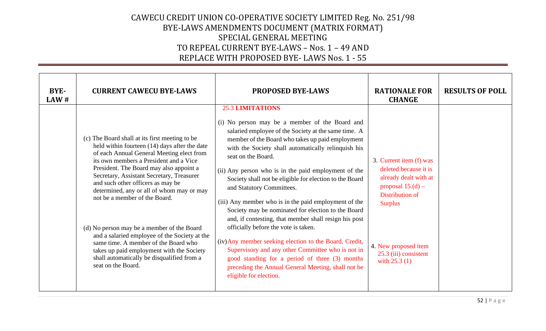| BYE-<br>LAW# | <b>CURRENT CAWECU BYE-LAWS</b>                                                                                                                                                                                                                                                                                                                                                                                                                                                                                                                                                                                                                            | <b>PROPOSED BYE-LAWS</b>                                                                                                                                                                                                                                                                                                                                                                                                                                                                                                                                                                                                                                                                                                                                                                                                                                                            | <b>RATIONALE FOR</b><br><b>CHANGE</b>                                                                                                                                                                    | <b>RESULTS OF POLL</b> |
|--------------|-----------------------------------------------------------------------------------------------------------------------------------------------------------------------------------------------------------------------------------------------------------------------------------------------------------------------------------------------------------------------------------------------------------------------------------------------------------------------------------------------------------------------------------------------------------------------------------------------------------------------------------------------------------|-------------------------------------------------------------------------------------------------------------------------------------------------------------------------------------------------------------------------------------------------------------------------------------------------------------------------------------------------------------------------------------------------------------------------------------------------------------------------------------------------------------------------------------------------------------------------------------------------------------------------------------------------------------------------------------------------------------------------------------------------------------------------------------------------------------------------------------------------------------------------------------|----------------------------------------------------------------------------------------------------------------------------------------------------------------------------------------------------------|------------------------|
|              | (c) The Board shall at its first meeting to be<br>held within fourteen (14) days after the date<br>of each Annual General Meeting elect from<br>its own members a President and a Vice<br>President. The Board may also appoint a<br>Secretary, Assistant Secretary, Treasurer<br>and such other officers as may be<br>determined, any or all of whom may or may<br>not be a member of the Board.<br>(d) No person may be a member of the Board<br>and a salaried employee of the Society at the<br>same time. A member of the Board who<br>takes up paid employment with the Society<br>shall automatically be disqualified from a<br>seat on the Board. | <b>25.3 LIMITATIONS</b><br>(i) No person may be a member of the Board and<br>salaried employee of the Society at the same time. A<br>member of the Board who takes up paid employment<br>with the Society shall automatically relinquish his<br>seat on the Board.<br>(ii) Any person who is in the paid employment of the<br>Society shall not be eligible for election to the Board<br>and Statutory Committees.<br>(iii) Any member who is in the paid employment of the<br>Society may be nominated for election to the Board<br>and, if contesting, that member shall resign his post<br>officially before the vote is taken.<br>(iv) Any member seeking election to the Board, Credit,<br>Supervisory and any other Committee who is not in<br>good standing for a period of three (3) months<br>preceding the Annual General Meeting, shall not be<br>eligible for election. | 3. Current item (f) was<br>deleted because it is<br>already dealt with at<br>proposal $15.(d)$ –<br>Distribution of<br><b>Surplus</b><br>4. New proposed item<br>25.3 (iii) consistent<br>with $25.3(1)$ |                        |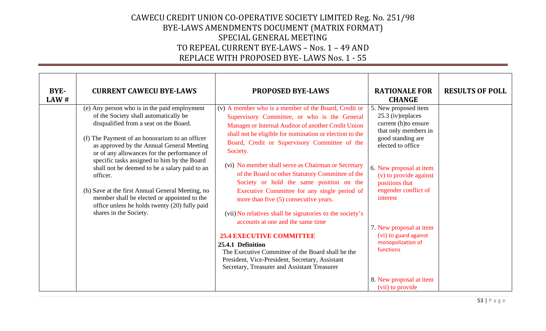| BYE-<br>LAW# | <b>CURRENT CAWECU BYE-LAWS</b>                                                                                                                                                                                                                             | <b>PROPOSED BYE-LAWS</b>                                                                                                                                                                                                                                                | <b>RATIONALE FOR</b><br><b>CHANGE</b>                                                                                                | <b>RESULTS OF POLL</b> |
|--------------|------------------------------------------------------------------------------------------------------------------------------------------------------------------------------------------------------------------------------------------------------------|-------------------------------------------------------------------------------------------------------------------------------------------------------------------------------------------------------------------------------------------------------------------------|--------------------------------------------------------------------------------------------------------------------------------------|------------------------|
|              | (e) Any person who is in the paid employment<br>of the Society shall automatically be<br>disqualified from a seat on the Board.<br>(f) The Payment of an honorarium to an officer<br>as approved by the Annual General Meeting                             | (v) A member who is a member of the Board, Credit or<br>Supervisory Committee, or who is the General<br>Manager or Internal Auditor of another Credit Union<br>shall not be eligible for nomination or election to the<br>Board, Credit or Supervisory Committee of the | 5. New proposed item<br>25.3 (iv) replaces<br>current (h)to ensure<br>that only members in<br>good standing are<br>elected to office |                        |
|              | or of any allowances for the performance of<br>specific tasks assigned to him by the Board<br>shall not be deemed to be a salary paid to an<br>officer.<br>(h) Save at the first Annual General Meeting, no<br>member shall be elected or appointed to the | Society.<br>(vi) No member shall serve as Chairman or Secretary<br>of the Board or other Statutory Committee of the<br>Society or hold the same position on the<br>Executive Committee for any single period of                                                         | 6. New proposal at item<br>(v) to provide against<br>positions that<br>engender conflict of<br>interest                              |                        |
|              | office unless he holds twenty (20) fully paid<br>shares in the Society.                                                                                                                                                                                    | more than five (5) consecutive years.<br>(vii) No relatives shall be signatories to the society's<br>accounts at one and the same time<br><b>25.4 EXECUTIVE COMMITTEE</b><br>25.4.1 Definition                                                                          | 7. New proposal at item<br>(vi) to guard against<br>monopolization of                                                                |                        |
|              |                                                                                                                                                                                                                                                            | The Executive Committee of the Board shall be the<br>President, Vice-President, Secretary, Assistant<br>Secretary, Treasurer and Assistant Treasurer                                                                                                                    | functions<br>8. New proposal at item<br>(vii) to provide                                                                             |                        |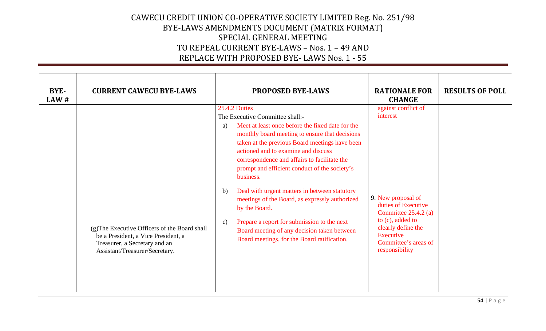| BYE-<br>LAW# | <b>CURRENT CAWECU BYE-LAWS</b>                                                                                                                          | <b>PROPOSED BYE-LAWS</b>                                                                                                                                                                                                                                                                                                                                                                                                                                                                                                                                                                                                                                           | <b>RATIONALE FOR</b><br><b>CHANGE</b>                                                                                                                                                                   | <b>RESULTS OF POLL</b> |
|--------------|---------------------------------------------------------------------------------------------------------------------------------------------------------|--------------------------------------------------------------------------------------------------------------------------------------------------------------------------------------------------------------------------------------------------------------------------------------------------------------------------------------------------------------------------------------------------------------------------------------------------------------------------------------------------------------------------------------------------------------------------------------------------------------------------------------------------------------------|---------------------------------------------------------------------------------------------------------------------------------------------------------------------------------------------------------|------------------------|
|              | (g) The Executive Officers of the Board shall<br>be a President, a Vice President, a<br>Treasurer, a Secretary and an<br>Assistant/Treasurer/Secretary. | <b>25.4.2 Duties</b><br>The Executive Committee shall:-<br>Meet at least once before the fixed date for the<br>a)<br>monthly board meeting to ensure that decisions<br>taken at the previous Board meetings have been<br>actioned and to examine and discuss<br>correspondence and affairs to facilitate the<br>prompt and efficient conduct of the society's<br>business.<br>Deal with urgent matters in between statutory<br>b)<br>meetings of the Board, as expressly authorized<br>by the Board.<br>Prepare a report for submission to the next<br>$\mathbf{c})$<br>Board meeting of any decision taken between<br>Board meetings, for the Board ratification. | against conflict of<br>interest<br>9. New proposal of<br>duties of Executive<br>Committee $25.4.2$ (a)<br>to (c), added to<br>clearly define the<br>Executive<br>Committee's areas of<br>responsibility |                        |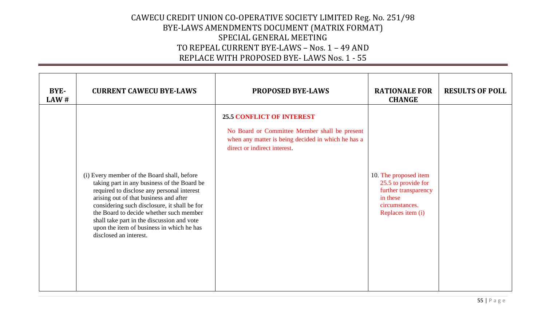| BYE-<br>LAW# | <b>CURRENT CAWECU BYE-LAWS</b>                                                                                                                                                                                                                                                                                                                                                                     | <b>PROPOSED BYE-LAWS</b>                                                                                                                                                | <b>RATIONALE FOR</b><br><b>CHANGE</b>                                                                                   | <b>RESULTS OF POLL</b> |
|--------------|----------------------------------------------------------------------------------------------------------------------------------------------------------------------------------------------------------------------------------------------------------------------------------------------------------------------------------------------------------------------------------------------------|-------------------------------------------------------------------------------------------------------------------------------------------------------------------------|-------------------------------------------------------------------------------------------------------------------------|------------------------|
|              | (i) Every member of the Board shall, before<br>taking part in any business of the Board be<br>required to disclose any personal interest<br>arising out of that business and after<br>considering such disclosure, it shall be for<br>the Board to decide whether such member<br>shall take part in the discussion and vote<br>upon the item of business in which he has<br>disclosed an interest. | <b>25.5 CONFLICT OF INTEREST</b><br>No Board or Committee Member shall be present<br>when any matter is being decided in which he has a<br>direct or indirect interest. | 10. The proposed item<br>25.5 to provide for<br>further transparency<br>in these<br>circumstances.<br>Replaces item (i) |                        |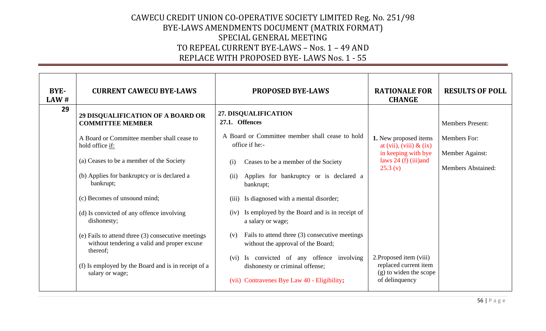| <b>BYE-</b><br>LAW# | <b>CURRENT CAWECU BYE-LAWS</b>                                                                                                                                                                                                                                                                                                                                                                                                                               | <b>PROPOSED BYE-LAWS</b>                                                                                                                                                                                                                                                                                                                                                                                                                                                                                                                          | <b>RATIONALE FOR</b><br><b>CHANGE</b>                                                                                                                                                                           | <b>RESULTS OF POLL</b>                                       |
|---------------------|--------------------------------------------------------------------------------------------------------------------------------------------------------------------------------------------------------------------------------------------------------------------------------------------------------------------------------------------------------------------------------------------------------------------------------------------------------------|---------------------------------------------------------------------------------------------------------------------------------------------------------------------------------------------------------------------------------------------------------------------------------------------------------------------------------------------------------------------------------------------------------------------------------------------------------------------------------------------------------------------------------------------------|-----------------------------------------------------------------------------------------------------------------------------------------------------------------------------------------------------------------|--------------------------------------------------------------|
| 29                  | <b>29 DISQUALIFICATION OF A BOARD OR</b><br><b>COMMITTEE MEMBER</b>                                                                                                                                                                                                                                                                                                                                                                                          | 27. DISQUALIFICATION<br>27.1. Offences                                                                                                                                                                                                                                                                                                                                                                                                                                                                                                            |                                                                                                                                                                                                                 | <b>Members Present:</b>                                      |
|                     | A Board or Committee member shall cease to<br>hold office if:<br>(a) Ceases to be a member of the Society<br>(b) Applies for bankruptcy or is declared a<br>bankrupt;<br>(c) Becomes of unsound mind;<br>(d) Is convicted of any offence involving<br>dishonesty;<br>(e) Fails to attend three (3) consecutive meetings<br>without tendering a valid and proper excuse<br>thereof;<br>(f) Is employed by the Board and is in receipt of a<br>salary or wage; | A Board or Committee member shall cease to hold<br>office if he:-<br>Ceases to be a member of the Society<br>(i)<br>Applies for bankruptcy or is declared a<br>(ii)<br>bankrupt;<br>Is diagnosed with a mental disorder;<br>(iii)<br>Is employed by the Board and is in receipt of<br>(iv)<br>a salary or wage;<br>Fails to attend three (3) consecutive meetings<br>(v)<br>without the approval of the Board;<br>Is convicted of any offence involving<br>(vi)<br>dishonesty or criminal offense;<br>(vii) Contravenes Bye Law 40 - Eligibility; | 1. New proposed items<br>at (vii), (viii) $\&$ (ix)<br>in keeping with bye<br>laws $24(f)$ (iii) and<br>25.3(y)<br>2. Proposed item (viii)<br>replaced current item<br>(g) to widen the scope<br>of delinquency | Members For:<br>Member Against:<br><b>Members Abstained:</b> |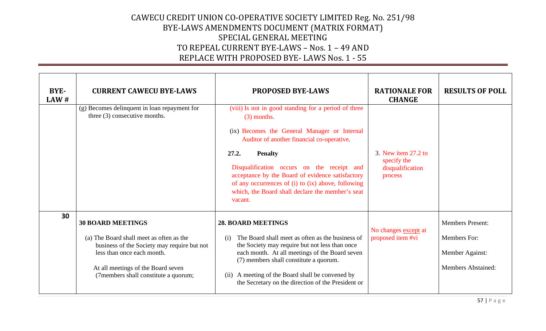| BYE-<br>LAW# | <b>CURRENT CAWECU BYE-LAWS</b>                                                                                                                                                                                                  | <b>PROPOSED BYE-LAWS</b>                                                                                                                                                                                                                                                                                                                                                                                              | <b>RATIONALE FOR</b><br><b>CHANGE</b>                             | <b>RESULTS OF POLL</b>                                                           |
|--------------|---------------------------------------------------------------------------------------------------------------------------------------------------------------------------------------------------------------------------------|-----------------------------------------------------------------------------------------------------------------------------------------------------------------------------------------------------------------------------------------------------------------------------------------------------------------------------------------------------------------------------------------------------------------------|-------------------------------------------------------------------|----------------------------------------------------------------------------------|
|              | (g) Becomes delinquent in loan repayment for<br>three $(3)$ consecutive months.                                                                                                                                                 | (viii) Is not in good standing for a period of three<br>$(3)$ months.<br>(ix) Becomes the General Manager or Internal<br>Auditor of another financial co-operative.<br>27.2.<br><b>Penalty</b><br>Disqualification occurs on the receipt and<br>acceptance by the Board of evidence satisfactory<br>of any occurrences of (i) to (ix) above, following<br>which, the Board shall declare the member's seat<br>vacant. | 3. New item 27.2 to<br>specify the<br>disqualification<br>process |                                                                                  |
| 30           | <b>30 BOARD MEETINGS</b><br>(a) The Board shall meet as often as the<br>business of the Society may require but not<br>less than once each month.<br>At all meetings of the Board seven<br>(7members shall constitute a quorum; | <b>28. BOARD MEETINGS</b><br>The Board shall meet as often as the business of<br>( <i>i</i> )<br>the Society may require but not less than once<br>each month. At all meetings of the Board seven<br>(7) members shall constitute a quorum.<br>A meeting of the Board shall be convened by<br>(ii)<br>the Secretary on the direction of the President or                                                              | No changes except at<br>proposed item #vi                         | <b>Members Present:</b><br>Members For:<br>Member Against:<br>Members Abstained: |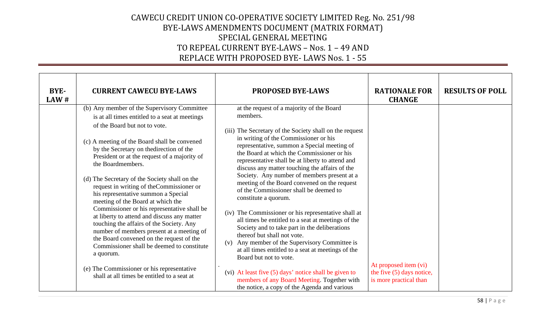| <b>BYE-</b><br>LAW# | <b>CURRENT CAWECU BYE-LAWS</b>                                                                                                                                                                                                                                                                                                                                                                                                                                                                                                                                                                                                                                                                                                                                                                                                                                          | <b>PROPOSED BYE-LAWS</b>                                                                                                                                                                                                                                                                                                                                                                                                                                                                                                                                                                                                                                                                                                                                                                                                                                                                                                                                                                                              | <b>RATIONALE FOR</b><br><b>CHANGE</b>                                        | <b>RESULTS OF POLL</b> |
|---------------------|-------------------------------------------------------------------------------------------------------------------------------------------------------------------------------------------------------------------------------------------------------------------------------------------------------------------------------------------------------------------------------------------------------------------------------------------------------------------------------------------------------------------------------------------------------------------------------------------------------------------------------------------------------------------------------------------------------------------------------------------------------------------------------------------------------------------------------------------------------------------------|-----------------------------------------------------------------------------------------------------------------------------------------------------------------------------------------------------------------------------------------------------------------------------------------------------------------------------------------------------------------------------------------------------------------------------------------------------------------------------------------------------------------------------------------------------------------------------------------------------------------------------------------------------------------------------------------------------------------------------------------------------------------------------------------------------------------------------------------------------------------------------------------------------------------------------------------------------------------------------------------------------------------------|------------------------------------------------------------------------------|------------------------|
|                     | (b) Any member of the Supervisory Committee<br>is at all times entitled to a seat at meetings<br>of the Board but not to vote.<br>(c) A meeting of the Board shall be convened<br>by the Secretary on the<br>direction of the<br>President or at the request of a majority of<br>the Boardmembers.<br>(d) The Secretary of the Society shall on the<br>request in writing of the Commissioner or<br>his representative summon a Special<br>meeting of the Board at which the<br>Commissioner or his representative shall be<br>at liberty to attend and discuss any matter<br>touching the affairs of the Society. Any<br>number of members present at a meeting of<br>the Board convened on the request of the<br>Commissioner shall be deemed to constitute<br>a quorum.<br>(e) The Commissioner or his representative<br>shall at all times be entitled to a seat at | at the request of a majority of the Board<br>members.<br>(iii) The Secretary of the Society shall on the request<br>in writing of the Commissioner or his<br>representative, summon a Special meeting of<br>the Board at which the Commissioner or his<br>representative shall be at liberty to attend and<br>discuss any matter touching the affairs of the<br>Society. Any number of members present at a<br>meeting of the Board convened on the request<br>of the Commissioner shall be deemed to<br>constitute a quorum.<br>(iv) The Commissioner or his representative shall at<br>all times be entitled to a seat at meetings of the<br>Society and to take part in the deliberations<br>thereof but shall not vote.<br>(v) Any member of the Supervisory Committee is<br>at all times entitled to a seat at meetings of the<br>Board but not to vote.<br>(vi) At least five (5) days' notice shall be given to<br>members of any Board Meeting. Together with<br>the notice, a copy of the Agenda and various | At proposed item (vi)<br>the five (5) days notice,<br>is more practical than |                        |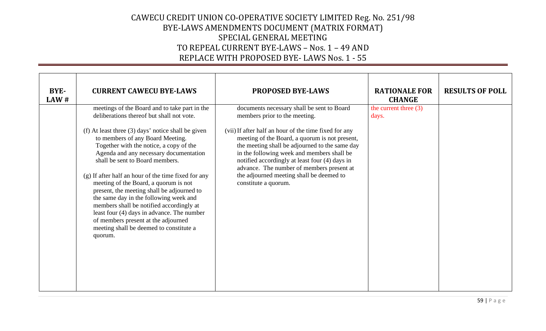| BYE-<br>LAW # | <b>CURRENT CAWECU BYE-LAWS</b>                                                                                                                                                                                                                                                                                                                                                                                                                                                                                                                                                                  | <b>PROPOSED BYE-LAWS</b>                                                                                                                                                                                                                                                                                                                                                   | <b>RATIONALE FOR</b><br><b>CHANGE</b> | <b>RESULTS OF POLL</b> |
|---------------|-------------------------------------------------------------------------------------------------------------------------------------------------------------------------------------------------------------------------------------------------------------------------------------------------------------------------------------------------------------------------------------------------------------------------------------------------------------------------------------------------------------------------------------------------------------------------------------------------|----------------------------------------------------------------------------------------------------------------------------------------------------------------------------------------------------------------------------------------------------------------------------------------------------------------------------------------------------------------------------|---------------------------------------|------------------------|
|               | meetings of the Board and to take part in the<br>deliberations thereof but shall not vote.                                                                                                                                                                                                                                                                                                                                                                                                                                                                                                      | documents necessary shall be sent to Board<br>members prior to the meeting.                                                                                                                                                                                                                                                                                                | the current three $(3)$<br>days.      |                        |
|               | (f) At least three $(3)$ days' notice shall be given<br>to members of any Board Meeting.<br>Together with the notice, a copy of the<br>Agenda and any necessary documentation<br>shall be sent to Board members.<br>(g) If after half an hour of the time fixed for any<br>meeting of the Board, a quorum is not<br>present, the meeting shall be adjourned to<br>the same day in the following week and<br>members shall be notified accordingly at<br>least four (4) days in advance. The number<br>of members present at the adjourned<br>meeting shall be deemed to constitute a<br>quorum. | (vii) If after half an hour of the time fixed for any<br>meeting of the Board, a quorum is not present,<br>the meeting shall be adjourned to the same day<br>in the following week and members shall be<br>notified accordingly at least four (4) days in<br>advance. The number of members present at<br>the adjourned meeting shall be deemed to<br>constitute a quorum. |                                       |                        |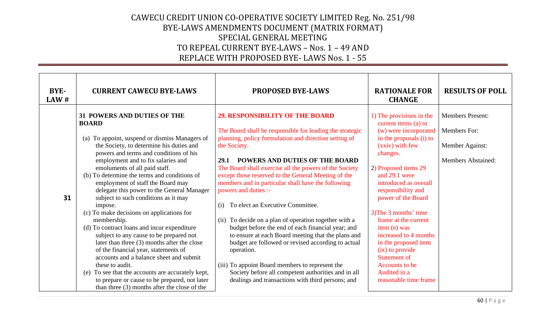| <b>BYE-</b><br>LAW# | <b>CURRENT CAWECU BYE-LAWS</b>                                                                                                                                                                                                                                                                                                                                                                                                                                                                                                                                                                                                                                                                                                                                                                                                                                                                                                   | <b>PROPOSED BYE-LAWS</b>                                                                                                                                                                                                                                                                                                                                                                                                                                                                                                                                                                                                                                                                                                                                                                                                                                                      | <b>RATIONALE FOR</b><br><b>CHANGE</b>                                                                                                                                                                                                                                                                                                                                                                                                                                    | <b>RESULTS OF POLL</b>                                                                  |
|---------------------|----------------------------------------------------------------------------------------------------------------------------------------------------------------------------------------------------------------------------------------------------------------------------------------------------------------------------------------------------------------------------------------------------------------------------------------------------------------------------------------------------------------------------------------------------------------------------------------------------------------------------------------------------------------------------------------------------------------------------------------------------------------------------------------------------------------------------------------------------------------------------------------------------------------------------------|-------------------------------------------------------------------------------------------------------------------------------------------------------------------------------------------------------------------------------------------------------------------------------------------------------------------------------------------------------------------------------------------------------------------------------------------------------------------------------------------------------------------------------------------------------------------------------------------------------------------------------------------------------------------------------------------------------------------------------------------------------------------------------------------------------------------------------------------------------------------------------|--------------------------------------------------------------------------------------------------------------------------------------------------------------------------------------------------------------------------------------------------------------------------------------------------------------------------------------------------------------------------------------------------------------------------------------------------------------------------|-----------------------------------------------------------------------------------------|
| 31                  | <b>31 POWERS AND DUTIES OF THE</b><br><b>BOARD</b><br>To appoint, suspend or dismiss Managers of<br>(a)<br>the Society, to determine his duties and<br>powers and terms and conditions of his<br>employment and to fix salaries and<br>emoluments of all paid staff.<br>(b) To determine the terms and conditions of<br>employment of staff the Board may<br>delegate this power to the General Manager<br>subject to such conditions as it may<br>impose.<br>(c) To make decisions on applications for<br>membership.<br>(d) To contract loans and incur expenditure<br>subject to any cause to be prepared not<br>later than three (3) months after the close<br>of the financial year, statements of<br>accounts and a balance sheet and submit<br>these to audit.<br>To see that the accounts are accurately kept,<br>(e)<br>to prepare or cause to be prepared, not later<br>than three $(3)$ months after the close of the | <b>29. RESPONSIBILITY OF THE BOARD</b><br>The Board shall be responsible for leading the strategic<br>planning, policy formulation and direction setting of<br>the Society.<br><b>POWERS AND DUTIES OF THE BOARD</b><br>29.1<br>The Board shall exercise all the powers of the Society<br>except those reserved to the General Meeting of the<br>members and in particular shall have the following<br>powers and duties :-<br>To elect an Executive Committee.<br>(i)<br>(ii) To decide on a plan of operation together with a<br>budget before the end of each financial year; and<br>to ensure at each Board meeting that the plans and<br>budget are followed or revised according to actual<br>operation.<br>(iii) To appoint Board members to represent the<br>Society before all competent authorities and in all<br>dealings and transactions with third persons; and | 1) The provisions in the<br>current items (a) to<br>(w) were incorporated<br>in the proposals (i) to<br>(xxiv) with few<br>changes.<br>2) Proposed items 29<br>and 29.1 were<br>introduced as overall<br>responsibility and<br>power of the Board<br>3) The 3 months' time<br>frame at the current<br>item (e) was<br>increased to 4 months<br>in the proposed item<br>(ix) to provide<br><b>Statement of</b><br>Accounts to be<br>Audited in a<br>reasonable time frame | <b>Members Present:</b><br>Members For:<br>Member Against:<br><b>Members Abstained:</b> |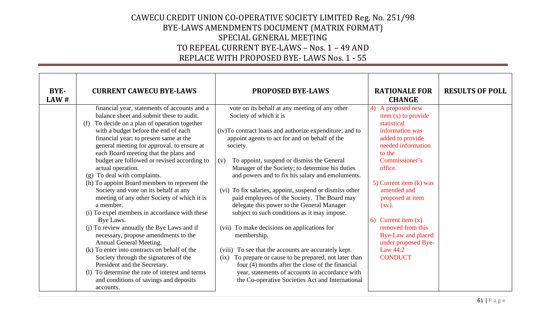| BYE-<br>LAW# | <b>CURRENT CAWECU BYE-LAWS</b>                                                                                                                                                                                                                                                                                                                                                                                                                                                                                                                                                                                                                                                                                                                                                                                                                                                                                                                                                                    | <b>PROPOSED BYE-LAWS</b>                                                                                                                                                                                                                                                                                                                                                                                                                                                                                                                                                                                                                                                                                                                                                                                                                                                                                              | <b>RATIONALE FOR</b><br><b>CHANGE</b>                                                                                                                                                                                                                                                                                                                                      | <b>RESULTS OF POLL</b> |
|--------------|---------------------------------------------------------------------------------------------------------------------------------------------------------------------------------------------------------------------------------------------------------------------------------------------------------------------------------------------------------------------------------------------------------------------------------------------------------------------------------------------------------------------------------------------------------------------------------------------------------------------------------------------------------------------------------------------------------------------------------------------------------------------------------------------------------------------------------------------------------------------------------------------------------------------------------------------------------------------------------------------------|-----------------------------------------------------------------------------------------------------------------------------------------------------------------------------------------------------------------------------------------------------------------------------------------------------------------------------------------------------------------------------------------------------------------------------------------------------------------------------------------------------------------------------------------------------------------------------------------------------------------------------------------------------------------------------------------------------------------------------------------------------------------------------------------------------------------------------------------------------------------------------------------------------------------------|----------------------------------------------------------------------------------------------------------------------------------------------------------------------------------------------------------------------------------------------------------------------------------------------------------------------------------------------------------------------------|------------------------|
|              | financial year, statements of accounts and a<br>balance sheet and submit these to audit.<br>To decide on a plan of operation together<br>(f)<br>with a budget before the end of each<br>financial year; to present same at the<br>general meeting for approval, to ensure at<br>each Board meeting that the plans and<br>budget are followed or revised according to<br>actual operation.<br>(g) To deal with complaints.<br>(h) To appoint Board members to represent the<br>Society and vote on its behalf at any<br>meeting of any other Society of which it is<br>a member.<br>(i) To expel members in accordance with these<br>Bye Laws.<br>(j) To review annually the Bye Laws and if<br>necessary, propose amendments to the<br>Annual General Meeting.<br>(k) To enter into contracts on behalf of the<br>Society through the signatures of the<br>President and the Secretary.<br>(1) To determine the rate of interest and terms<br>and conditions of savings and deposits<br>accounts. | vote on its behalf at any meeting of any other<br>Society of which it is<br>(iv)To contract loans and authorize expenditure; and to<br>appoint agents to act for and on behalf of the<br>society.<br>To appoint, suspend or dismiss the General<br>(v)<br>Manager of the Society; to determine his duties<br>and powers and to fix his salary and emoluments.<br>(vi) To fix salaries, appoint, suspend or dismiss other<br>paid employees of the Society. The Board may<br>delegate this power to the General Manager<br>subject to such conditions as it may impose.<br>(vii) To make decisions on applications for<br>membership.<br>(viii) To see that the accounts are accurately kept.<br>To prepare or cause to be prepared, not later than<br>(ix)<br>four (4) months after the close of the financial<br>year, statements of accounts in accordance with<br>the Co-operative Societies Act and International | 4) A proposed new<br>item (x) to provide<br>statistical<br>information was<br>added to provide<br>needed information<br>to the<br>Commissioner's<br>office.<br>5) Current item (k) was<br>amended and<br>proposed at item<br>$\left( xy\right)$ .<br>6) Current item $(x)$<br>removed from this<br>Bye-Law and placed<br>under proposed Bye-<br>Law 44.2<br><b>CONDUCT</b> |                        |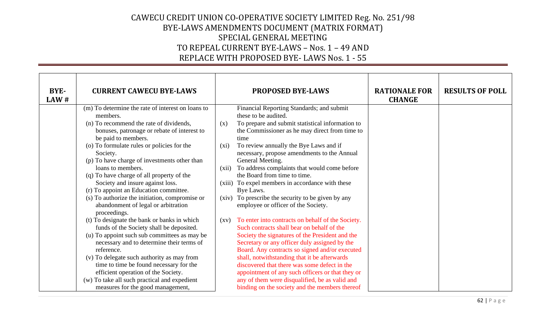| <b>BYE-</b><br>LAW# | <b>CURRENT CAWECU BYE-LAWS</b>                                                                                          |                    | <b>PROPOSED BYE-LAWS</b>                                                                                                                           | <b>RATIONALE FOR</b><br><b>CHANGE</b> | <b>RESULTS OF POLL</b> |
|---------------------|-------------------------------------------------------------------------------------------------------------------------|--------------------|----------------------------------------------------------------------------------------------------------------------------------------------------|---------------------------------------|------------------------|
|                     | (m) To determine the rate of interest on loans to<br>members.                                                           |                    | Financial Reporting Standards; and submit<br>these to be audited.                                                                                  |                                       |                        |
|                     | (n) To recommend the rate of dividends,<br>bonuses, patronage or rebate of interest to<br>be paid to members.           | (x)                | To prepare and submit statistical information to<br>the Commissioner as he may direct from time to<br>time                                         |                                       |                        |
|                     | (o) To formulate rules or policies for the<br>Society.<br>(p) To have charge of investments other than                  | $(x_i)$            | To review annually the Bye Laws and if<br>necessary, propose amendments to the Annual<br>General Meeting.                                          |                                       |                        |
|                     | loans to members.                                                                                                       | (xii)              | To address complaints that would come before                                                                                                       |                                       |                        |
|                     | (q) To have charge of all property of the<br>Society and insure against loss.<br>(r) To appoint an Education committee. |                    | the Board from time to time.<br>(xiii) To expel members in accordance with these<br>Bye Laws.                                                      |                                       |                        |
|                     | (s) To authorize the initiation, compromise or<br>abandonment of legal or arbitration<br>proceedings.                   |                    | (xiv) To prescribe the security to be given by any<br>employee or officer of the Society.                                                          |                                       |                        |
|                     | (t) To designate the bank or banks in which<br>funds of the Society shall be deposited.                                 | $\left( xy\right)$ | To enter into contracts on behalf of the Society.<br>Such contracts shall bear on behalf of the                                                    |                                       |                        |
|                     | (u) To appoint such sub committees as may be<br>necessary and to determine their terms of<br>reference.                 |                    | Society the signatures of the President and the<br>Secretary or any officer duly assigned by the<br>Board. Any contracts so signed and/or executed |                                       |                        |
|                     | (v) To delegate such authority as may from<br>time to time be found necessary for the                                   |                    | shall, notwithstanding that it be afterwards<br>discovered that there was some defect in the                                                       |                                       |                        |
|                     | efficient operation of the Society.<br>(w) To take all such practical and expedient                                     |                    | appointment of any such officers or that they or<br>any of them were disqualified, be as valid and                                                 |                                       |                        |
|                     | measures for the good management,                                                                                       |                    | binding on the society and the members thereof                                                                                                     |                                       |                        |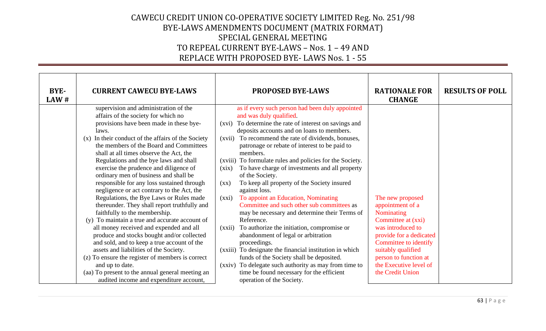| <b>BYE-</b><br>LAW# | <b>CURRENT CAWECU BYE-LAWS</b>                                                                                                                                                                                                                                                                                                                                                                                                                                                                                                                                                                                                                                                                                                                                                                                                                                                                                                                                                                                                                 | <b>PROPOSED BYE-LAWS</b>                                                                                                                                                                                                                                                                                                                                                                                                                                                                                                                                                                                                                                                                                                                                                                                                                                                                                                                                                                                                                                           | <b>RATIONALE FOR</b><br><b>CHANGE</b>                                                                                                                                                                                                                 | <b>RESULTS OF POLL</b> |
|---------------------|------------------------------------------------------------------------------------------------------------------------------------------------------------------------------------------------------------------------------------------------------------------------------------------------------------------------------------------------------------------------------------------------------------------------------------------------------------------------------------------------------------------------------------------------------------------------------------------------------------------------------------------------------------------------------------------------------------------------------------------------------------------------------------------------------------------------------------------------------------------------------------------------------------------------------------------------------------------------------------------------------------------------------------------------|--------------------------------------------------------------------------------------------------------------------------------------------------------------------------------------------------------------------------------------------------------------------------------------------------------------------------------------------------------------------------------------------------------------------------------------------------------------------------------------------------------------------------------------------------------------------------------------------------------------------------------------------------------------------------------------------------------------------------------------------------------------------------------------------------------------------------------------------------------------------------------------------------------------------------------------------------------------------------------------------------------------------------------------------------------------------|-------------------------------------------------------------------------------------------------------------------------------------------------------------------------------------------------------------------------------------------------------|------------------------|
|                     | supervision and administration of the<br>affairs of the society for which no<br>provisions have been made in these bye-<br>laws.<br>In their conduct of the affairs of the Society<br>(x)<br>the members of the Board and Committees<br>shall at all times observe the Act, the<br>Regulations and the bye laws and shall<br>exercise the prudence and diligence of<br>ordinary men of business and shall be<br>responsible for any loss sustained through<br>negligence or act contrary to the Act, the<br>Regulations, the Bye Laws or Rules made<br>thereunder. They shall report truthfully and<br>faithfully to the membership.<br>(y) To maintain a true and accurate account of<br>all money received and expended and all<br>produce and stocks bought and/or collected<br>and sold, and to keep a true account of the<br>assets and liabilities of the Society.<br>(z) To ensure the register of members is correct<br>and up to date.<br>(aa) To present to the annual general meeting an<br>audited income and expenditure account, | as if every such person had been duly appointed<br>and was duly qualified.<br>(xvi) To determine the rate of interest on savings and<br>deposits accounts and on loans to members.<br>To recommend the rate of dividends, bonuses,<br>(xvii)<br>patronage or rebate of interest to be paid to<br>members.<br>(xviii) To formulate rules and policies for the Society.<br>To have charge of investments and all property<br>(xix)<br>of the Society.<br>To keep all property of the Society insured<br>$\left( xx\right)$<br>against loss.<br>To appoint an Education, Nominating<br>(xxi)<br>Committee and such other sub committees as<br>may be necessary and determine their Terms of<br>Reference.<br>To authorize the initiation, compromise or<br>(xxii)<br>abandonment of legal or arbitration<br>proceedings.<br>To designate the financial institution in which<br>(xxiii)<br>funds of the Society shall be deposited.<br>(xxiv) To delegate such authority as may from time to<br>time be found necessary for the efficient<br>operation of the Society. | The new proposed<br>appointment of a<br><b>Nominating</b><br>Committee at (xxi)<br>was introduced to<br>provide for a dedicated<br>Committee to identify<br>suitably qualified<br>person to function at<br>the Executive level of<br>the Credit Union |                        |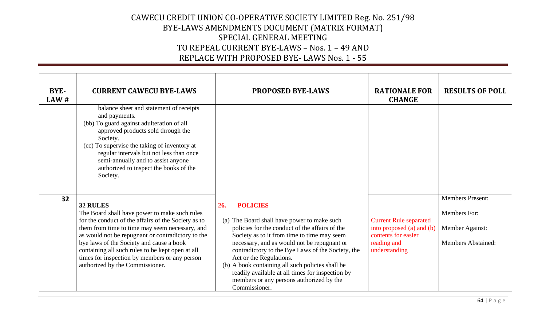| BYE-<br>LAW# | <b>CURRENT CAWECU BYE-LAWS</b>                                                                                                                                                                                                                                                                                                                                                                              | <b>PROPOSED BYE-LAWS</b>                                                                                                                                                                                                                                                                                                                                                                                                                                                   | <b>RATIONALE FOR</b><br><b>CHANGE</b>                                                                             | <b>RESULTS OF POLL</b>                                                                         |
|--------------|-------------------------------------------------------------------------------------------------------------------------------------------------------------------------------------------------------------------------------------------------------------------------------------------------------------------------------------------------------------------------------------------------------------|----------------------------------------------------------------------------------------------------------------------------------------------------------------------------------------------------------------------------------------------------------------------------------------------------------------------------------------------------------------------------------------------------------------------------------------------------------------------------|-------------------------------------------------------------------------------------------------------------------|------------------------------------------------------------------------------------------------|
|              | balance sheet and statement of receipts<br>and payments.<br>(bb) To guard against adulteration of all<br>approved products sold through the<br>Society.<br>(cc) To supervise the taking of inventory at<br>regular intervals but not less than once<br>semi-annually and to assist anyone<br>authorized to inspect the books of the<br>Society.                                                             |                                                                                                                                                                                                                                                                                                                                                                                                                                                                            |                                                                                                                   |                                                                                                |
| 32           | 32 RULES<br>The Board shall have power to make such rules<br>for the conduct of the affairs of the Society as to<br>them from time to time may seem necessary, and<br>as would not be repugnant or contradictory to the<br>bye laws of the Society and cause a book<br>containing all such rules to be kept open at all<br>times for inspection by members or any person<br>authorized by the Commissioner. | <b>POLICIES</b><br>26.<br>(a) The Board shall have power to make such<br>policies for the conduct of the affairs of the<br>Society as to it from time to time may seem<br>necessary, and as would not be repugnant or<br>contradictory to the Bye Laws of the Society, the<br>Act or the Regulations.<br>(b) A book containing all such policies shall be<br>readily available at all times for inspection by<br>members or any persons authorized by the<br>Commissioner. | <b>Current Rule separated</b><br>into proposed (a) and (b)<br>contents for easier<br>reading and<br>understanding | <b>Members Present:</b><br><b>Members For:</b><br>Member Against:<br><b>Members Abstained:</b> |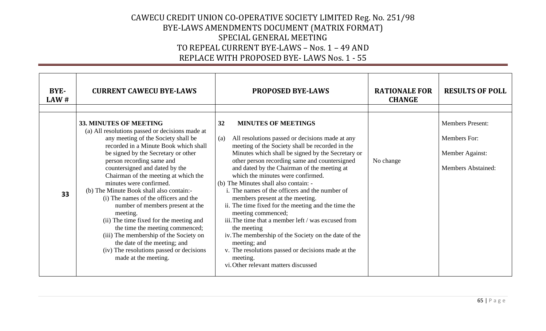| BYE-<br>$\mathbf{L} \mathbf{A} \mathbf{W}$ # | <b>CURRENT CAWECU BYE-LAWS</b>                                                                                                                                                                                                                                                                                                                                                                                                                                                                                                                                                                                                                                                                      | <b>PROPOSED BYE-LAWS</b>                                                                                                                                                                                                                                                                                                                                                                                                                                                                                                                                                                                                                                                                                                                                                                                   | <b>RATIONALE FOR</b><br><b>CHANGE</b> | <b>RESULTS OF POLL</b>                                                                  |
|----------------------------------------------|-----------------------------------------------------------------------------------------------------------------------------------------------------------------------------------------------------------------------------------------------------------------------------------------------------------------------------------------------------------------------------------------------------------------------------------------------------------------------------------------------------------------------------------------------------------------------------------------------------------------------------------------------------------------------------------------------------|------------------------------------------------------------------------------------------------------------------------------------------------------------------------------------------------------------------------------------------------------------------------------------------------------------------------------------------------------------------------------------------------------------------------------------------------------------------------------------------------------------------------------------------------------------------------------------------------------------------------------------------------------------------------------------------------------------------------------------------------------------------------------------------------------------|---------------------------------------|-----------------------------------------------------------------------------------------|
| 33                                           | 33. MINUTES OF MEETING<br>(a) All resolutions passed or decisions made at<br>any meeting of the Society shall be<br>recorded in a Minute Book which shall<br>be signed by the Secretary or other<br>person recording same and<br>countersigned and dated by the<br>Chairman of the meeting at which the<br>minutes were confirmed.<br>(b) The Minute Book shall also contain:-<br>(i) The names of the officers and the<br>number of members present at the<br>meeting.<br>(ii) The time fixed for the meeting and<br>the time the meeting commenced;<br>(iii) The membership of the Society on<br>the date of the meeting; and<br>(iv) The resolutions passed or decisions<br>made at the meeting. | <b>MINUTES OF MEETINGS</b><br>32<br>All resolutions passed or decisions made at any<br>(a)<br>meeting of the Society shall be recorded in the<br>Minutes which shall be signed by the Secretary or<br>other person recording same and countersigned<br>and dated by the Chairman of the meeting at<br>which the minutes were confirmed.<br>(b) The Minutes shall also contain: -<br>i. The names of the officers and the number of<br>members present at the meeting.<br>ii. The time fixed for the meeting and the time the<br>meeting commenced;<br>iii. The time that a member left / was excused from<br>the meeting<br>iv. The membership of the Society on the date of the<br>meeting; and<br>v. The resolutions passed or decisions made at the<br>meeting.<br>vi. Other relevant matters discussed | No change                             | <b>Members Present:</b><br>Members For:<br>Member Against:<br><b>Members Abstained:</b> |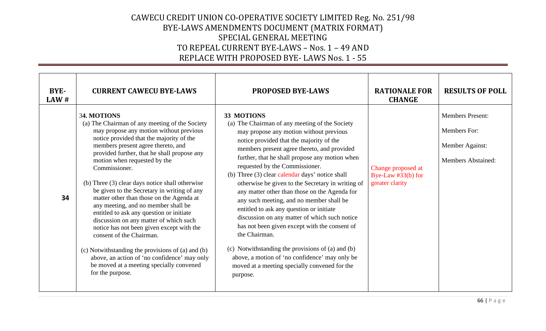| BYE-<br>LAW# | <b>CURRENT CAWECU BYE-LAWS</b>                                                                                                                                                                                                                                                                                                                                                                                                                                                                                                                                                                                                                                                                                                                                                                                      | <b>PROPOSED BYE-LAWS</b>                                                                                                                                                                                                                                                                                                                                                                                                                                                                                                                                                                                                                                                                                                                                                                                                       | <b>RATIONALE FOR</b><br><b>CHANGE</b>                         | <b>RESULTS OF POLL</b>                                                                  |
|--------------|---------------------------------------------------------------------------------------------------------------------------------------------------------------------------------------------------------------------------------------------------------------------------------------------------------------------------------------------------------------------------------------------------------------------------------------------------------------------------------------------------------------------------------------------------------------------------------------------------------------------------------------------------------------------------------------------------------------------------------------------------------------------------------------------------------------------|--------------------------------------------------------------------------------------------------------------------------------------------------------------------------------------------------------------------------------------------------------------------------------------------------------------------------------------------------------------------------------------------------------------------------------------------------------------------------------------------------------------------------------------------------------------------------------------------------------------------------------------------------------------------------------------------------------------------------------------------------------------------------------------------------------------------------------|---------------------------------------------------------------|-----------------------------------------------------------------------------------------|
| 34           | 34. MOTIONS<br>(a) The Chairman of any meeting of the Society<br>may propose any motion without previous<br>notice provided that the majority of the<br>members present agree thereto, and<br>provided further, that he shall propose any<br>motion when requested by the<br>Commissioner.<br>(b) Three (3) clear days notice shall otherwise<br>be given to the Secretary in writing of any<br>matter other than those on the Agenda at<br>any meeting, and no member shall be<br>entitled to ask any question or initiate<br>discussion on any matter of which such<br>notice has not been given except with the<br>consent of the Chairman.<br>(c) Notwithstanding the provisions of (a) and (b)<br>above, an action of 'no confidence' may only<br>be moved at a meeting specially convened<br>for the purpose. | 33 MOTIONS<br>(a) The Chairman of any meeting of the Society<br>may propose any motion without previous<br>notice provided that the majority of the<br>members present agree thereto, and provided<br>further, that he shall propose any motion when<br>requested by the Commissioner.<br>(b) Three (3) clear calendar days' notice shall<br>otherwise be given to the Secretary in writing of<br>any matter other than those on the Agenda for<br>any such meeting, and no member shall be<br>entitled to ask any question or initiate<br>discussion on any matter of which such notice<br>has not been given except with the consent of<br>the Chairman.<br>(c) Notwithstanding the provisions of (a) and (b)<br>above, a motion of 'no confidence' may only be<br>moved at a meeting specially convened for the<br>purpose. | Change proposed at<br>Bye-Law $#33(b)$ for<br>greater clarity | <b>Members Present:</b><br>Members For:<br>Member Against:<br><b>Members Abstained:</b> |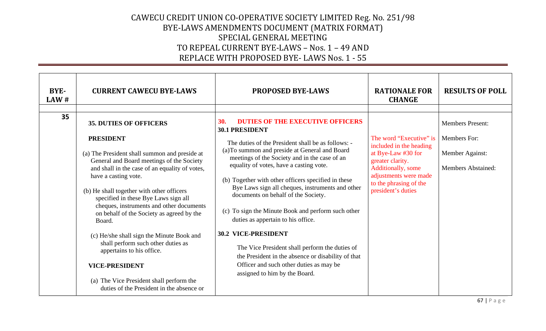| BYE-<br>LAW# | <b>CURRENT CAWECU BYE-LAWS</b>                                                                                                                                                                                                                                                                                                                                                                                                                                                                                                                                                                                                                      | <b>PROPOSED BYE-LAWS</b>                                                                                                                                                                                                                                                                                                                                                                                                                                                                                                                                                                                                                                                                                                                           | <b>RATIONALE FOR</b><br><b>CHANGE</b>                                                                                                                                                       | <b>RESULTS OF POLL</b>                                                                  |
|--------------|-----------------------------------------------------------------------------------------------------------------------------------------------------------------------------------------------------------------------------------------------------------------------------------------------------------------------------------------------------------------------------------------------------------------------------------------------------------------------------------------------------------------------------------------------------------------------------------------------------------------------------------------------------|----------------------------------------------------------------------------------------------------------------------------------------------------------------------------------------------------------------------------------------------------------------------------------------------------------------------------------------------------------------------------------------------------------------------------------------------------------------------------------------------------------------------------------------------------------------------------------------------------------------------------------------------------------------------------------------------------------------------------------------------------|---------------------------------------------------------------------------------------------------------------------------------------------------------------------------------------------|-----------------------------------------------------------------------------------------|
| 35           | <b>35. DUTIES OF OFFICERS</b><br><b>PRESIDENT</b><br>(a) The President shall summon and preside at<br>General and Board meetings of the Society<br>and shall in the case of an equality of votes,<br>have a casting vote.<br>(b) He shall together with other officers<br>specified in these Bye Laws sign all<br>cheques, instruments and other documents<br>on behalf of the Society as agreed by the<br>Board.<br>(c) He/she shall sign the Minute Book and<br>shall perform such other duties as<br>appertains to his office.<br><b>VICE-PRESIDENT</b><br>(a) The Vice President shall perform the<br>duties of the President in the absence or | <b>DUTIES OF THE EXECUTIVE OFFICERS</b><br><b>30.</b><br><b>30.1 PRESIDENT</b><br>The duties of the President shall be as follows: -<br>(a) To summon and preside at General and Board<br>meetings of the Society and in the case of an<br>equality of votes, have a casting vote.<br>(b) Together with other officers specified in these<br>Bye Laws sign all cheques, instruments and other<br>documents on behalf of the Society.<br>(c) To sign the Minute Book and perform such other<br>duties as appertain to his office.<br><b>30.2 VICE-PRESIDENT</b><br>The Vice President shall perform the duties of<br>the President in the absence or disability of that<br>Officer and such other duties as may be<br>assigned to him by the Board. | The word "Executive" is<br>included in the heading<br>at Bye-Law #30 for<br>greater clarity.<br>Additionally, some<br>adjustments were made<br>to the phrasing of the<br>president's duties | <b>Members Present:</b><br>Members For:<br>Member Against:<br><b>Members Abstained:</b> |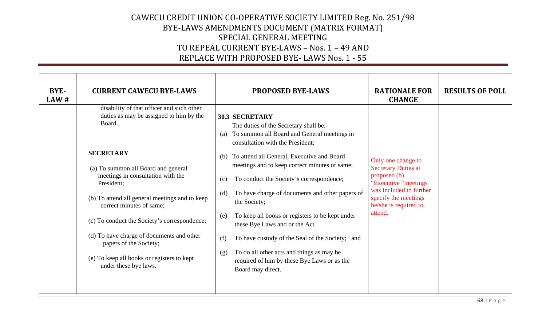| BYE-<br>LAW# | <b>CURRENT CAWECU BYE-LAWS</b>                                                                                                                                                                                                                                                                                                                                                                                                                                                           | <b>PROPOSED BYE-LAWS</b>                                                                                                                                                                                                                                                                                                                                                                                                                                                                                                                                                                                                                                                   | <b>RATIONALE FOR</b><br><b>CHANGE</b>                                                                                                                                             | <b>RESULTS OF POLL</b> |
|--------------|------------------------------------------------------------------------------------------------------------------------------------------------------------------------------------------------------------------------------------------------------------------------------------------------------------------------------------------------------------------------------------------------------------------------------------------------------------------------------------------|----------------------------------------------------------------------------------------------------------------------------------------------------------------------------------------------------------------------------------------------------------------------------------------------------------------------------------------------------------------------------------------------------------------------------------------------------------------------------------------------------------------------------------------------------------------------------------------------------------------------------------------------------------------------------|-----------------------------------------------------------------------------------------------------------------------------------------------------------------------------------|------------------------|
|              | disability of that officer and such other<br>duties as may be assigned to him by the<br>Board.<br><b>SECRETARY</b><br>(a) To summon all Board and general<br>meetings in consultation with the<br>President;<br>(b) To attend all general meetings and to keep<br>correct minutes of same;<br>(c) To conduct the Society's correspondence;<br>(d) To have charge of documents and other<br>papers of the Society;<br>(e) To keep all books or registers to kept<br>under these bye laws. | <b>30.3 SECRETARY</b><br>The duties of the Secretary shall be:-<br>To summon all Board and General meetings in<br>(a)<br>consultation with the President;<br>To attend all General, Executive and Board<br>(b)<br>meetings and to keep correct minutes of same;<br>To conduct the Society's correspondence;<br>(c)<br>To have charge of documents and other papers of<br>(d)<br>the Society;<br>To keep all books or registers to be kept under<br>(e)<br>these Bye Laws and or the Act.<br>To have custody of the Seal of the Society; and<br>(f)<br>To do all other acts and things as may be<br>(g)<br>required of him by these Bye Laws or as the<br>Board may direct. | Only one change to<br><b>Secretary Duties at</b><br>proposed (b).<br>"Executive "meetings"<br>was included to further<br>specify the meetings<br>he/she is required to<br>attend. |                        |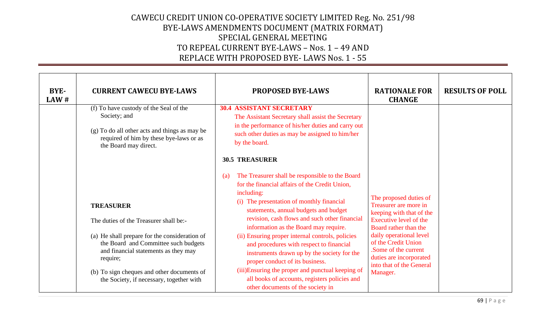| <b>BYE-</b><br>LAW# | <b>CURRENT CAWECU BYE-LAWS</b>                                                                                                                                                                                                                                                                    | <b>PROPOSED BYE-LAWS</b>                                                                                                                                                                                                                                                                                                                                                                                                                                                                                                                                                                                                                                     | <b>RATIONALE FOR</b><br><b>CHANGE</b>                                                                                                                                                                                                                                      | <b>RESULTS OF POLL</b> |
|---------------------|---------------------------------------------------------------------------------------------------------------------------------------------------------------------------------------------------------------------------------------------------------------------------------------------------|--------------------------------------------------------------------------------------------------------------------------------------------------------------------------------------------------------------------------------------------------------------------------------------------------------------------------------------------------------------------------------------------------------------------------------------------------------------------------------------------------------------------------------------------------------------------------------------------------------------------------------------------------------------|----------------------------------------------------------------------------------------------------------------------------------------------------------------------------------------------------------------------------------------------------------------------------|------------------------|
|                     | (f) To have custody of the Seal of the<br>Society; and<br>(g) To do all other acts and things as may be<br>required of him by these bye-laws or as<br>the Board may direct.                                                                                                                       | <b>30.4 ASSISTANT SECRETARY</b><br>The Assistant Secretary shall assist the Secretary<br>in the performance of his/her duties and carry out<br>such other duties as may be assigned to him/her<br>by the board.                                                                                                                                                                                                                                                                                                                                                                                                                                              |                                                                                                                                                                                                                                                                            |                        |
|                     | <b>TREASURER</b><br>The duties of the Treasurer shall be:-<br>(a) He shall prepare for the consideration of<br>the Board and Committee such budgets<br>and financial statements as they may<br>require;<br>(b) To sign cheques and other documents of<br>the Society, if necessary, together with | <b>30.5 TREASURER</b><br>The Treasurer shall be responsible to the Board<br>(a)<br>for the financial affairs of the Credit Union,<br>including:<br>(i) The presentation of monthly financial<br>statements, annual budgets and budget<br>revision, cash flows and such other financial<br>information as the Board may require.<br>(ii) Ensuring proper internal controls, policies<br>and procedures with respect to financial<br>instruments drawn up by the society for the<br>proper conduct of its business.<br>(iii) Ensuring the proper and punctual keeping of<br>all books of accounts, registers policies and<br>other documents of the society in | The proposed duties of<br>Treasurer are more in<br>keeping with that of the<br>Executive level of the<br>Board rather than the<br>daily operational level<br>of the Credit Union<br>Some of the current<br>duties are incorporated<br>into that of the General<br>Manager. |                        |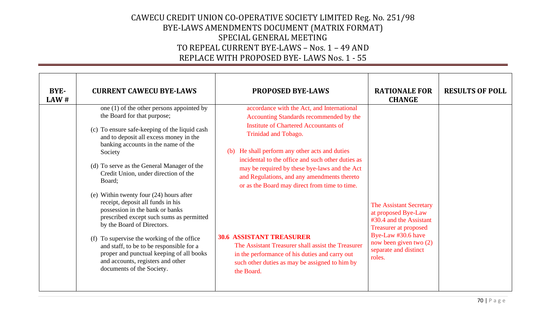| BYE-<br>LAW# | <b>CURRENT CAWECU BYE-LAWS</b>                                                                                                                                                                                                                                                                                                                                                                                                                                                                                                                                                                                                                                                                                               | <b>PROPOSED BYE-LAWS</b>                                                                                                                                                                                                                                                                                                                                                                                                                                                                                                                                                                                                            | <b>RATIONALE FOR</b><br><b>CHANGE</b>                                                                                                                                                        | <b>RESULTS OF POLL</b> |
|--------------|------------------------------------------------------------------------------------------------------------------------------------------------------------------------------------------------------------------------------------------------------------------------------------------------------------------------------------------------------------------------------------------------------------------------------------------------------------------------------------------------------------------------------------------------------------------------------------------------------------------------------------------------------------------------------------------------------------------------------|-------------------------------------------------------------------------------------------------------------------------------------------------------------------------------------------------------------------------------------------------------------------------------------------------------------------------------------------------------------------------------------------------------------------------------------------------------------------------------------------------------------------------------------------------------------------------------------------------------------------------------------|----------------------------------------------------------------------------------------------------------------------------------------------------------------------------------------------|------------------------|
|              | one (1) of the other persons appointed by<br>the Board for that purpose;<br>(c) To ensure safe-keeping of the liquid cash<br>and to deposit all excess money in the<br>banking accounts in the name of the<br>Society<br>(d) To serve as the General Manager of the<br>Credit Union, under direction of the<br>Board;<br>(e) Within twenty four $(24)$ hours after<br>receipt, deposit all funds in his<br>possession in the bank or banks<br>prescribed except such sums as permitted<br>by the Board of Directors.<br>(f) To supervise the working of the office<br>and staff, to be to be responsible for a<br>proper and punctual keeping of all books<br>and accounts, registers and other<br>documents of the Society. | accordance with the Act, and International<br>Accounting Standards recommended by the<br><b>Institute of Chartered Accountants of</b><br>Trinidad and Tobago.<br>He shall perform any other acts and duties<br>(b)<br>incidental to the office and such other duties as<br>may be required by these bye-laws and the Act<br>and Regulations, and any amendments thereto<br>or as the Board may direct from time to time.<br><b>30.6 ASSISTANT TREASURER</b><br>The Assistant Treasurer shall assist the Treasurer<br>in the performance of his duties and carry out<br>such other duties as may be assigned to him by<br>the Board. | The Assistant Secretary<br>at proposed Bye-Law<br>#30.4 and the Assistant<br><b>Treasurer at proposed</b><br>Bye-Law #30.6 have<br>now been given two (2)<br>separate and distinct<br>roles. |                        |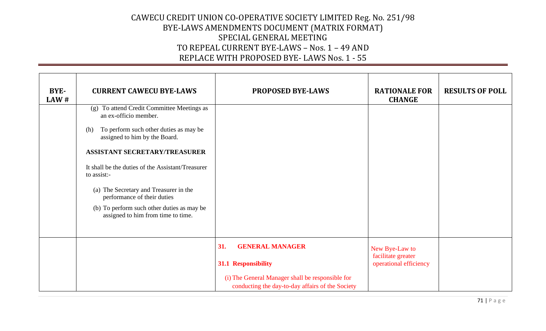| BYE-<br>LAW# | <b>CURRENT CAWECU BYE-LAWS</b>                                                   | <b>PROPOSED BYE-LAWS</b>                                                                             | <b>RATIONALE FOR</b><br><b>CHANGE</b>        | <b>RESULTS OF POLL</b> |
|--------------|----------------------------------------------------------------------------------|------------------------------------------------------------------------------------------------------|----------------------------------------------|------------------------|
|              | To attend Credit Committee Meetings as<br>(g)<br>an ex-officio member.           |                                                                                                      |                                              |                        |
|              | To perform such other duties as may be<br>(h)<br>assigned to him by the Board.   |                                                                                                      |                                              |                        |
|              | <b>ASSISTANT SECRETARY/TREASURER</b>                                             |                                                                                                      |                                              |                        |
|              | It shall be the duties of the Assistant/Treasurer<br>to assist:-                 |                                                                                                      |                                              |                        |
|              | (a) The Secretary and Treasurer in the<br>performance of their duties            |                                                                                                      |                                              |                        |
|              | (b) To perform such other duties as may be<br>assigned to him from time to time. |                                                                                                      |                                              |                        |
|              |                                                                                  |                                                                                                      |                                              |                        |
|              |                                                                                  | <b>GENERAL MANAGER</b><br>31.                                                                        | New Bye-Law to                               |                        |
|              |                                                                                  | 31.1 Responsibility                                                                                  | facilitate greater<br>operational efficiency |                        |
|              |                                                                                  | (i) The General Manager shall be responsible for<br>conducting the day-to-day affairs of the Society |                                              |                        |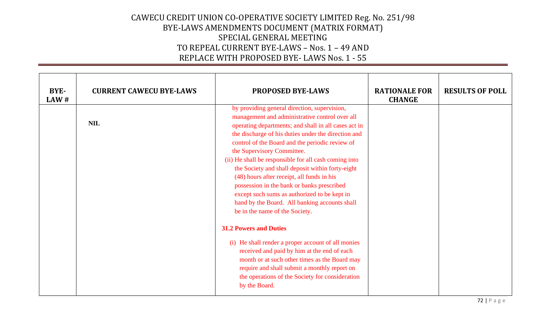| BYE-<br>LAW# | <b>CURRENT CAWECU BYE-LAWS</b> | <b>PROPOSED BYE-LAWS</b>                                                                                                                                                                                                                                                                                                                                                                                                                                                                                                                                                                                                                   | <b>RATIONALE FOR</b><br><b>CHANGE</b> | <b>RESULTS OF POLL</b> |
|--------------|--------------------------------|--------------------------------------------------------------------------------------------------------------------------------------------------------------------------------------------------------------------------------------------------------------------------------------------------------------------------------------------------------------------------------------------------------------------------------------------------------------------------------------------------------------------------------------------------------------------------------------------------------------------------------------------|---------------------------------------|------------------------|
|              | <b>NIL</b>                     | by providing general direction, supervision,<br>management and administrative control over all<br>operating departments; and shall in all cases act in<br>the discharge of his duties under the direction and<br>control of the Board and the periodic review of<br>the Supervisory Committee.<br>(ii) He shall be responsible for all cash coming into<br>the Society and shall deposit within forty-eight<br>(48) hours after receipt, all funds in his<br>possession in the bank or banks prescribed<br>except such sums as authorized to be kept in<br>hand by the Board. All banking accounts shall<br>be in the name of the Society. |                                       |                        |
|              |                                | <b>31.2 Powers and Duties</b><br>(i) He shall render a proper account of all monies<br>received and paid by him at the end of each<br>month or at such other times as the Board may<br>require and shall submit a monthly report on<br>the operations of the Society for consideration<br>by the Board.                                                                                                                                                                                                                                                                                                                                    |                                       |                        |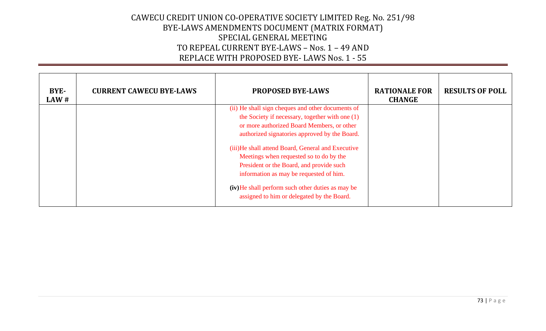| <b>BYE-</b><br>LAW# | <b>CURRENT CAWECU BYE-LAWS</b> | <b>PROPOSED BYE-LAWS</b>                                                                                                                                                                            | <b>RATIONALE FOR</b><br><b>CHANGE</b> | <b>RESULTS OF POLL</b> |
|---------------------|--------------------------------|-----------------------------------------------------------------------------------------------------------------------------------------------------------------------------------------------------|---------------------------------------|------------------------|
|                     |                                | (ii) He shall sign cheques and other documents of<br>the Society if necessary, together with one (1)<br>or more authorized Board Members, or other<br>authorized signatories approved by the Board. |                                       |                        |
|                     |                                | (iii)He shall attend Board, General and Executive<br>Meetings when requested so to do by the<br>President or the Board, and provide such<br>information as may be requested of him.                 |                                       |                        |
|                     |                                | (iv) He shall perform such other duties as may be<br>assigned to him or delegated by the Board.                                                                                                     |                                       |                        |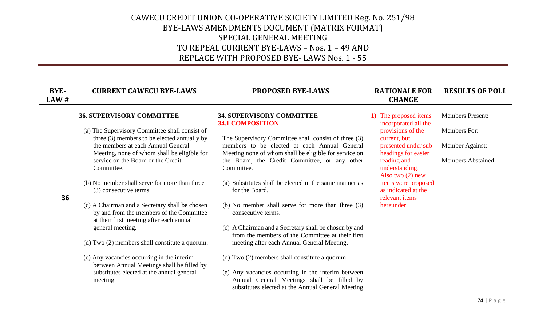| BYE-<br>LAW# | <b>CURRENT CAWECU BYE-LAWS</b>                                                                                                                                                                                                                                                                                                                                                                                                                                                                                                                                                                                                                                                                                             | <b>PROPOSED BYE-LAWS</b>                                                                                                                                                                                                                                                                                                                                                                                                                                                                                                                                                                                                                                                                                                                                            | <b>RATIONALE FOR</b><br><b>CHANGE</b>                                                                                                                                                                                                                                 | <b>RESULTS OF POLL</b>                                                                  |
|--------------|----------------------------------------------------------------------------------------------------------------------------------------------------------------------------------------------------------------------------------------------------------------------------------------------------------------------------------------------------------------------------------------------------------------------------------------------------------------------------------------------------------------------------------------------------------------------------------------------------------------------------------------------------------------------------------------------------------------------------|---------------------------------------------------------------------------------------------------------------------------------------------------------------------------------------------------------------------------------------------------------------------------------------------------------------------------------------------------------------------------------------------------------------------------------------------------------------------------------------------------------------------------------------------------------------------------------------------------------------------------------------------------------------------------------------------------------------------------------------------------------------------|-----------------------------------------------------------------------------------------------------------------------------------------------------------------------------------------------------------------------------------------------------------------------|-----------------------------------------------------------------------------------------|
| 36           | <b>36. SUPERVISORY COMMITTEE</b><br>(a) The Supervisory Committee shall consist of<br>three (3) members to be elected annually by<br>the members at each Annual General<br>Meeting, none of whom shall be eligible for<br>service on the Board or the Credit<br>Committee.<br>(b) No member shall serve for more than three<br>(3) consecutive terms.<br>(c) A Chairman and a Secretary shall be chosen<br>by and from the members of the Committee<br>at their first meeting after each annual<br>general meeting.<br>(d) Two (2) members shall constitute a quorum.<br>(e) Any vacancies occurring in the interim<br>between Annual Meetings shall be filled by<br>substitutes elected at the annual general<br>meeting. | <b>34. SUPERVISORY COMMITTEE</b><br><b>34.1 COMPOSITION</b><br>The Supervisory Committee shall consist of three (3)<br>members to be elected at each Annual General<br>Meeting none of whom shall be eligible for service on<br>the Board, the Credit Committee, or any other<br>Committee.<br>(a) Substitutes shall be elected in the same manner as<br>for the Board.<br>(b) No member shall serve for more than three (3)<br>consecutive terms.<br>(c) A Chairman and a Secretary shall be chosen by and<br>from the members of the Committee at their first<br>meeting after each Annual General Meeting.<br>(d) Two (2) members shall constitute a quorum.<br>(e) Any vacancies occurring in the interim between<br>Annual General Meetings shall be filled by | 1) The proposed items<br>incorporated all the<br>provisions of the<br>current, but<br>presented under sub<br>headings for easier<br>reading and<br>understanding.<br>Also two $(2)$ new<br>items were proposed<br>as indicated at the<br>relevant items<br>hereunder. | <b>Members Present:</b><br>Members For:<br>Member Against:<br><b>Members Abstained:</b> |
|              |                                                                                                                                                                                                                                                                                                                                                                                                                                                                                                                                                                                                                                                                                                                            | substitutes elected at the Annual General Meeting                                                                                                                                                                                                                                                                                                                                                                                                                                                                                                                                                                                                                                                                                                                   |                                                                                                                                                                                                                                                                       |                                                                                         |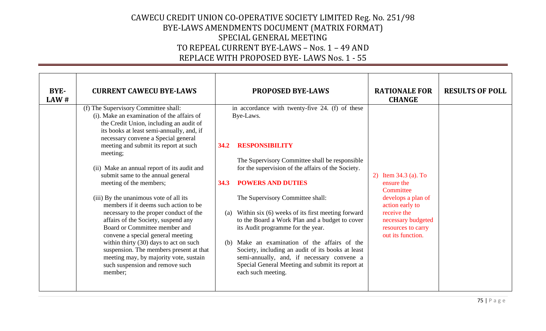| BYE-<br>LAW# | <b>CURRENT CAWECU BYE-LAWS</b>                                                                                                                                                                                                                                                                                                                                                                                                                                                                                                                 | <b>PROPOSED BYE-LAWS</b>                                                                                                                                                                                                                                                                                                                                                                                                                                                                                                                                         | <b>RATIONALE FOR</b><br><b>CHANGE</b>                                                                                                                                    | <b>RESULTS OF POLL</b> |
|--------------|------------------------------------------------------------------------------------------------------------------------------------------------------------------------------------------------------------------------------------------------------------------------------------------------------------------------------------------------------------------------------------------------------------------------------------------------------------------------------------------------------------------------------------------------|------------------------------------------------------------------------------------------------------------------------------------------------------------------------------------------------------------------------------------------------------------------------------------------------------------------------------------------------------------------------------------------------------------------------------------------------------------------------------------------------------------------------------------------------------------------|--------------------------------------------------------------------------------------------------------------------------------------------------------------------------|------------------------|
|              | (f) The Supervisory Committee shall:<br>(i). Make an examination of the affairs of<br>the Credit Union, including an audit of<br>its books at least semi-annually, and, if<br>necessary convene a Special general<br>meeting and submit its report at such                                                                                                                                                                                                                                                                                     | in accordance with twenty-five 24. (f) of these<br>Bye-Laws.<br><b>RESPONSIBILITY</b><br>34.2                                                                                                                                                                                                                                                                                                                                                                                                                                                                    |                                                                                                                                                                          |                        |
|              | meeting;<br>(ii) Make an annual report of its audit and<br>submit same to the annual general<br>meeting of the members;<br>(iii) By the unanimous vote of all its<br>members if it deems such action to be<br>necessary to the proper conduct of the<br>affairs of the Society, suspend any<br>Board or Committee member and<br>convene a special general meeting<br>within thirty (30) days to act on such<br>suspension. The members present at that<br>meeting may, by majority vote, sustain<br>such suspension and remove such<br>member; | The Supervisory Committee shall be responsible<br>for the supervision of the affairs of the Society.<br><b>POWERS AND DUTIES</b><br>34.3<br>The Supervisory Committee shall:<br>Within six (6) weeks of its first meeting forward<br>(a)<br>to the Board a Work Plan and a budget to cover<br>its Audit programme for the year.<br>Make an examination of the affairs of the<br>(b)<br>Society, including an audit of its books at least<br>semi-annually, and, if necessary convene a<br>Special General Meeting and submit its report at<br>each such meeting. | 2) Item 34.3 (a). To<br>ensure the<br>Committee<br>develops a plan of<br>action early to<br>receive the<br>necessary budgeted<br>resources to carry<br>out its function. |                        |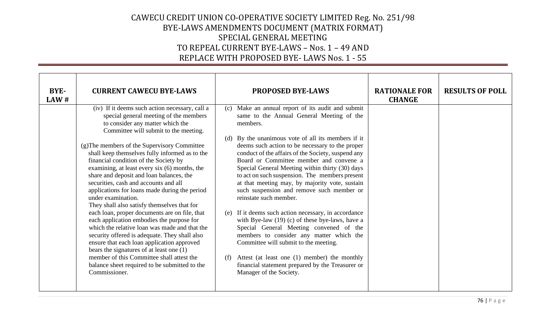| BYE-<br>LAW# | <b>CURRENT CAWECU BYE-LAWS</b>                                                                                                                                                                                                                                                                                                                                                                                                                                                                                                                                                                                                                                                                                                                                                                                                                                                                                                                                                        | <b>PROPOSED BYE-LAWS</b>                                                                                                                                                                                                                                                                                                                                                                                                                                                                                                                                                                                                                                                                                                                                                                                                                                                                                                              | <b>RATIONALE FOR</b><br><b>CHANGE</b> | <b>RESULTS OF POLL</b> |
|--------------|---------------------------------------------------------------------------------------------------------------------------------------------------------------------------------------------------------------------------------------------------------------------------------------------------------------------------------------------------------------------------------------------------------------------------------------------------------------------------------------------------------------------------------------------------------------------------------------------------------------------------------------------------------------------------------------------------------------------------------------------------------------------------------------------------------------------------------------------------------------------------------------------------------------------------------------------------------------------------------------|---------------------------------------------------------------------------------------------------------------------------------------------------------------------------------------------------------------------------------------------------------------------------------------------------------------------------------------------------------------------------------------------------------------------------------------------------------------------------------------------------------------------------------------------------------------------------------------------------------------------------------------------------------------------------------------------------------------------------------------------------------------------------------------------------------------------------------------------------------------------------------------------------------------------------------------|---------------------------------------|------------------------|
|              | (iv) If it deems such action necessary, call a<br>special general meeting of the members<br>to consider any matter which the<br>Committee will submit to the meeting.<br>(g) The members of the Supervisory Committee<br>shall keep themselves fully informed as to the<br>financial condition of the Society by<br>examining, at least every six (6) months, the<br>share and deposit and loan balances, the<br>securities, cash and accounts and all<br>applications for loans made during the period<br>under examination.<br>They shall also satisfy themselves that for<br>each loan, proper documents are on file, that<br>each application embodies the purpose for<br>which the relative loan was made and that the<br>security offered is adequate. They shall also<br>ensure that each loan application approved<br>bears the signatures of at least one (1)<br>member of this Committee shall attest the<br>balance sheet required to be submitted to the<br>Commissioner. | (c) Make an annual report of its audit and submit<br>same to the Annual General Meeting of the<br>members.<br>(d) By the unanimous vote of all its members if it<br>deems such action to be necessary to the proper<br>conduct of the affairs of the Society, suspend any<br>Board or Committee member and convene a<br>Special General Meeting within thirty (30) days<br>to act on such suspension. The members present<br>at that meeting may, by majority vote, sustain<br>such suspension and remove such member or<br>reinstate such member.<br>(e) If it deems such action necessary, in accordance<br>with Bye-law $(19)$ (c) of these bye-laws, have a<br>Special General Meeting convened of the<br>members to consider any matter which the<br>Committee will submit to the meeting.<br>Attest (at least one (1) member) the monthly<br>(f)<br>financial statement prepared by the Treasurer or<br>Manager of the Society. |                                       |                        |
|              |                                                                                                                                                                                                                                                                                                                                                                                                                                                                                                                                                                                                                                                                                                                                                                                                                                                                                                                                                                                       |                                                                                                                                                                                                                                                                                                                                                                                                                                                                                                                                                                                                                                                                                                                                                                                                                                                                                                                                       |                                       |                        |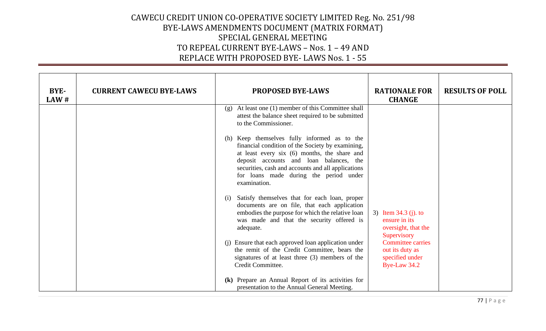| BYE-<br>LAW# | <b>CURRENT CAWECU BYE-LAWS</b> | <b>PROPOSED BYE-LAWS</b>                                                                                                                                                                                                                                                                                    | <b>RATIONALE FOR</b><br><b>CHANGE</b>                                                                     | <b>RESULTS OF POLL</b> |
|--------------|--------------------------------|-------------------------------------------------------------------------------------------------------------------------------------------------------------------------------------------------------------------------------------------------------------------------------------------------------------|-----------------------------------------------------------------------------------------------------------|------------------------|
|              |                                | $(g)$ At least one (1) member of this Committee shall<br>attest the balance sheet required to be submitted<br>to the Commissioner.                                                                                                                                                                          |                                                                                                           |                        |
|              |                                | (h) Keep themselves fully informed as to the<br>financial condition of the Society by examining,<br>at least every six (6) months, the share and<br>deposit accounts and loan balances, the<br>securities, cash and accounts and all applications<br>for loans made during the period under<br>examination. |                                                                                                           |                        |
|              |                                | (i) Satisfy themselves that for each loan, proper<br>documents are on file, that each application<br>embodies the purpose for which the relative loan<br>was made and that the security offered is<br>adequate.                                                                                             | 3) Item $34.3$ (j). to<br>ensure in its<br>oversight, that the<br>Supervisory<br><b>Committee carries</b> |                        |
|              |                                | (j) Ensure that each approved loan application under<br>the remit of the Credit Committee, bears the<br>signatures of at least three (3) members of the<br>Credit Committee.                                                                                                                                | out its duty as<br>specified under<br>Bye-Law 34.2                                                        |                        |
|              |                                | (k) Prepare an Annual Report of its activities for<br>presentation to the Annual General Meeting.                                                                                                                                                                                                           |                                                                                                           |                        |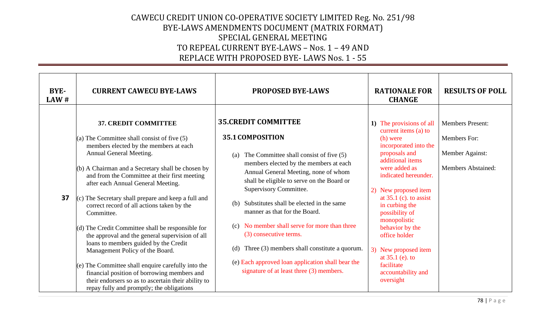| BYE-<br>LAW # | <b>CURRENT CAWECU BYE-LAWS</b>                                                                                                                                                                                                                                                                                                                                                                                                                                                                                                                                                                                                                                                                                                                                                                                   | <b>PROPOSED BYE-LAWS</b>                                                                                                                                                                                                                                                                                                                                                                                                                                                                                                                                                             | <b>RATIONALE FOR</b><br><b>CHANGE</b>                                                                                                                                                                                                                                                                                                                                                                            | <b>RESULTS OF POLL</b>                                                           |
|---------------|------------------------------------------------------------------------------------------------------------------------------------------------------------------------------------------------------------------------------------------------------------------------------------------------------------------------------------------------------------------------------------------------------------------------------------------------------------------------------------------------------------------------------------------------------------------------------------------------------------------------------------------------------------------------------------------------------------------------------------------------------------------------------------------------------------------|--------------------------------------------------------------------------------------------------------------------------------------------------------------------------------------------------------------------------------------------------------------------------------------------------------------------------------------------------------------------------------------------------------------------------------------------------------------------------------------------------------------------------------------------------------------------------------------|------------------------------------------------------------------------------------------------------------------------------------------------------------------------------------------------------------------------------------------------------------------------------------------------------------------------------------------------------------------------------------------------------------------|----------------------------------------------------------------------------------|
| 37            | 37. CREDIT COMMITTEE<br>(a) The Committee shall consist of five $(5)$<br>members elected by the members at each<br>Annual General Meeting.<br>(b) A Chairman and a Secretary shall be chosen by<br>and from the Committee at their first meeting<br>after each Annual General Meeting.<br>$(c)$ The Secretary shall prepare and keep a full and<br>correct record of all actions taken by the<br>Committee.<br>$\vert$ (d) The Credit Committee shall be responsible for<br>the approval and the general supervision of all<br>loans to members guided by the Credit<br>Management Policy of the Board.<br>(e) The Committee shall enquire carefully into the<br>financial position of borrowing members and<br>their endorsers so as to ascertain their ability to<br>repay fully and promptly; the obligations | <b>35.CREDIT COMMITTEE</b><br>35.1 COMPOSITION<br>The Committee shall consist of five (5)<br>(a)<br>members elected by the members at each<br>Annual General Meeting, none of whom<br>shall be eligible to serve on the Board or<br>Supervisory Committee.<br>Substitutes shall be elected in the same<br>(b)<br>manner as that for the Board.<br>No member shall serve for more than three<br>(c)<br>(3) consecutive terms.<br>Three (3) members shall constitute a quorum.<br>(d)<br>(e) Each approved loan application shall bear the<br>signature of at least three (3) members. | 1) The provisions of all<br>current items (a) to<br>(h) were<br>incorporated into the<br>proposals and<br>additional items<br>were added as<br>indicated hereunder.<br>New proposed item<br>2)<br>at $35.1$ (c). to assist<br>in curbing the<br>possibility of<br>monopolistic<br>behavior by the<br>office holder<br>3) New proposed item<br>at $35.1$ (e). to<br>facilitate<br>accountability and<br>oversight | <b>Members Present:</b><br>Members For:<br>Member Against:<br>Members Abstained: |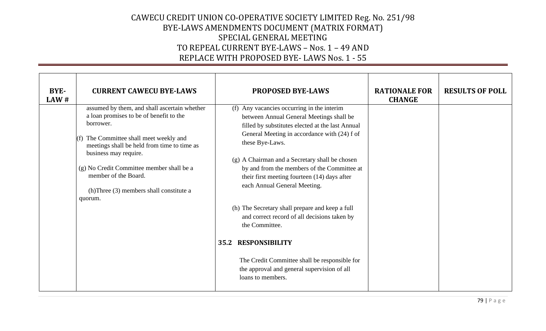| BYE-<br>LAW# | <b>CURRENT CAWECU BYE-LAWS</b>                                                                                                                                                                                                                                                                                                                 | <b>PROPOSED BYE-LAWS</b>                                                                                                                                                                                                                                                                                                                                                                                                                                                                                                                                                                                                                                                  | <b>RATIONALE FOR</b><br><b>CHANGE</b> | <b>RESULTS OF POLL</b> |
|--------------|------------------------------------------------------------------------------------------------------------------------------------------------------------------------------------------------------------------------------------------------------------------------------------------------------------------------------------------------|---------------------------------------------------------------------------------------------------------------------------------------------------------------------------------------------------------------------------------------------------------------------------------------------------------------------------------------------------------------------------------------------------------------------------------------------------------------------------------------------------------------------------------------------------------------------------------------------------------------------------------------------------------------------------|---------------------------------------|------------------------|
|              | assumed by them, and shall ascertain whether<br>a loan promises to be of benefit to the<br>borrower.<br>The Committee shall meet weekly and<br>meetings shall be held from time to time as<br>business may require.<br>(g) No Credit Committee member shall be a<br>member of the Board.<br>(h)Three (3) members shall constitute a<br>quorum. | (f) Any vacancies occurring in the interim<br>between Annual General Meetings shall be<br>filled by substitutes elected at the last Annual<br>General Meeting in accordance with (24) f of<br>these Bye-Laws.<br>(g) A Chairman and a Secretary shall be chosen<br>by and from the members of the Committee at<br>their first meeting fourteen (14) days after<br>each Annual General Meeting.<br>(h) The Secretary shall prepare and keep a full<br>and correct record of all decisions taken by<br>the Committee.<br><b>RESPONSIBILITY</b><br>35.2<br>The Credit Committee shall be responsible for<br>the approval and general supervision of all<br>loans to members. |                                       |                        |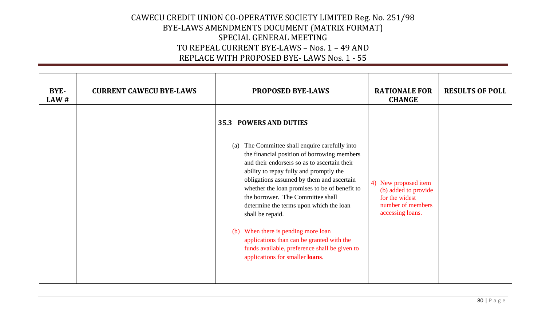| BYE-<br>LAW# | <b>CURRENT CAWECU BYE-LAWS</b> | <b>PROPOSED BYE-LAWS</b>                                                                                                                                                                                                                                                                                                                                                                                                                                                                                                                                                                                  | <b>RATIONALE FOR</b><br><b>CHANGE</b>                                                                   | <b>RESULTS OF POLL</b> |
|--------------|--------------------------------|-----------------------------------------------------------------------------------------------------------------------------------------------------------------------------------------------------------------------------------------------------------------------------------------------------------------------------------------------------------------------------------------------------------------------------------------------------------------------------------------------------------------------------------------------------------------------------------------------------------|---------------------------------------------------------------------------------------------------------|------------------------|
|              |                                | <b>35.3 POWERS AND DUTIES</b><br>The Committee shall enquire carefully into<br>(a)<br>the financial position of borrowing members<br>and their endorsers so as to ascertain their<br>ability to repay fully and promptly the<br>obligations assumed by them and ascertain<br>whether the loan promises to be of benefit to<br>the borrower. The Committee shall<br>determine the terms upon which the loan<br>shall be repaid.<br>When there is pending more loan<br>(b)<br>applications than can be granted with the<br>funds available, preference shall be given to<br>applications for smaller loans. | 4) New proposed item<br>(b) added to provide<br>for the widest<br>number of members<br>accessing loans. |                        |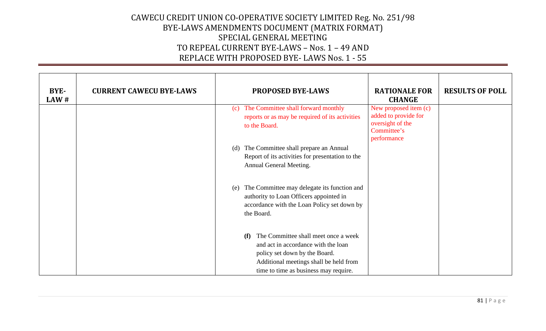| BYE-<br>LAW# | <b>CURRENT CAWECU BYE-LAWS</b> | <b>PROPOSED BYE-LAWS</b>                                                                                                                                   | <b>RATIONALE FOR</b><br><b>CHANGE</b>                                                           | <b>RESULTS OF POLL</b> |
|--------------|--------------------------------|------------------------------------------------------------------------------------------------------------------------------------------------------------|-------------------------------------------------------------------------------------------------|------------------------|
|              |                                | The Committee shall forward monthly<br>(c)<br>reports or as may be required of its activities<br>to the Board.                                             | New proposed item (c)<br>added to provide for<br>oversight of the<br>Committee's<br>performance |                        |
|              |                                | The Committee shall prepare an Annual<br>(d)                                                                                                               |                                                                                                 |                        |
|              |                                | Report of its activities for presentation to the<br>Annual General Meeting.                                                                                |                                                                                                 |                        |
|              |                                | The Committee may delegate its function and<br>(e)<br>authority to Loan Officers appointed in<br>accordance with the Loan Policy set down by<br>the Board. |                                                                                                 |                        |
|              |                                | The Committee shall meet once a week<br>(f)<br>and act in accordance with the loan<br>policy set down by the Board.                                        |                                                                                                 |                        |
|              |                                | Additional meetings shall be held from                                                                                                                     |                                                                                                 |                        |
|              |                                | time to time as business may require.                                                                                                                      |                                                                                                 |                        |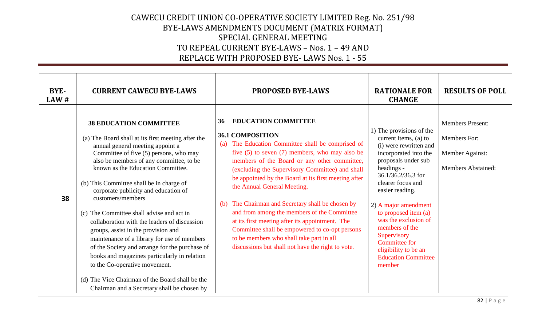| BYE-<br>LAW # | <b>CURRENT CAWECU BYE-LAWS</b>                                                                                                                                                                                                                                                                                                                                                                                                                                                                                                                                                                                                                                                                                                                                                     | <b>PROPOSED BYE-LAWS</b>                                                                                                                                                                                                                                                                                                                                                                                                                                                                                                                                                                                                                                                         | <b>RATIONALE FOR</b><br><b>CHANGE</b>                                                                                                                                                                                                                                                                                                                                                             | <b>RESULTS OF POLL</b>                                                                  |
|---------------|------------------------------------------------------------------------------------------------------------------------------------------------------------------------------------------------------------------------------------------------------------------------------------------------------------------------------------------------------------------------------------------------------------------------------------------------------------------------------------------------------------------------------------------------------------------------------------------------------------------------------------------------------------------------------------------------------------------------------------------------------------------------------------|----------------------------------------------------------------------------------------------------------------------------------------------------------------------------------------------------------------------------------------------------------------------------------------------------------------------------------------------------------------------------------------------------------------------------------------------------------------------------------------------------------------------------------------------------------------------------------------------------------------------------------------------------------------------------------|---------------------------------------------------------------------------------------------------------------------------------------------------------------------------------------------------------------------------------------------------------------------------------------------------------------------------------------------------------------------------------------------------|-----------------------------------------------------------------------------------------|
| 38            | <b>38 EDUCATION COMMITTEE</b><br>(a) The Board shall at its first meeting after the<br>annual general meeting appoint a<br>Committee of five (5) persons, who may<br>also be members of any committee, to be<br>known as the Education Committee.<br>(b) This Committee shall be in charge of<br>corporate publicity and education of<br>customers/members<br>(c) The Committee shall advise and act in<br>collaboration with the leaders of discussion<br>groups, assist in the provision and<br>maintenance of a library for use of members<br>of the Society and arrange for the purchase of<br>books and magazines particularly in relation<br>to the Co-operative movement.<br>(d) The Vice Chairman of the Board shall be the<br>Chairman and a Secretary shall be chosen by | <b>EDUCATION COMMITTEE</b><br>36<br><b>36.1 COMPOSITION</b><br>The Education Committee shall be comprised of<br>(a)<br>five $(5)$ to seven $(7)$ members, who may also be<br>members of the Board or any other committee,<br>(excluding the Supervisory Committee) and shall<br>be appointed by the Board at its first meeting after<br>the Annual General Meeting.<br>The Chairman and Secretary shall be chosen by<br>(b)<br>and from among the members of the Committee<br>at its first meeting after its appointment. The<br>Committee shall be empowered to co-opt persons<br>to be members who shall take part in all<br>discussions but shall not have the right to vote. | 1) The provisions of the<br>current items, (a) to<br>(i) were rewritten and<br>incorporated into the<br>proposals under sub<br>headings -<br>36.1/36.2/36.3 for<br>clearer focus and<br>easier reading.<br>2) A major amendment<br>to proposed item (a)<br>was the exclusion of<br>members of the<br>Supervisory<br>Committee for<br>eligibility to be an<br><b>Education Committee</b><br>member | <b>Members Present:</b><br>Members For:<br>Member Against:<br><b>Members Abstained:</b> |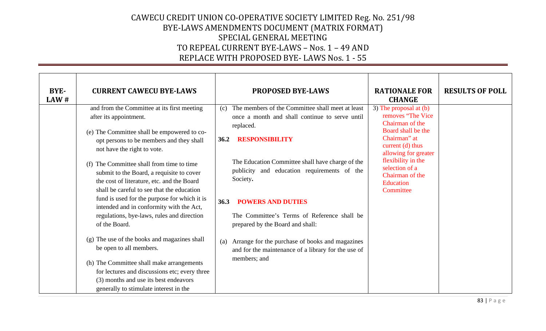| BYE-<br>LAW# | <b>CURRENT CAWECU BYE-LAWS</b>                                                                                                                                                                                                                                                                                                                                                                                                                                                                                                                                                                                                                                                                                            | <b>PROPOSED BYE-LAWS</b>                                                                                                                                                                                                                                                                                                                                                                                                                                                                                                       | <b>RATIONALE FOR</b><br><b>CHANGE</b>                                                                                                                                                                                                 | <b>RESULTS OF POLL</b> |
|--------------|---------------------------------------------------------------------------------------------------------------------------------------------------------------------------------------------------------------------------------------------------------------------------------------------------------------------------------------------------------------------------------------------------------------------------------------------------------------------------------------------------------------------------------------------------------------------------------------------------------------------------------------------------------------------------------------------------------------------------|--------------------------------------------------------------------------------------------------------------------------------------------------------------------------------------------------------------------------------------------------------------------------------------------------------------------------------------------------------------------------------------------------------------------------------------------------------------------------------------------------------------------------------|---------------------------------------------------------------------------------------------------------------------------------------------------------------------------------------------------------------------------------------|------------------------|
|              | and from the Committee at its first meeting<br>after its appointment.<br>(e) The Committee shall be empowered to co-<br>opt persons to be members and they shall<br>not have the right to vote.<br>(f) The Committee shall from time to time<br>submit to the Board, a requisite to cover<br>the cost of literature, etc. and the Board<br>shall be careful to see that the education<br>fund is used for the purpose for which it is<br>intended and in conformity with the Act,<br>regulations, bye-laws, rules and direction<br>of the Board.<br>(g) The use of the books and magazines shall<br>be open to all members.<br>(h) The Committee shall make arrangements<br>for lectures and discussions etc; every three | The members of the Committee shall meet at least<br>(c)<br>once a month and shall continue to serve until<br>replaced.<br><b>RESPONSIBILITY</b><br>36.2<br>The Education Committee shall have charge of the<br>publicity and education requirements of the<br>Society.<br><b>POWERS AND DUTIES</b><br>36.3<br>The Committee's Terms of Reference shall be<br>prepared by the Board and shall:<br>Arrange for the purchase of books and magazines<br>(a)<br>and for the maintenance of a library for the use of<br>members; and | 3) The proposal at (b)<br>removes "The Vice<br>Chairman of the<br>Board shall be the<br>Chairman" at<br>current (d) thus<br>allowing for greater<br>flexibility in the<br>selection of a<br>Chairman of the<br>Education<br>Committee |                        |
|              | (3) months and use its best endeavors<br>generally to stimulate interest in the                                                                                                                                                                                                                                                                                                                                                                                                                                                                                                                                                                                                                                           |                                                                                                                                                                                                                                                                                                                                                                                                                                                                                                                                |                                                                                                                                                                                                                                       |                        |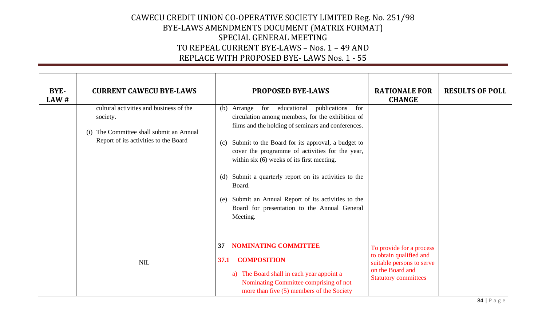| BYE-<br>LAW# | <b>CURRENT CAWECU BYE-LAWS</b>                                                                                                              | <b>PROPOSED BYE-LAWS</b>                                                                                                                                                                                                                                                                                                                                                                                                                                                                                                           | <b>RATIONALE FOR</b><br><b>CHANGE</b>                                                                                               | <b>RESULTS OF POLL</b> |
|--------------|---------------------------------------------------------------------------------------------------------------------------------------------|------------------------------------------------------------------------------------------------------------------------------------------------------------------------------------------------------------------------------------------------------------------------------------------------------------------------------------------------------------------------------------------------------------------------------------------------------------------------------------------------------------------------------------|-------------------------------------------------------------------------------------------------------------------------------------|------------------------|
|              | cultural activities and business of the<br>society.<br>The Committee shall submit an Annual<br>(i)<br>Report of its activities to the Board | for<br>educational<br>publications<br>Arrange<br>for<br>(b)<br>circulation among members, for the exhibition of<br>films and the holding of seminars and conferences.<br>Submit to the Board for its approval, a budget to<br>(c)<br>cover the programme of activities for the year,<br>within six $(6)$ weeks of its first meeting.<br>Submit a quarterly report on its activities to the<br>(d)<br>Board.<br>Submit an Annual Report of its activities to the<br>(e)<br>Board for presentation to the Annual General<br>Meeting. |                                                                                                                                     |                        |
|              | <b>NIL</b>                                                                                                                                  | <b>NOMINATING COMMITTEE</b><br>37<br><b>COMPOSITION</b><br>37.1<br>a) The Board shall in each year appoint a<br>Nominating Committee comprising of not<br>more than five (5) members of the Society                                                                                                                                                                                                                                                                                                                                | To provide for a process<br>to obtain qualified and<br>suitable persons to serve<br>on the Board and<br><b>Statutory committees</b> |                        |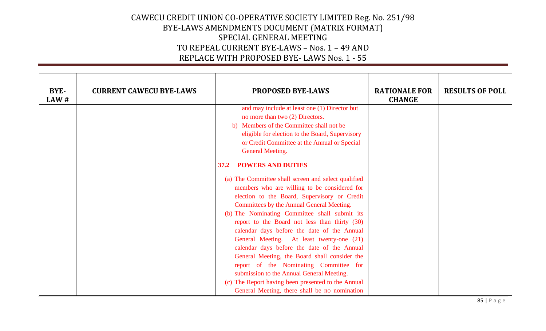| BYE-<br>LAW# | <b>CURRENT CAWECU BYE-LAWS</b> | <b>PROPOSED BYE-LAWS</b>                            | <b>RATIONALE FOR</b><br><b>CHANGE</b> | <b>RESULTS OF POLL</b> |
|--------------|--------------------------------|-----------------------------------------------------|---------------------------------------|------------------------|
|              |                                | and may include at least one (1) Director but       |                                       |                        |
|              |                                | no more than two (2) Directors.                     |                                       |                        |
|              |                                | b) Members of the Committee shall not be            |                                       |                        |
|              |                                | eligible for election to the Board, Supervisory     |                                       |                        |
|              |                                | or Credit Committee at the Annual or Special        |                                       |                        |
|              |                                | <b>General Meeting.</b>                             |                                       |                        |
|              |                                | <b>POWERS AND DUTIES</b><br>37.2                    |                                       |                        |
|              |                                | (a) The Committee shall screen and select qualified |                                       |                        |
|              |                                | members who are willing to be considered for        |                                       |                        |
|              |                                | election to the Board, Supervisory or Credit        |                                       |                        |
|              |                                | Committees by the Annual General Meeting.           |                                       |                        |
|              |                                | (b) The Nominating Committee shall submit its       |                                       |                        |
|              |                                | report to the Board not less than thirty (30)       |                                       |                        |
|              |                                | calendar days before the date of the Annual         |                                       |                        |
|              |                                | General Meeting. At least twenty-one (21)           |                                       |                        |
|              |                                | calendar days before the date of the Annual         |                                       |                        |
|              |                                | General Meeting, the Board shall consider the       |                                       |                        |
|              |                                | report of the Nominating Committee for              |                                       |                        |
|              |                                | submission to the Annual General Meeting.           |                                       |                        |
|              |                                | (c) The Report having been presented to the Annual  |                                       |                        |
|              |                                | General Meeting, there shall be no nomination       |                                       |                        |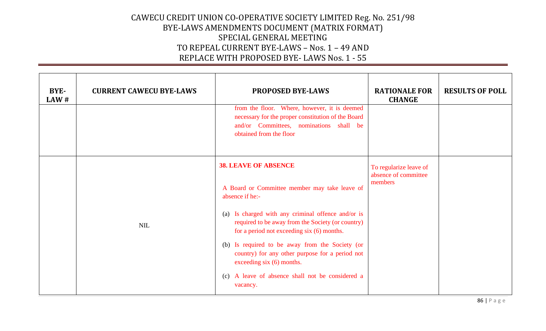| BYE-<br>LAW# | <b>CURRENT CAWECU BYE-LAWS</b> | <b>PROPOSED BYE-LAWS</b>                                                                                                                                                                                                                                                                                                                                                                                                                                     | <b>RATIONALE FOR</b><br><b>CHANGE</b>                     | <b>RESULTS OF POLL</b> |
|--------------|--------------------------------|--------------------------------------------------------------------------------------------------------------------------------------------------------------------------------------------------------------------------------------------------------------------------------------------------------------------------------------------------------------------------------------------------------------------------------------------------------------|-----------------------------------------------------------|------------------------|
|              |                                | from the floor. Where, however, it is deemed<br>necessary for the proper constitution of the Board<br>and/or Committees, nominations shall be<br>obtained from the floor                                                                                                                                                                                                                                                                                     |                                                           |                        |
|              | <b>NIL</b>                     | <b>38. LEAVE OF ABSENCE</b><br>A Board or Committee member may take leave of<br>absence if he:-<br>(a) Is charged with any criminal offence and/or is<br>required to be away from the Society (or country)<br>for a period not exceeding six (6) months.<br>(b) Is required to be away from the Society (or<br>country) for any other purpose for a period not<br>exceeding $six(6)$ months.<br>(c) A leave of absence shall not be considered a<br>vacancy. | To regularize leave of<br>absence of committee<br>members |                        |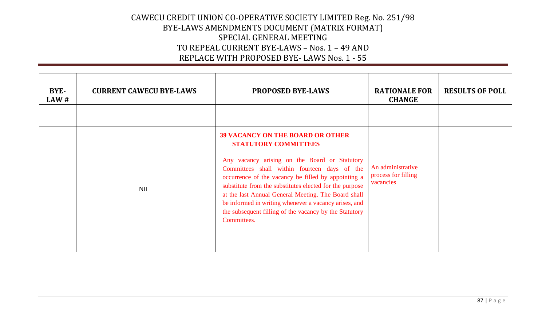| BYE-<br>LAW# | <b>CURRENT CAWECU BYE-LAWS</b> | <b>PROPOSED BYE-LAWS</b>                                                                                                                                                                                                                                                                                                                                                                                                                                                           | <b>RATIONALE FOR</b><br><b>CHANGE</b>                 | <b>RESULTS OF POLL</b> |
|--------------|--------------------------------|------------------------------------------------------------------------------------------------------------------------------------------------------------------------------------------------------------------------------------------------------------------------------------------------------------------------------------------------------------------------------------------------------------------------------------------------------------------------------------|-------------------------------------------------------|------------------------|
|              | <b>NIL</b>                     | <b>39 VACANCY ON THE BOARD OR OTHER</b><br><b>STATUTORY COMMITTEES</b><br>Any vacancy arising on the Board or Statutory<br>Committees shall within fourteen days of the<br>occurrence of the vacancy be filled by appointing a<br>substitute from the substitutes elected for the purpose<br>at the last Annual General Meeting. The Board shall<br>be informed in writing whenever a vacancy arises, and<br>the subsequent filling of the vacancy by the Statutory<br>Committees. | An administrative<br>process for filling<br>vacancies |                        |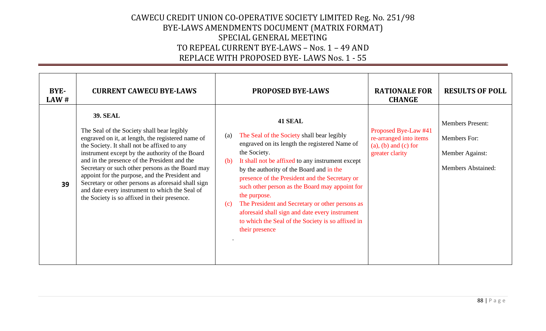| BYE-<br>$\mathbf{L} \mathbf{A} \mathbf{W}$ # | <b>CURRENT CAWECU BYE-LAWS</b>                                                                                                                                                                                                                                                                                                                                                                                                                                                                                                     | <b>PROPOSED BYE-LAWS</b>                                                                                                                                                                                                                                                                                                                                                                                                                                                                                                                    | <b>RATIONALE FOR</b><br><b>CHANGE</b>                                                            | <b>RESULTS OF POLL</b>                                                                  |
|----------------------------------------------|------------------------------------------------------------------------------------------------------------------------------------------------------------------------------------------------------------------------------------------------------------------------------------------------------------------------------------------------------------------------------------------------------------------------------------------------------------------------------------------------------------------------------------|---------------------------------------------------------------------------------------------------------------------------------------------------------------------------------------------------------------------------------------------------------------------------------------------------------------------------------------------------------------------------------------------------------------------------------------------------------------------------------------------------------------------------------------------|--------------------------------------------------------------------------------------------------|-----------------------------------------------------------------------------------------|
| 39                                           | <b>39. SEAL</b><br>The Seal of the Society shall bear legibly<br>engraved on it, at length, the registered name of<br>the Society. It shall not be affixed to any<br>instrument except by the authority of the Board<br>and in the presence of the President and the<br>Secretary or such other persons as the Board may<br>appoint for the purpose, and the President and<br>Secretary or other persons as aforesaid shall sign<br>and date every instrument to which the Seal of<br>the Society is so affixed in their presence. | 41 SEAL<br>The Seal of the Society shall bear legibly<br>(a)<br>engraved on its length the registered Name of<br>the Society.<br>It shall not be affixed to any instrument except<br>(b)<br>by the authority of the Board and in the<br>presence of the President and the Secretary or<br>such other person as the Board may appoint for<br>the purpose.<br>The President and Secretary or other persons as<br>(c)<br>aforesaid shall sign and date every instrument<br>to which the Seal of the Society is so affixed in<br>their presence | Proposed Bye-Law #41<br>re-arranged into items<br>$(a)$ , $(b)$ and $(c)$ for<br>greater clarity | <b>Members Present:</b><br>Members For:<br>Member Against:<br><b>Members Abstained:</b> |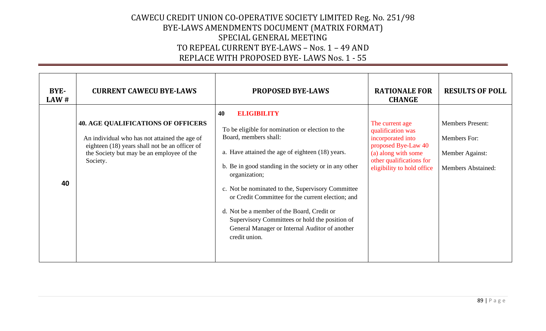| BYE-<br>LAW# | <b>CURRENT CAWECU BYE-LAWS</b>                                                                                                                                                                        | <b>PROPOSED BYE-LAWS</b>                                                                                                                                                                                                                                                                                                                                                                                                                                                                                         | <b>RATIONALE FOR</b><br><b>CHANGE</b>                                                                                                                             | <b>RESULTS OF POLL</b>                                                                  |
|--------------|-------------------------------------------------------------------------------------------------------------------------------------------------------------------------------------------------------|------------------------------------------------------------------------------------------------------------------------------------------------------------------------------------------------------------------------------------------------------------------------------------------------------------------------------------------------------------------------------------------------------------------------------------------------------------------------------------------------------------------|-------------------------------------------------------------------------------------------------------------------------------------------------------------------|-----------------------------------------------------------------------------------------|
| 40           | <b>40. AGE QUALIFICATIONS OF OFFICERS</b><br>An individual who has not attained the age of<br>eighteen (18) years shall not be an officer of<br>the Society but may be an employee of the<br>Society. | <b>ELIGIBILITY</b><br>40<br>To be eligible for nomination or election to the<br>Board, members shall:<br>a. Have attained the age of eighteen (18) years.<br>b. Be in good standing in the society or in any other<br>organization;<br>c. Not be nominated to the, Supervisory Committee<br>or Credit Committee for the current election; and<br>d. Not be a member of the Board, Credit or<br>Supervisory Committees or hold the position of<br>General Manager or Internal Auditor of another<br>credit union. | The current age<br>qualification was<br>incorporated into<br>proposed Bye-Law 40<br>(a) along with some<br>other qualifications for<br>eligibility to hold office | <b>Members Present:</b><br>Members For:<br>Member Against:<br><b>Members Abstained:</b> |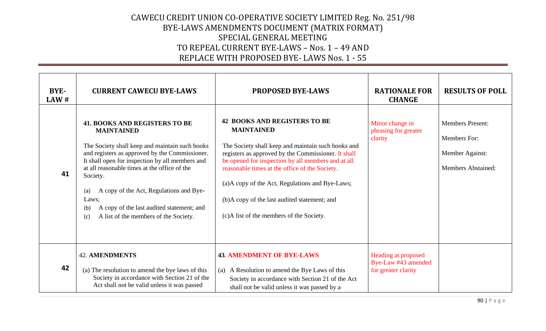| BYE-<br>LAW # | <b>CURRENT CAWECU BYE-LAWS</b>                                                                                                                                                                                                                                                                                                                                                                                                              | <b>PROPOSED BYE-LAWS</b>                                                                                                                                                                                                                                                                                                                                                                                                     | <b>RATIONALE FOR</b><br><b>CHANGE</b>                             | <b>RESULTS OF POLL</b>                                                                  |
|---------------|---------------------------------------------------------------------------------------------------------------------------------------------------------------------------------------------------------------------------------------------------------------------------------------------------------------------------------------------------------------------------------------------------------------------------------------------|------------------------------------------------------------------------------------------------------------------------------------------------------------------------------------------------------------------------------------------------------------------------------------------------------------------------------------------------------------------------------------------------------------------------------|-------------------------------------------------------------------|-----------------------------------------------------------------------------------------|
| 41            | <b>41. BOOKS AND REGISTERS TO BE</b><br><b>MAINTAINED</b><br>The Society shall keep and maintain such books<br>and registers as approved by the Commissioner.<br>It shall open for inspection by all members and<br>at all reasonable times at the office of the<br>Society.<br>A copy of the Act, Regulations and Bye-<br>(a)<br>Laws;<br>A copy of the last audited statement; and<br>(b)<br>A list of the members of the Society.<br>(c) | <b>42 BOOKS AND REGISTERS TO BE</b><br><b>MAINTAINED</b><br>The Society shall keep and maintain such books and<br>registers as approved by the Commissioner. It shall<br>be opened for inspection by all members and at all<br>reasonable times at the office of the Society.<br>(a)A copy of the Act, Regulations and Bye-Laws;<br>(b)A copy of the last audited statement; and<br>(c)A list of the members of the Society. | Minor change in<br>phrasing for greater<br>clarity                | <b>Members Present:</b><br>Members For:<br>Member Against:<br><b>Members Abstained:</b> |
| 42            | <b>42. AMENDMENTS</b><br>(a) The resolution to amend the bye laws of this<br>Society in accordance with Section 21 of the<br>Act shall not be valid unless it was passed                                                                                                                                                                                                                                                                    | <b>43. AMENDMENT OF BYE-LAWS</b><br>(a) A Resolution to amend the Bye Laws of this<br>Society in accordance with Section 21 of the Act<br>shall not be valid unless it was passed by a                                                                                                                                                                                                                                       | Heading at proposed<br>Bye-Law #43 amended<br>for greater clarity |                                                                                         |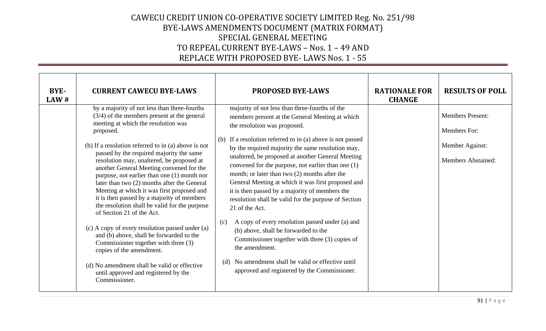| BYE-<br>LAW# | <b>CURRENT CAWECU BYE-LAWS</b>                                                                                                                                                                                                                                                                                                                                                                                                                                                                                                                                                                                                                                                                                                                                                                                                                                                                    | <b>PROPOSED BYE-LAWS</b>                                                                                                                                                                                                                                                                                                                                                                                                                                                                                                                                                                                                                                                                                                                                                                                                                                                          | <b>RATIONALE FOR</b><br><b>CHANGE</b> | <b>RESULTS OF POLL</b>                                                                  |
|--------------|---------------------------------------------------------------------------------------------------------------------------------------------------------------------------------------------------------------------------------------------------------------------------------------------------------------------------------------------------------------------------------------------------------------------------------------------------------------------------------------------------------------------------------------------------------------------------------------------------------------------------------------------------------------------------------------------------------------------------------------------------------------------------------------------------------------------------------------------------------------------------------------------------|-----------------------------------------------------------------------------------------------------------------------------------------------------------------------------------------------------------------------------------------------------------------------------------------------------------------------------------------------------------------------------------------------------------------------------------------------------------------------------------------------------------------------------------------------------------------------------------------------------------------------------------------------------------------------------------------------------------------------------------------------------------------------------------------------------------------------------------------------------------------------------------|---------------------------------------|-----------------------------------------------------------------------------------------|
|              | by a majority of not less than three-fourths<br>$(3/4)$ of the members present at the general<br>meeting at which the resolution was<br>proposed.<br>(b) If a resolution referred to in (a) above is not<br>passed by the required majority the same<br>resolution may, unaltered, be proposed at<br>another General Meeting convened for the<br>purpose, not earlier than one (1) month nor<br>later than two (2) months after the General<br>Meeting at which it was first proposed and<br>it is then passed by a majority of members<br>the resolution shall be valid for the purpose<br>of Section 21 of the Act.<br>(c) A copy of every resolution passed under (a)<br>and (b) above, shall be forwarded to the<br>Commissioner together with three (3)<br>copies of the amendment.<br>(d) No amendment shall be valid or effective<br>until approved and registered by the<br>Commissioner. | majority of not less than three-fourths of the<br>members present at the General Meeting at which<br>the resolution was proposed.<br>(b) If a resolution referred to in (a) above is not passed<br>by the required majority the same resolution may,<br>unaltered, be proposed at another General Meeting<br>convened for the purpose, not earlier than one (1)<br>month; or later than two (2) months after the<br>General Meeting at which it was first proposed and<br>it is then passed by a majority of members the<br>resolution shall be valid for the purpose of Section<br>21 of the Act.<br>A copy of every resolution passed under (a) and<br>(c)<br>(b) above, shall be forwarded to the<br>Commissioner together with three (3) copies of<br>the amendment.<br>No amendment shall be valid or effective until<br>(d)<br>approved and registered by the Commissioner. |                                       | <b>Members Present:</b><br>Members For:<br>Member Against:<br><b>Members Abstained:</b> |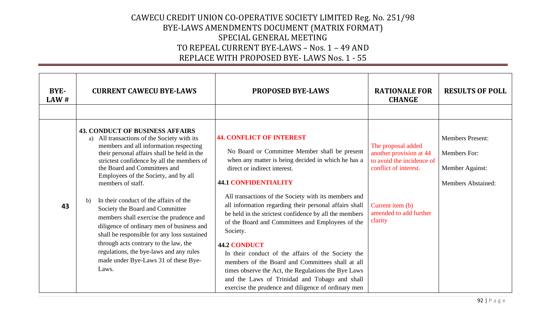| BYE-<br>LAW# | <b>CURRENT CAWECU BYE-LAWS</b>                                                                                                                                                                                                                                                                                                                                                                                                                                                                                                                                                                                                                                                              | <b>PROPOSED BYE-LAWS</b>                                                                                                                                                                                                                                                                                                                                                                                                                                                                                                                                                                                                                                                                                                                          | <b>RATIONALE FOR</b><br><b>CHANGE</b>                                                                                                                        | <b>RESULTS OF POLL</b>                                                                  |
|--------------|---------------------------------------------------------------------------------------------------------------------------------------------------------------------------------------------------------------------------------------------------------------------------------------------------------------------------------------------------------------------------------------------------------------------------------------------------------------------------------------------------------------------------------------------------------------------------------------------------------------------------------------------------------------------------------------------|---------------------------------------------------------------------------------------------------------------------------------------------------------------------------------------------------------------------------------------------------------------------------------------------------------------------------------------------------------------------------------------------------------------------------------------------------------------------------------------------------------------------------------------------------------------------------------------------------------------------------------------------------------------------------------------------------------------------------------------------------|--------------------------------------------------------------------------------------------------------------------------------------------------------------|-----------------------------------------------------------------------------------------|
|              |                                                                                                                                                                                                                                                                                                                                                                                                                                                                                                                                                                                                                                                                                             |                                                                                                                                                                                                                                                                                                                                                                                                                                                                                                                                                                                                                                                                                                                                                   |                                                                                                                                                              |                                                                                         |
| 43           | <b>43. CONDUCT OF BUSINESS AFFAIRS</b><br>All transactions of the Society with its<br>a)<br>members and all information respecting<br>their personal affairs shall be held in the<br>strictest confidence by all the members of<br>the Board and Committees and<br>Employees of the Society, and by all<br>members of staff.<br>In their conduct of the affairs of the<br>b)<br>Society the Board and Committee<br>members shall exercise the prudence and<br>diligence of ordinary men of business and<br>shall be responsible for any loss sustained<br>through acts contrary to the law, the<br>regulations, the bye-laws and any rules<br>made under Bye-Laws 31 of these Bye-<br>Laws. | <b>44. CONFLICT OF INTEREST</b><br>No Board or Committee Member shall be present<br>when any matter is being decided in which he has a<br>direct or indirect interest.<br><b>44.1 CONFIDENTIALITY</b><br>All transactions of the Society with its members and<br>all information regarding their personal affairs shall<br>be held in the strictest confidence by all the members<br>of the Board and Committees and Employees of the<br>Society.<br><b>44.2 CONDUCT</b><br>In their conduct of the affairs of the Society the<br>members of the Board and Committees shall at all<br>times observe the Act, the Regulations the Bye Laws<br>and the Laws of Trinidad and Tobago and shall<br>exercise the prudence and diligence of ordinary men | The proposal added<br>another provision at 44<br>to avoid the incidence of<br>conflict of interest.<br>Current item (b)<br>amended to add further<br>clarity | <b>Members Present:</b><br>Members For:<br>Member Against:<br><b>Members Abstained:</b> |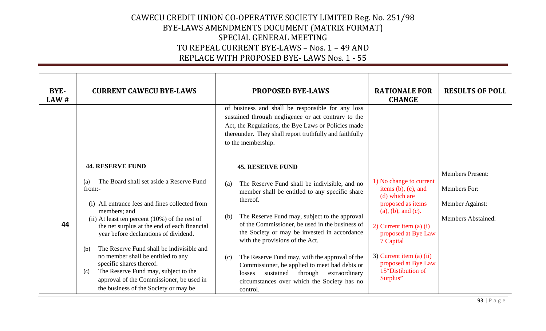| BYE-<br>LAW # | <b>CURRENT CAWECU BYE-LAWS</b>                                                                                                                                                                                                                                                                                                                                                                                                                                                                                                                                 | <b>PROPOSED BYE-LAWS</b><br>of business and shall be responsible for any loss<br>sustained through negligence or act contrary to the<br>Act, the Regulations, the Bye Laws or Policies made<br>thereunder. They shall report truthfully and faithfully<br>to the membership.                                                                                                                                                                                                                                                                                     | <b>RATIONALE FOR</b><br><b>CHANGE</b>                                                                                                                                                                                                                                   | <b>RESULTS OF POLL</b>                                                                  |
|---------------|----------------------------------------------------------------------------------------------------------------------------------------------------------------------------------------------------------------------------------------------------------------------------------------------------------------------------------------------------------------------------------------------------------------------------------------------------------------------------------------------------------------------------------------------------------------|------------------------------------------------------------------------------------------------------------------------------------------------------------------------------------------------------------------------------------------------------------------------------------------------------------------------------------------------------------------------------------------------------------------------------------------------------------------------------------------------------------------------------------------------------------------|-------------------------------------------------------------------------------------------------------------------------------------------------------------------------------------------------------------------------------------------------------------------------|-----------------------------------------------------------------------------------------|
| 44            | <b>44. RESERVE FUND</b><br>The Board shall set aside a Reserve Fund<br>(a)<br>from:-<br>(i) All entrance fees and fines collected from<br>members; and<br>(ii) At least ten percent $(10\%)$ of the rest of<br>the net surplus at the end of each financial<br>year before declarations of dividend.<br>The Reserve Fund shall be indivisible and<br>(b)<br>no member shall be entitled to any<br>specific shares thereof.<br>The Reserve Fund may, subject to the<br>(c)<br>approval of the Commissioner, be used in<br>the business of the Society or may be | <b>45. RESERVE FUND</b><br>The Reserve Fund shall be indivisible, and no<br>(a)<br>member shall be entitled to any specific share<br>thereof.<br>The Reserve Fund may, subject to the approval<br>(b)<br>of the Commissioner, be used in the business of<br>the Society or may be invested in accordance<br>with the provisions of the Act.<br>The Reserve Fund may, with the approval of the<br>(c)<br>Commissioner, be applied to meet bad debts or<br>sustained through<br>extraordinary<br>losses<br>circumstances over which the Society has no<br>control. | 1) No change to current<br>items $(b)$ , $(c)$ , and<br>(d) which are<br>proposed as items<br>(a), (b), and (c).<br>$2)$ Current item (a) (i)<br>proposed at Bye Law<br>7 Capital<br>3) Current item (a) $(ii)$<br>proposed at Bye Law<br>15"Distibution of<br>Surplus" | <b>Members Present:</b><br>Members For:<br>Member Against:<br><b>Members Abstained:</b> |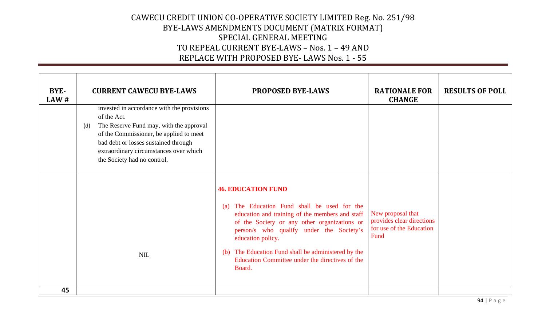| BYE-<br>LAW # | <b>CURRENT CAWECU BYE-LAWS</b>                                                                                                                                                                                                                                          | <b>PROPOSED BYE-LAWS</b>                                                                                                                                                                                                                                                                                                                                             | <b>RATIONALE FOR</b><br><b>CHANGE</b>                                              | <b>RESULTS OF POLL</b> |
|---------------|-------------------------------------------------------------------------------------------------------------------------------------------------------------------------------------------------------------------------------------------------------------------------|----------------------------------------------------------------------------------------------------------------------------------------------------------------------------------------------------------------------------------------------------------------------------------------------------------------------------------------------------------------------|------------------------------------------------------------------------------------|------------------------|
|               | invested in accordance with the provisions<br>of the Act.<br>The Reserve Fund may, with the approval<br>(d)<br>of the Commissioner, be applied to meet<br>bad debt or losses sustained through<br>extraordinary circumstances over which<br>the Society had no control. |                                                                                                                                                                                                                                                                                                                                                                      |                                                                                    |                        |
|               | <b>NIL</b>                                                                                                                                                                                                                                                              | <b>46. EDUCATION FUND</b><br>The Education Fund shall be used for the<br>(a)<br>education and training of the members and staff<br>of the Society or any other organizations or<br>person/s who qualify under the Society's<br>education policy.<br>(b) The Education Fund shall be administered by the<br>Education Committee under the directives of the<br>Board. | New proposal that<br>provides clear directions<br>for use of the Education<br>Fund |                        |
| 45            |                                                                                                                                                                                                                                                                         |                                                                                                                                                                                                                                                                                                                                                                      |                                                                                    |                        |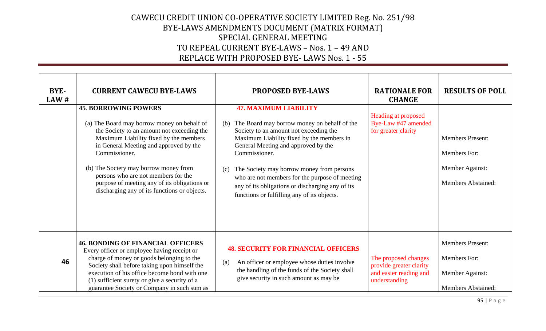| BYE-<br>LAW# | <b>CURRENT CAWECU BYE-LAWS</b>                                                                                                                                                                                                                                                                                                                                                                                | <b>PROPOSED BYE-LAWS</b>                                                                                                                                                                                                                                                                                                                                                                                                                   | <b>RATIONALE FOR</b><br><b>CHANGE</b>                                                      | <b>RESULTS OF POLL</b>                                                                         |
|--------------|---------------------------------------------------------------------------------------------------------------------------------------------------------------------------------------------------------------------------------------------------------------------------------------------------------------------------------------------------------------------------------------------------------------|--------------------------------------------------------------------------------------------------------------------------------------------------------------------------------------------------------------------------------------------------------------------------------------------------------------------------------------------------------------------------------------------------------------------------------------------|--------------------------------------------------------------------------------------------|------------------------------------------------------------------------------------------------|
|              | <b>45. BORROWING POWERS</b><br>(a) The Board may borrow money on behalf of<br>the Society to an amount not exceeding the<br>Maximum Liability fixed by the members<br>in General Meeting and approved by the<br>Commissioner.<br>(b) The Society may borrow money from<br>persons who are not members for the<br>purpose of meeting any of its obligations or<br>discharging any of its functions or objects. | <b>47. MAXIMUM LIABILITY</b><br>The Board may borrow money on behalf of the<br>(b)<br>Society to an amount not exceeding the<br>Maximum Liability fixed by the members in<br>General Meeting and approved by the<br>Commissioner.<br>The Society may borrow money from persons<br>(c)<br>who are not members for the purpose of meeting<br>any of its obligations or discharging any of its<br>functions or fulfilling any of its objects. | Heading at proposed<br>Bye-Law #47 amended<br>for greater clarity                          | <b>Members Present:</b><br>Members For:<br>Member Against:<br><b>Members Abstained:</b>        |
| 46           | <b>46. BONDING OF FINANCIAL OFFICERS</b><br>Every officer or employee having receipt or<br>charge of money or goods belonging to the<br>Society shall before taking upon himself the<br>execution of his office become bond with one<br>(1) sufficient surety or give a security of a<br>guarantee Society or Company in such sum as                                                                          | <b>48. SECURITY FOR FINANCIAL OFFICERS</b><br>An officer or employee whose duties involve<br>(a)<br>the handling of the funds of the Society shall<br>give security in such amount as may be                                                                                                                                                                                                                                               | The proposed changes<br>provide greater clarity<br>and easier reading and<br>understanding | <b>Members Present:</b><br><b>Members For:</b><br>Member Against:<br><b>Members Abstained:</b> |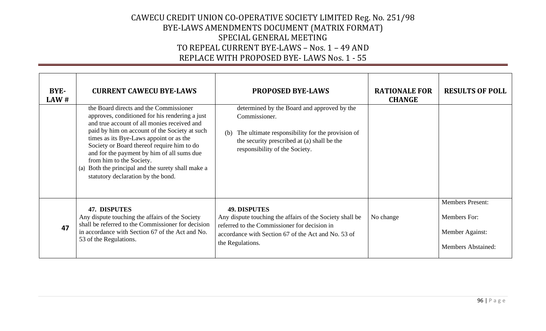| BYE-<br>LAW# | <b>CURRENT CAWECU BYE-LAWS</b>                                                                                                                                                                                                                                                                                                                                                                                                                             | <b>PROPOSED BYE-LAWS</b>                                                                                                                                                                                   | <b>RATIONALE FOR</b><br><b>CHANGE</b> | <b>RESULTS OF POLL</b>                                                                         |
|--------------|------------------------------------------------------------------------------------------------------------------------------------------------------------------------------------------------------------------------------------------------------------------------------------------------------------------------------------------------------------------------------------------------------------------------------------------------------------|------------------------------------------------------------------------------------------------------------------------------------------------------------------------------------------------------------|---------------------------------------|------------------------------------------------------------------------------------------------|
|              | the Board directs and the Commissioner<br>approves, conditioned for his rendering a just<br>and true account of all monies received and<br>paid by him on account of the Society at such<br>times as its Bye-Laws appoint or as the<br>Society or Board thereof require him to do<br>and for the payment by him of all sums due<br>from him to the Society.<br>Both the principal and the surety shall make a<br>(a)<br>statutory declaration by the bond. | determined by the Board and approved by the<br>Commissioner.<br>The ultimate responsibility for the provision of<br>(b)<br>the security prescribed at (a) shall be the<br>responsibility of the Society.   |                                       |                                                                                                |
| 47           | 47. DISPUTES<br>Any dispute touching the affairs of the Society<br>shall be referred to the Commissioner for decision<br>in accordance with Section 67 of the Act and No.<br>53 of the Regulations.                                                                                                                                                                                                                                                        | <b>49. DISPUTES</b><br>Any dispute touching the affairs of the Society shall be<br>referred to the Commissioner for decision in<br>accordance with Section 67 of the Act and No. 53 of<br>the Regulations. | No change                             | <b>Members Present:</b><br><b>Members</b> For:<br>Member Against:<br><b>Members Abstained:</b> |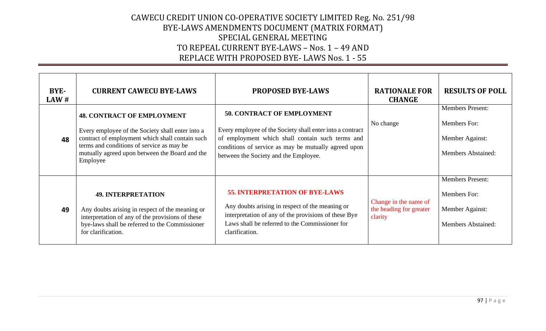| BYE-<br>LAW# | <b>CURRENT CAWECU BYE-LAWS</b>                                                                                                                                                                                                                      | <b>PROPOSED BYE-LAWS</b>                                                                                                                                                                                                                            | <b>RATIONALE FOR</b><br><b>CHANGE</b>                       | <b>RESULTS OF POLL</b>                                                                  |
|--------------|-----------------------------------------------------------------------------------------------------------------------------------------------------------------------------------------------------------------------------------------------------|-----------------------------------------------------------------------------------------------------------------------------------------------------------------------------------------------------------------------------------------------------|-------------------------------------------------------------|-----------------------------------------------------------------------------------------|
| 48           | <b>48. CONTRACT OF EMPLOYMENT</b><br>Every employee of the Society shall enter into a<br>contract of employment which shall contain such<br>terms and conditions of service as may be<br>mutually agreed upon between the Board and the<br>Employee | <b>50. CONTRACT OF EMPLOYMENT</b><br>Every employee of the Society shall enter into a contract<br>of employment which shall contain such terms and<br>conditions of service as may be mutually agreed upon<br>between the Society and the Employee. | No change                                                   | <b>Members Present:</b><br>Members For:<br>Member Against:<br><b>Members Abstained:</b> |
| 49           | <b>49. INTERPRETATION</b><br>Any doubts arising in respect of the meaning or<br>interpretation of any of the provisions of these<br>bye-laws shall be referred to the Commissioner<br>for clarification.                                            | <b>55. INTERPRETATION OF BYE-LAWS</b><br>Any doubts arising in respect of the meaning or<br>interpretation of any of the provisions of these Bye<br>Laws shall be referred to the Commissioner for<br>clarification.                                | Change in the name of<br>the heading for greater<br>clarity | <b>Members Present:</b><br>Members For:<br>Member Against:<br><b>Members Abstained:</b> |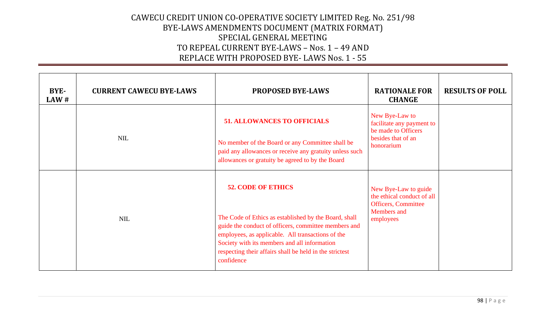| BYE-<br>$\mathbf{L} \mathbf{A} \mathbf{W}$ # | <b>CURRENT CAWECU BYE-LAWS</b> | <b>PROPOSED BYE-LAWS</b>                                                                                                                                                                                                                                                                                                 | <b>RATIONALE FOR</b><br><b>CHANGE</b>                                                                                | <b>RESULTS OF POLL</b> |
|----------------------------------------------|--------------------------------|--------------------------------------------------------------------------------------------------------------------------------------------------------------------------------------------------------------------------------------------------------------------------------------------------------------------------|----------------------------------------------------------------------------------------------------------------------|------------------------|
|                                              | <b>NIL</b>                     | <b>51. ALLOWANCES TO OFFICIALS</b><br>No member of the Board or any Committee shall be<br>paid any allowances or receive any gratuity unless such<br>allowances or gratuity be agreed to by the Board                                                                                                                    | New Bye-Law to<br>facilitate any payment to<br>be made to Officers<br>besides that of an<br>honorarium               |                        |
|                                              | <b>NIL</b>                     | <b>52. CODE OF ETHICS</b><br>The Code of Ethics as established by the Board, shall<br>guide the conduct of officers, committee members and<br>employees, as applicable. All transactions of the<br>Society with its members and all information<br>respecting their affairs shall be held in the strictest<br>confidence | New Bye-Law to guide<br>the ethical conduct of all<br><b>Officers</b> , Committee<br><b>Members</b> and<br>employees |                        |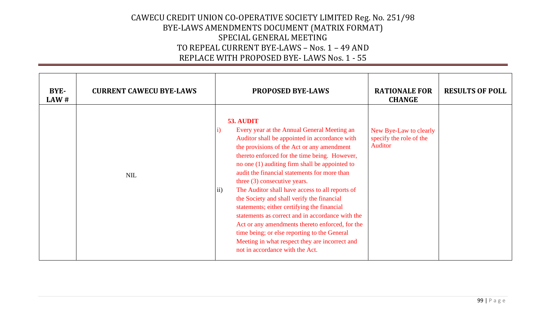| BYE-<br>$\mathbf{L} \mathbf{A} \mathbf{W}$ # | <b>CURRENT CAWECU BYE-LAWS</b> | <b>PROPOSED BYE-LAWS</b>                                                                                                                                                                                                                                                                                                                                                                                                                                                                                                                                                                                                                                                                                                                                               | <b>RATIONALE FOR</b><br><b>CHANGE</b>                        | <b>RESULTS OF POLL</b> |
|----------------------------------------------|--------------------------------|------------------------------------------------------------------------------------------------------------------------------------------------------------------------------------------------------------------------------------------------------------------------------------------------------------------------------------------------------------------------------------------------------------------------------------------------------------------------------------------------------------------------------------------------------------------------------------------------------------------------------------------------------------------------------------------------------------------------------------------------------------------------|--------------------------------------------------------------|------------------------|
|                                              | <b>NIL</b>                     | 53. AUDIT<br>Every year at the Annual General Meeting an<br>$\ket{i}$<br>Auditor shall be appointed in accordance with<br>the provisions of the Act or any amendment<br>thereto enforced for the time being. However,<br>no one (1) auditing firm shall be appointed to<br>audit the financial statements for more than<br>three $(3)$ consecutive years.<br>The Auditor shall have access to all reports of<br>$\mathbf{ii}$<br>the Society and shall verify the financial<br>statements; either certifying the financial<br>statements as correct and in accordance with the<br>Act or any amendments thereto enforced, for the<br>time being; or else reporting to the General<br>Meeting in what respect they are incorrect and<br>not in accordance with the Act. | New Bye-Law to clearly<br>specify the role of the<br>Auditor |                        |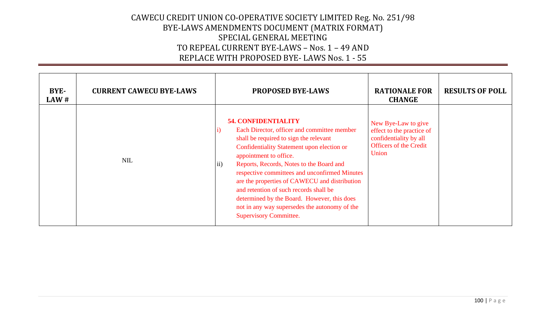| BYE-<br>LAW# | <b>CURRENT CAWECU BYE-LAWS</b> | <b>PROPOSED BYE-LAWS</b>                                                                                                                                                                                                                                                                                                                                                                                                                                                                                                            | <b>RATIONALE FOR</b><br><b>CHANGE</b>                                                                                | <b>RESULTS OF POLL</b> |
|--------------|--------------------------------|-------------------------------------------------------------------------------------------------------------------------------------------------------------------------------------------------------------------------------------------------------------------------------------------------------------------------------------------------------------------------------------------------------------------------------------------------------------------------------------------------------------------------------------|----------------------------------------------------------------------------------------------------------------------|------------------------|
|              | <b>NIL</b>                     | <b>54. CONFIDENTIALITY</b><br>Each Director, officer and committee member<br>shall be required to sign the relevant<br>Confidentiality Statement upon election or<br>appointment to office.<br>Reports, Records, Notes to the Board and<br>$\vert$ 11)<br>respective committees and unconfirmed Minutes<br>are the properties of CAWECU and distribution<br>and retention of such records shall be<br>determined by the Board. However, this does<br>not in any way supersedes the autonomy of the<br><b>Supervisory Committee.</b> | New Bye-Law to give<br>effect to the practice of<br>confidentiality by all<br><b>Officers of the Credit</b><br>Union |                        |